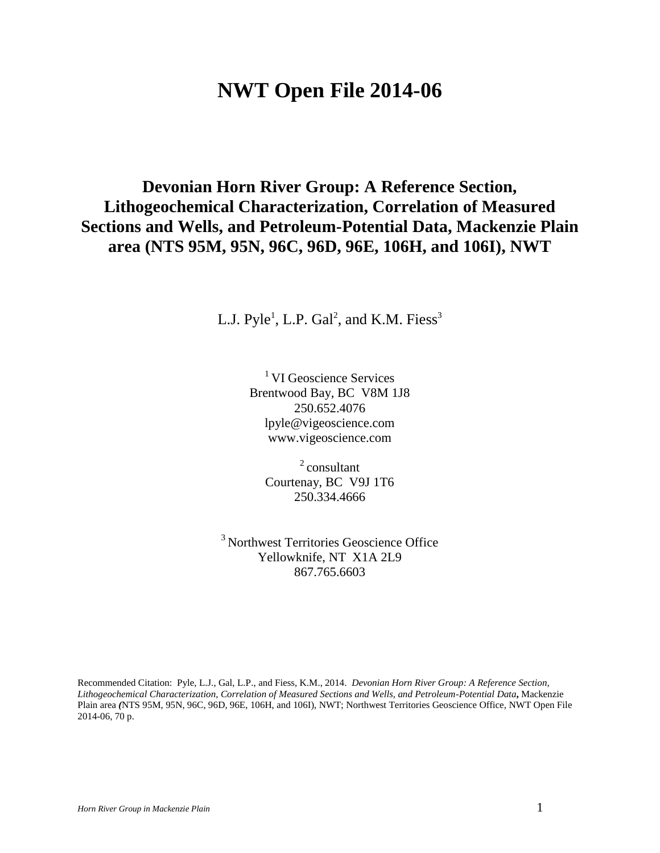# **NWT Open File 2014-06**

## <span id="page-0-0"></span>**Devonian Horn River Group: A Reference Section, Lithogeochemical Characterization, Correlation of Measured Sections and Wells, and Petroleum-Potential Data, Mackenzie Plain area (NTS 95M, 95N, 96C, 96D, 96E, 106H, and 106I), NWT**

L.J.  $Pyle<sup>1</sup>$ , L.P. Gal<sup>2</sup>, and K.M. Fiess<sup>3</sup>

<sup>1</sup> VI Geoscience Services Brentwood Bay, BC V8M 1J8 250.652.4076 lpyle@vigeoscience.com www.vigeoscience.com

 $2$  consultant Courtenay, BC V9J 1T6 250.334.4666

<sup>3</sup> Northwest Territories Geoscience Office Yellowknife, NT X1A 2L9 867.765.6603

Recommended Citation: Pyle, L.J., Gal, L.P., and Fiess, K.M., 2014. *Devonian Horn River Group: A Reference Section, Lithogeochemical Characterization, Correlation of Measured Sections and Wells, and Petroleum-Potential Data***,** Mackenzie Plain area *(*NTS 95M, 95N, 96C, 96D, 96E, 106H, and 106I), NWT; Northwest Territories Geoscience Office, NWT Open File 2014-06, 70 p.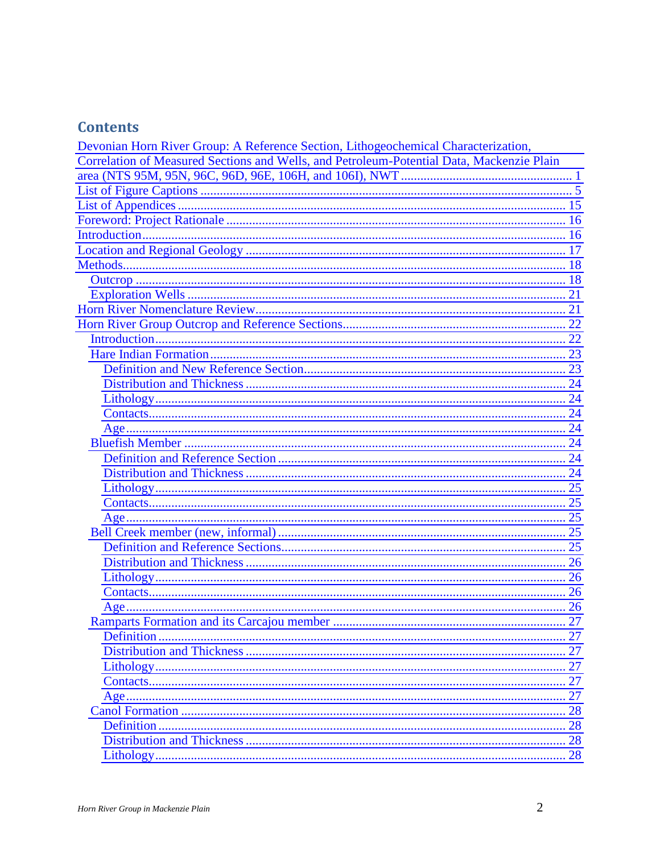## **Contents**

| Devonian Horn River Group: A Reference Section, Lithogeochemical Characterization,        |     |
|-------------------------------------------------------------------------------------------|-----|
| Correlation of Measured Sections and Wells, and Petroleum-Potential Data, Mackenzie Plain |     |
|                                                                                           |     |
|                                                                                           |     |
|                                                                                           |     |
|                                                                                           |     |
|                                                                                           |     |
|                                                                                           |     |
|                                                                                           |     |
|                                                                                           |     |
|                                                                                           |     |
|                                                                                           |     |
|                                                                                           |     |
|                                                                                           |     |
|                                                                                           |     |
|                                                                                           |     |
|                                                                                           |     |
|                                                                                           |     |
|                                                                                           |     |
|                                                                                           |     |
|                                                                                           |     |
|                                                                                           |     |
|                                                                                           |     |
|                                                                                           |     |
|                                                                                           |     |
|                                                                                           |     |
|                                                                                           |     |
|                                                                                           |     |
|                                                                                           |     |
|                                                                                           |     |
|                                                                                           |     |
|                                                                                           |     |
|                                                                                           | .27 |
|                                                                                           |     |
|                                                                                           |     |
|                                                                                           |     |
|                                                                                           |     |
|                                                                                           |     |
|                                                                                           |     |
|                                                                                           |     |
|                                                                                           |     |
|                                                                                           |     |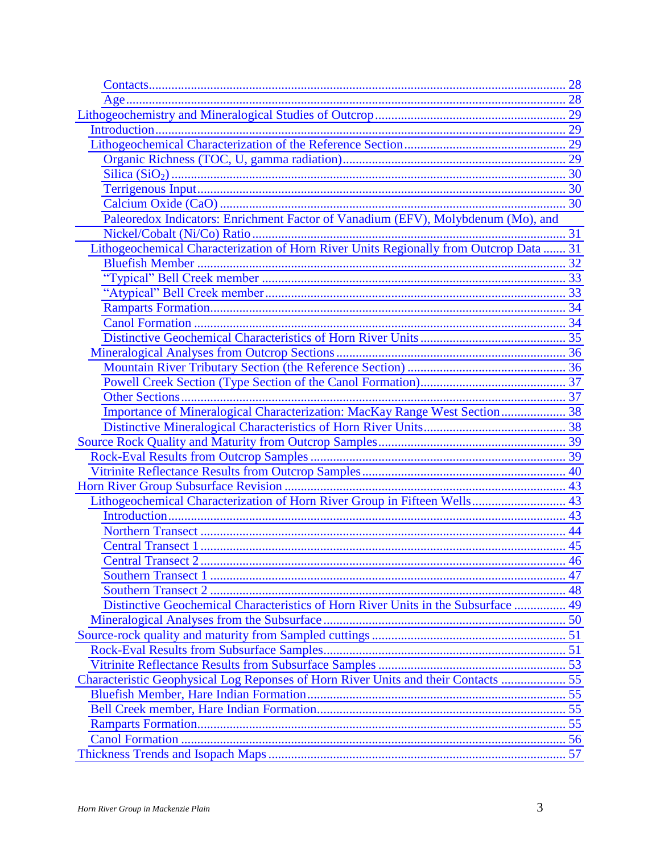| Paleoredox Indicators: Enrichment Factor of Vanadium (EFV), Molybdenum (Mo), and       |  |
|----------------------------------------------------------------------------------------|--|
|                                                                                        |  |
| Lithogeochemical Characterization of Horn River Units Regionally from Outcrop Data  31 |  |
|                                                                                        |  |
|                                                                                        |  |
|                                                                                        |  |
|                                                                                        |  |
|                                                                                        |  |
|                                                                                        |  |
|                                                                                        |  |
|                                                                                        |  |
|                                                                                        |  |
|                                                                                        |  |
| Importance of Mineralogical Characterization: MacKay Range West Section 38             |  |
|                                                                                        |  |
|                                                                                        |  |
|                                                                                        |  |
|                                                                                        |  |
|                                                                                        |  |
| Lithogeochemical Characterization of Horn River Group in Fifteen Wells 43              |  |
|                                                                                        |  |
|                                                                                        |  |
|                                                                                        |  |
|                                                                                        |  |
|                                                                                        |  |
|                                                                                        |  |
| Distinctive Geochemical Characteristics of Horn River Units in the Subsurface  49      |  |
|                                                                                        |  |
|                                                                                        |  |
|                                                                                        |  |
|                                                                                        |  |
| Characteristic Geophysical Log Reponses of Horn River Units and their Contacts  55     |  |
|                                                                                        |  |
|                                                                                        |  |
|                                                                                        |  |
|                                                                                        |  |
|                                                                                        |  |
|                                                                                        |  |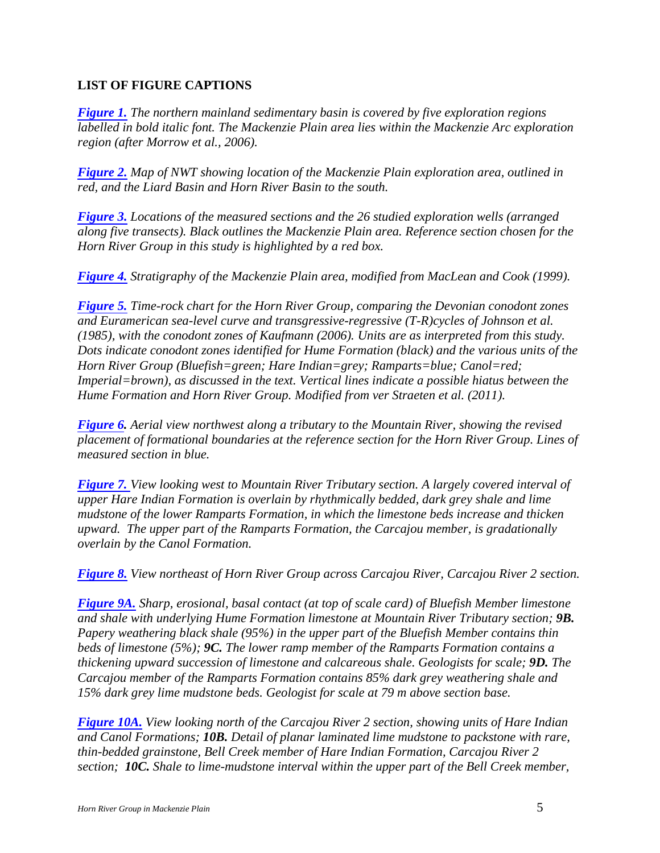## <span id="page-4-0"></span>**LIST OF FIGURE CAPTIONS**

*Figure 1. The northern mainland sedimentary basin is covered by five exploration regions labelled in bold italic font. The Mackenzie Plain area lies within the Mackenzie Arc exploration region (after Morrow et al., 2006).* 

*Figure 2. Map of NWT showing location of the Mackenzie Plain exploration area, outlined in red, and the Liard Basin and Horn River Basin to the south.* 

*Figure 3. Locations of the measured sections and the 26 studied exploration wells (arranged along five transects). Black outlines the Mackenzie Plain area. Reference section chosen for the Horn River Group in this study is highlighted by a red box.* 

*Figure 4. Stratigraphy of the Mackenzie Plain area, modified from MacLean and Cook (1999).* 

*Figure 5. Time-rock chart for the Horn River Group, comparing the Devonian conodont zones and Euramerican sea-level curve and transgressive-regressive (T-R)cycles of Johnson et al. (1985), with the conodont zones of Kaufmann (2006). Units are as interpreted from this study. Dots indicate conodont zones identified for Hume Formation (black) and the various units of the Horn River Group (Bluefish=green; Hare Indian=grey; Ramparts=blue; Canol=red; Imperial=brown), as discussed in the text. Vertical lines indicate a possible hiatus between the Hume Formation and Horn River Group. Modified from ver Straeten et al. (2011).* 

*Figure 6. Aerial view northwest along a tributary to the Mountain River, showing the revised placement of formational boundaries at the reference section for the Horn River Group. Lines of measured section in blue.* 

*Figure 7. View looking west to Mountain River Tributary section. A largely covered interval of upper Hare Indian Formation is overlain by rhythmically bedded, dark grey shale and lime mudstone of the lower Ramparts Formation, in which the limestone beds increase and thicken upward. The upper part of the Ramparts Formation, the Carcajou member, is gradationally overlain by the Canol Formation.* 

*Figure 8. View northeast of Horn River Group across Carcajou River, Carcajou River 2 section.* 

*Figure 9A. Sharp, erosional, basal contact (at top of scale card) of Bluefish Member limestone and shale with underlying Hume Formation limestone at Mountain River Tributary section; 9B. Papery weathering black shale (95%) in the upper part of the Bluefish Member contains thin beds of limestone (5%); 9C. The lower ramp member of the Ramparts Formation contains a thickening upward succession of limestone and calcareous shale. Geologists for scale; 9D. The Carcajou member of the Ramparts Formation contains 85% dark grey weathering shale and 15% dark grey lime mudstone beds. Geologist for scale at 79 m above section base.* 

*Figure 10A. View looking north of the Carcajou River 2 section, showing units of Hare Indian and Canol Formations; 10B. Detail of planar laminated lime mudstone to packstone with rare, thin-bedded grainstone, Bell Creek member of Hare Indian Formation, Carcajou River 2 section; 10C. Shale to lime-mudstone interval within the upper part of the Bell Creek member,*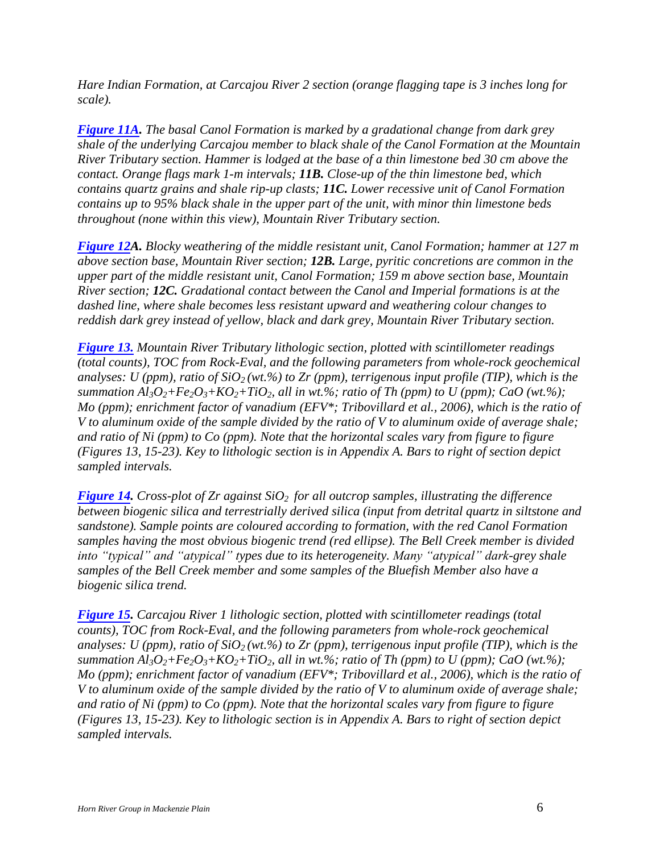*Hare Indian Formation, at Carcajou River 2 section (orange flagging tape is 3 inches long for scale).* 

*Figure 11A. The basal Canol Formation is marked by a gradational change from dark grey shale of the underlying Carcajou member to black shale of the Canol Formation at the Mountain River Tributary section. Hammer is lodged at the base of a thin limestone bed 30 cm above the contact. Orange flags mark 1-m intervals; 11B. Close-up of the thin limestone bed, which contains quartz grains and shale rip-up clasts; 11C. Lower recessive unit of Canol Formation contains up to 95% black shale in the upper part of the unit, with minor thin limestone beds throughout (none within this view), Mountain River Tributary section.* 

*Figure 12A. Blocky weathering of the middle resistant unit, Canol Formation; hammer at 127 m above section base, Mountain River section; 12B. Large, pyritic concretions are common in the upper part of the middle resistant unit, Canol Formation; 159 m above section base, Mountain River section; 12C. Gradational contact between the Canol and Imperial formations is at the dashed line, where shale becomes less resistant upward and weathering colour changes to reddish dark grey instead of yellow, black and dark grey, Mountain River Tributary section.* 

*Figure 13. Mountain River Tributary lithologic section, plotted with scintillometer readings (total counts), TOC from Rock-Eval, and the following parameters from whole-rock geochemical*  analyses: U (ppm), ratio of  $SiO<sub>2</sub>(wt.\%)$  to Zr (ppm), terrigenous input profile (TIP), which is the *summation Al*<sub>3</sub> $O_2$ + $Fe_2O_3$ + $KO_2$ + $TiO_2$ , all in wt.%; ratio of Th (ppm) to U (ppm); CaO (wt.%); *Mo (ppm); enrichment factor of vanadium (EFV\*; Tribovillard et al., 2006), which is the ratio of V to aluminum oxide of the sample divided by the ratio of V to aluminum oxide of average shale; and ratio of Ni (ppm) to Co (ppm). Note that the horizontal scales vary from figure to figure (Figures 13, 15-23). Key to lithologic section is in Appendix A. Bars to right of section depict sampled intervals.* 

*Figure 14. Cross-plot of Zr against SiO2 for all outcrop samples, illustrating the difference between biogenic silica and terrestrially derived silica (input from detrital quartz in siltstone and sandstone). Sample points are coloured according to formation, with the red Canol Formation samples having the most obvious biogenic trend (red ellipse). The Bell Creek member is divided into "typical" and "atypical" types due to its heterogeneity. Many "atypical" dark-grey shale samples of the Bell Creek member and some samples of the Bluefish Member also have a biogenic silica trend.* 

*Figure 15. Carcajou River 1 lithologic section, plotted with scintillometer readings (total counts), TOC from Rock-Eval, and the following parameters from whole-rock geochemical*  analyses: U (ppm), ratio of  $SiO<sub>2</sub>(wt.%)$  to Zr (ppm), terrigenous input profile (TIP), which is the *summation Al*<sub>3</sub> $O_2$ + $Fe_2O_3$ + $KO_2$ + $TiO_2$ , all in wt.%; ratio of Th (ppm) to U (ppm); CaO (wt.%); *Mo (ppm); enrichment factor of vanadium (EFV\*; Tribovillard et al., 2006), which is the ratio of V to aluminum oxide of the sample divided by the ratio of V to aluminum oxide of average shale; and ratio of Ni (ppm) to Co (ppm). Note that the horizontal scales vary from figure to figure (Figures 13, 15-23). Key to lithologic section is in Appendix A. Bars to right of section depict sampled intervals.*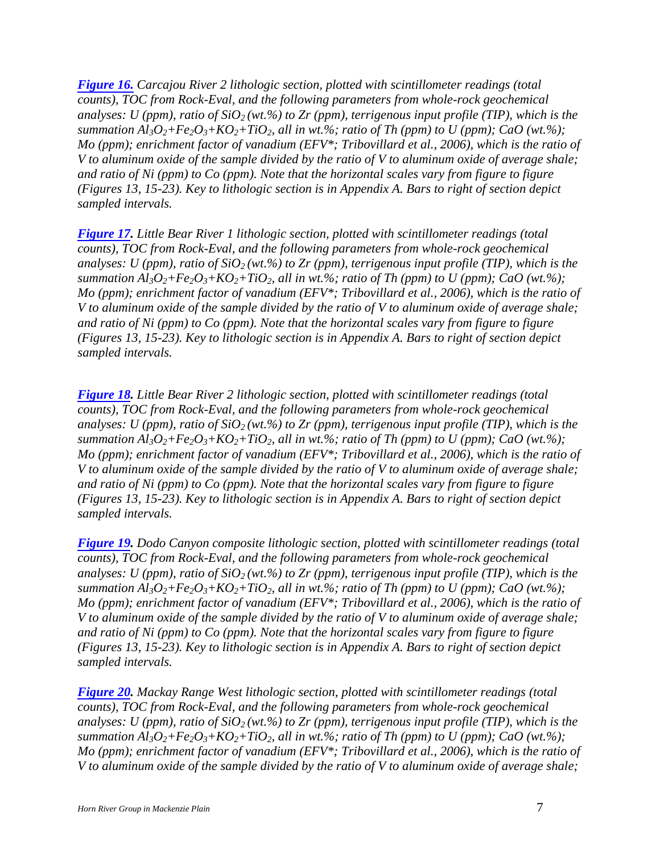*Figure 16. Carcajou River 2 lithologic section, plotted with scintillometer readings (total counts), TOC from Rock-Eval, and the following parameters from whole-rock geochemical*  analyses: U (ppm), ratio of  $SiO<sub>2</sub>(wt.\%)$  to Zr (ppm), terrigenous input profile (TIP), which is the *summation Al*<sub>3</sub> $O_2$ + $Fe_2O_3$ + $KO_2$ + $TiO_2$ , all in wt.%; ratio of Th (ppm) to U (ppm); CaO (wt.%); *Mo (ppm); enrichment factor of vanadium (EFV\*; Tribovillard et al., 2006), which is the ratio of V to aluminum oxide of the sample divided by the ratio of V to aluminum oxide of average shale; and ratio of Ni (ppm) to Co (ppm). Note that the horizontal scales vary from figure to figure (Figures 13, 15-23). Key to lithologic section is in Appendix A. Bars to right of section depict sampled intervals.* 

*Figure 17. Little Bear River 1 lithologic section, plotted with scintillometer readings (total counts), TOC from Rock-Eval, and the following parameters from whole-rock geochemical*  analyses: U (ppm), ratio of  $SiO<sub>2</sub>$  (wt.%) to Zr (ppm), terrigenous input profile (TIP), which is the *summation Al*<sub>3</sub> $O_2$ + $Fe_2O_3$ + $KO_2$ + $TiO_2$ , all in wt.%; ratio of Th (ppm) to U (ppm); CaO (wt.%); *Mo (ppm); enrichment factor of vanadium (EFV\*; Tribovillard et al., 2006), which is the ratio of V to aluminum oxide of the sample divided by the ratio of V to aluminum oxide of average shale; and ratio of Ni (ppm) to Co (ppm). Note that the horizontal scales vary from figure to figure (Figures 13, 15-23). Key to lithologic section is in Appendix A. Bars to right of section depict sampled intervals.* 

*Figure 18. Little Bear River 2 lithologic section, plotted with scintillometer readings (total counts), TOC from Rock-Eval, and the following parameters from whole-rock geochemical analyses: U (ppm), ratio of SiO2 (wt.%) to Zr (ppm), terrigenous input profile (TIP), which is the summation Al*<sub>3</sub> $O_2$ + $Fe_2O_3$ + $KO_2$ + $TiO_2$ , all in wt.%; ratio of Th (ppm) to U (ppm); CaO (wt.%); *Mo (ppm); enrichment factor of vanadium (EFV\*; Tribovillard et al., 2006), which is the ratio of V to aluminum oxide of the sample divided by the ratio of V to aluminum oxide of average shale; and ratio of Ni (ppm) to Co (ppm). Note that the horizontal scales vary from figure to figure (Figures 13, 15-23). Key to lithologic section is in Appendix A. Bars to right of section depict sampled intervals.* 

*Figure 19. Dodo Canyon composite lithologic section, plotted with scintillometer readings (total counts), TOC from Rock-Eval, and the following parameters from whole-rock geochemical analyses: U (ppm), ratio of SiO2 (wt.%) to Zr (ppm), terrigenous input profile (TIP), which is the summation Al*<sub>3</sub> $O_2$ + $Fe_2O_3$ + $KO_2$ + $TiO_2$ *, all in wt.%; ratio of Th (ppm) to U (ppm); CaO (wt.%); Mo (ppm); enrichment factor of vanadium (EFV\*; Tribovillard et al., 2006), which is the ratio of V to aluminum oxide of the sample divided by the ratio of V to aluminum oxide of average shale; and ratio of Ni (ppm) to Co (ppm). Note that the horizontal scales vary from figure to figure (Figures 13, 15-23). Key to lithologic section is in Appendix A. Bars to right of section depict sampled intervals.* 

*Figure 20. Mackay Range West lithologic section, plotted with scintillometer readings (total counts), TOC from Rock-Eval, and the following parameters from whole-rock geochemical analyses: U (ppm), ratio of SiO2 (wt.%) to Zr (ppm), terrigenous input profile (TIP), which is the summation Al*<sub>3</sub> $O_2$ + $Fe_2O_3$ + $KO_2$ + $TiO_2$ , all in wt.%; ratio of Th (ppm) to U (ppm); CaO (wt.%); *Mo (ppm); enrichment factor of vanadium (EFV\*; Tribovillard et al., 2006), which is the ratio of V to aluminum oxide of the sample divided by the ratio of V to aluminum oxide of average shale;*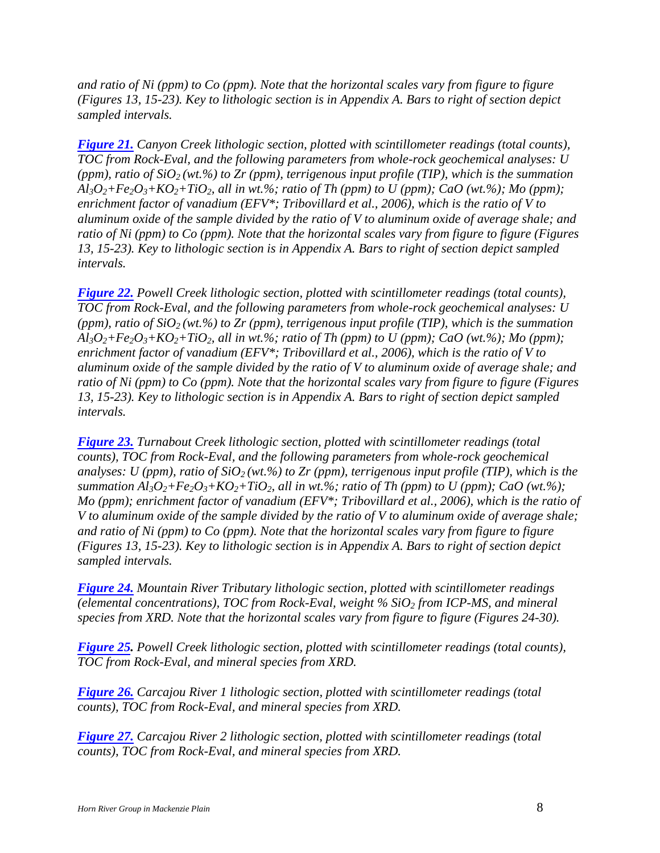*and ratio of Ni (ppm) to Co (ppm). Note that the horizontal scales vary from figure to figure (Figures 13, 15-23). Key to lithologic section is in Appendix A. Bars to right of section depict sampled intervals.* 

*Figure 21. Canyon Creek lithologic section, plotted with scintillometer readings (total counts), TOC from Rock-Eval, and the following parameters from whole-rock geochemical analyses: U*  (ppm), ratio of  $SiO<sub>2</sub>$  (wt.%) to Zr (ppm), terrigenous input profile (TIP), which is the summation  $A\ell_3O_2 + Fe_2O_3 + KO_2 + TiO_2$ , all in wt.%; ratio of Th (ppm) to U (ppm); CaO (wt.%); Mo (ppm); *enrichment factor of vanadium (EFV\*; Tribovillard et al., 2006), which is the ratio of V to aluminum oxide of the sample divided by the ratio of V to aluminum oxide of average shale; and ratio of Ni (ppm) to Co (ppm). Note that the horizontal scales vary from figure to figure (Figures 13, 15-23). Key to lithologic section is in Appendix A. Bars to right of section depict sampled intervals.* 

*Figure 22. Powell Creek lithologic section, plotted with scintillometer readings (total counts), TOC from Rock-Eval, and the following parameters from whole-rock geochemical analyses: U*  (ppm), ratio of  $SiO<sub>2</sub>$  (wt.%) to Zr (ppm), terrigenous input profile (TIP), which is the summation  $A<sub>3</sub>O<sub>2</sub>+Fe<sub>2</sub>O<sub>3</sub>+KO<sub>2</sub>+TiO<sub>2</sub>$ *, all in wt.%; ratio of Th (ppm) to U (ppm); CaO (wt.%); Mo (ppm); enrichment factor of vanadium (EFV\*; Tribovillard et al., 2006), which is the ratio of V to aluminum oxide of the sample divided by the ratio of V to aluminum oxide of average shale; and ratio of Ni (ppm) to Co (ppm). Note that the horizontal scales vary from figure to figure (Figures 13, 15-23). Key to lithologic section is in Appendix A. Bars to right of section depict sampled intervals.* 

*Figure 23. Turnabout Creek lithologic section, plotted with scintillometer readings (total counts), TOC from Rock-Eval, and the following parameters from whole-rock geochemical analyses: U (ppm), ratio of*  $SiO<sub>2</sub>$  *(wt.%) to Zr (ppm), terrigenous input profile (TIP), which is the summation Al*<sub>3</sub> $O_2$ + $Fe_2O_3$ + $KO_2$ + $TiO_2$ , all in wt.%; ratio of Th (ppm) to U (ppm); CaO (wt.%); *Mo (ppm); enrichment factor of vanadium (EFV\*; Tribovillard et al., 2006), which is the ratio of V to aluminum oxide of the sample divided by the ratio of V to aluminum oxide of average shale; and ratio of Ni (ppm) to Co (ppm). Note that the horizontal scales vary from figure to figure (Figures 13, 15-23). Key to lithologic section is in Appendix A. Bars to right of section depict sampled intervals.* 

*Figure 24. Mountain River Tributary lithologic section, plotted with scintillometer readings (elemental concentrations), TOC from Rock-Eval, weight % SiO<sup>2</sup> from ICP-MS, and mineral species from XRD. Note that the horizontal scales vary from figure to figure (Figures 24-30).* 

*Figure 25. Powell Creek lithologic section, plotted with scintillometer readings (total counts), TOC from Rock-Eval, and mineral species from XRD.* 

*Figure 26. Carcajou River 1 lithologic section, plotted with scintillometer readings (total counts), TOC from Rock-Eval, and mineral species from XRD.* 

*Figure 27. Carcajou River 2 lithologic section, plotted with scintillometer readings (total counts), TOC from Rock-Eval, and mineral species from XRD.*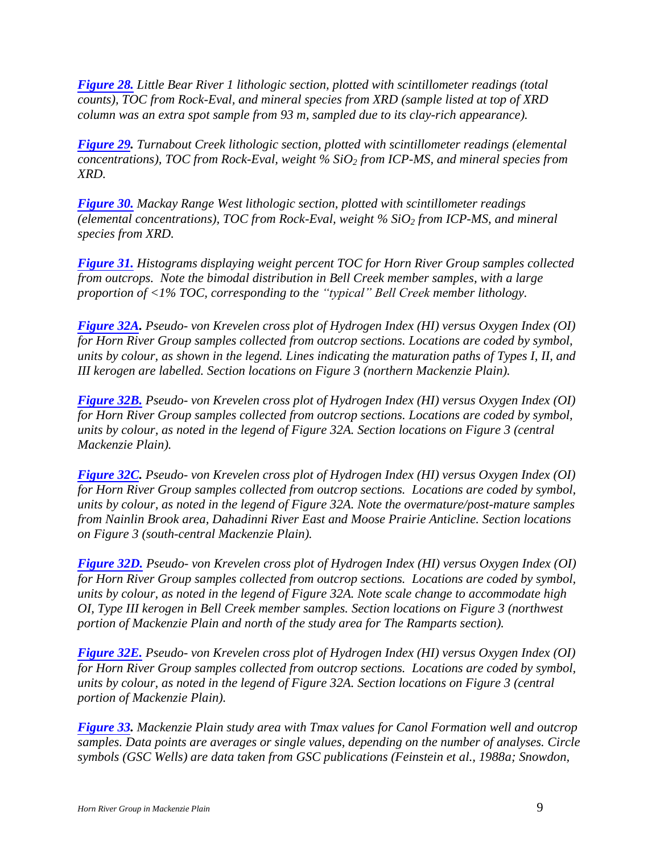*Figure 28. Little Bear River 1 lithologic section, plotted with scintillometer readings (total counts), TOC from Rock-Eval, and mineral species from XRD (sample listed at top of XRD column was an extra spot sample from 93 m, sampled due to its clay-rich appearance).* 

*Figure 29. Turnabout Creek lithologic section, plotted with scintillometer readings (elemental concentrations), TOC from Rock-Eval, weight % SiO<sup>2</sup> from ICP-MS, and mineral species from XRD.* 

*Figure 30. Mackay Range West lithologic section, plotted with scintillometer readings (elemental concentrations), TOC from Rock-Eval, weight % SiO<sup>2</sup> from ICP-MS, and mineral species from XRD.* 

*Figure 31. Histograms displaying weight percent TOC for Horn River Group samples collected from outcrops. Note the bimodal distribution in Bell Creek member samples, with a large proportion of <1% TOC, corresponding to the "typical" Bell Creek member lithology.* 

*Figure 32A. Pseudo- von Krevelen cross plot of Hydrogen Index (HI) versus Oxygen Index (OI) for Horn River Group samples collected from outcrop sections. Locations are coded by symbol, units by colour, as shown in the legend. Lines indicating the maturation paths of Types I, II, and III kerogen are labelled. Section locations on Figure 3 (northern Mackenzie Plain).* 

*Figure 32B. Pseudo- von Krevelen cross plot of Hydrogen Index (HI) versus Oxygen Index (OI) for Horn River Group samples collected from outcrop sections. Locations are coded by symbol, units by colour, as noted in the legend of Figure 32A. Section locations on Figure 3 (central Mackenzie Plain).* 

*Figure 32C. Pseudo- von Krevelen cross plot of Hydrogen Index (HI) versus Oxygen Index (OI) for Horn River Group samples collected from outcrop sections. Locations are coded by symbol, units by colour, as noted in the legend of Figure 32A. Note the overmature/post-mature samples from Nainlin Brook area, Dahadinni River East and Moose Prairie Anticline. Section locations on Figure 3 (south-central Mackenzie Plain).* 

*Figure 32D. Pseudo- von Krevelen cross plot of Hydrogen Index (HI) versus Oxygen Index (OI) for Horn River Group samples collected from outcrop sections. Locations are coded by symbol, units by colour, as noted in the legend of Figure 32A. Note scale change to accommodate high OI, Type III kerogen in Bell Creek member samples. Section locations on Figure 3 (northwest portion of Mackenzie Plain and north of the study area for The Ramparts section).* 

*Figure 32E. Pseudo- von Krevelen cross plot of Hydrogen Index (HI) versus Oxygen Index (OI) for Horn River Group samples collected from outcrop sections. Locations are coded by symbol, units by colour, as noted in the legend of Figure 32A. Section locations on Figure 3 (central portion of Mackenzie Plain).* 

*Figure 33. Mackenzie Plain study area with Tmax values for Canol Formation well and outcrop samples. Data points are averages or single values, depending on the number of analyses. Circle symbols (GSC Wells) are data taken from GSC publications (Feinstein et al., 1988a; Snowdon,*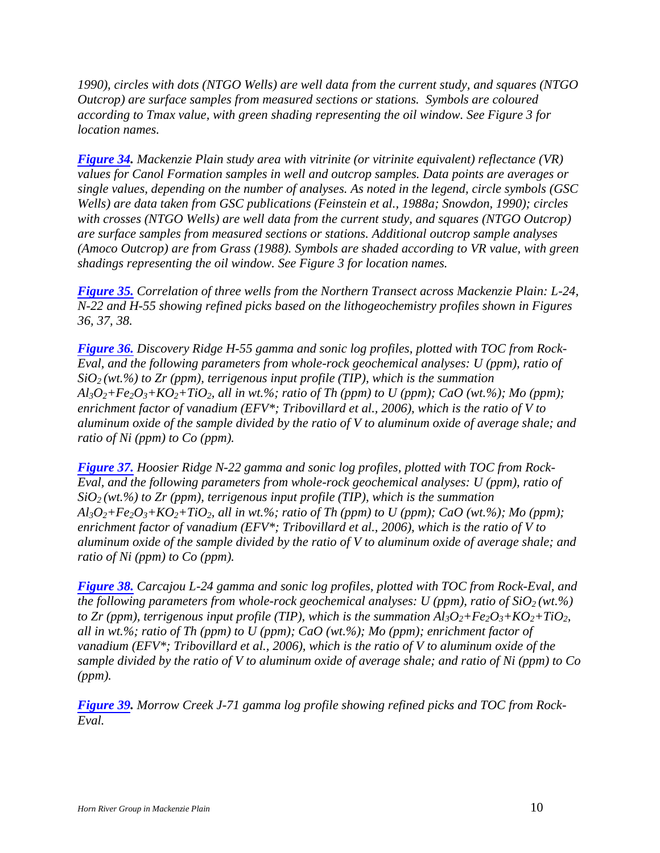*1990), circles with dots (NTGO Wells) are well data from the current study, and squares (NTGO Outcrop) are surface samples from measured sections or stations. Symbols are coloured according to Tmax value, with green shading representing the oil window. See Figure 3 for location names.* 

*Figure 34. Mackenzie Plain study area with vitrinite (or vitrinite equivalent) reflectance (VR) values for Canol Formation samples in well and outcrop samples. Data points are averages or single values, depending on the number of analyses. As noted in the legend, circle symbols (GSC Wells) are data taken from GSC publications (Feinstein et al., 1988a; Snowdon, 1990); circles with crosses (NTGO Wells) are well data from the current study, and squares (NTGO Outcrop) are surface samples from measured sections or stations. Additional outcrop sample analyses (Amoco Outcrop) are from Grass (1988). Symbols are shaded according to VR value, with green shadings representing the oil window. See Figure 3 for location names.* 

*Figure 35. Correlation of three wells from the Northern Transect across Mackenzie Plain: L-24, N-22 and H-55 showing refined picks based on the lithogeochemistry profiles shown in Figures 36, 37, 38.* 

*Figure 36. Discovery Ridge H-55 gamma and sonic log profiles, plotted with TOC from Rock-Eval, and the following parameters from whole-rock geochemical analyses: U (ppm), ratio of*   $SiO<sub>2</sub>(wt.%)$  to Zr (ppm), terrigenous input profile (TIP), which is the summation  $A l_3O_2 + Fe_2O_3 + KO_2 + TiO_2$ , all in wt.%; ratio of Th (ppm) to U (ppm); CaO (wt.%); Mo (ppm); *enrichment factor of vanadium (EFV\*; Tribovillard et al., 2006), which is the ratio of V to aluminum oxide of the sample divided by the ratio of V to aluminum oxide of average shale; and ratio of Ni (ppm) to Co (ppm).* 

*Figure 37. Hoosier Ridge N-22 gamma and sonic log profiles, plotted with TOC from Rock-Eval, and the following parameters from whole-rock geochemical analyses: U (ppm), ratio of*   $SiO<sub>2</sub>(wt.%)$  to Zr (ppm), terrigenous input profile (TIP), which is the summation  $A<sub>3</sub>O<sub>2</sub>+Fe<sub>2</sub>O<sub>3</sub>+KO<sub>2</sub>+TiO<sub>2</sub>$ *, all in wt.%; ratio of Th (ppm) to U (ppm); CaO (wt.%); Mo (ppm); enrichment factor of vanadium (EFV\*; Tribovillard et al., 2006), which is the ratio of V to aluminum oxide of the sample divided by the ratio of V to aluminum oxide of average shale; and ratio of Ni (ppm) to Co (ppm).* 

*Figure 38. Carcajou L-24 gamma and sonic log profiles, plotted with TOC from Rock-Eval, and the following parameters from whole-rock geochemical analyses: U (ppm), ratio of SiO<sub>2</sub> (wt.%) to Zr (ppm), terrigenous input profile (TIP), which is the summation*  $Al_3O_2 + Fe_2O_3 + KO_2 + TiO_2$ *, all in wt.%; ratio of Th (ppm) to U (ppm); CaO (wt.%); Mo (ppm); enrichment factor of vanadium (EFV\*; Tribovillard et al., 2006), which is the ratio of V to aluminum oxide of the sample divided by the ratio of V to aluminum oxide of average shale; and ratio of Ni (ppm) to Co (ppm).* 

*Figure 39. Morrow Creek J-71 gamma log profile showing refined picks and TOC from Rock-Eval.*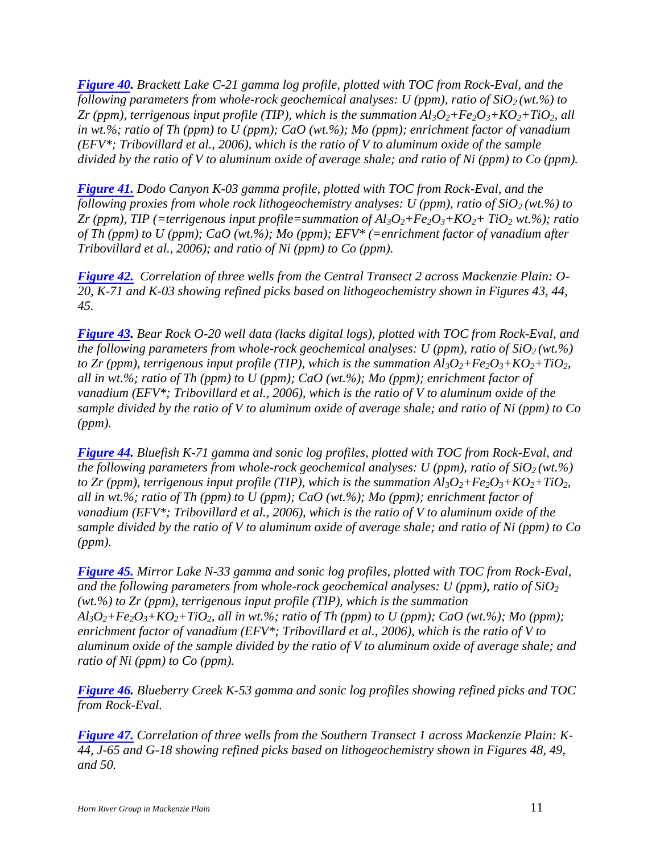*Figure 40. Brackett Lake C-21 gamma log profile, plotted with TOC from Rock-Eval, and the following parameters from whole-rock geochemical analyses: U (ppm), ratio of SiO<sub>2</sub> (wt.%) to Zr* (ppm), terrigenous input profile (TIP), which is the summation  $Al_3O_2 + Fe_2O_3 + KO_2 + TiO_2$ , all *in wt.%; ratio of Th (ppm) to U (ppm); CaO (wt.%); Mo (ppm); enrichment factor of vanadium (EFV\*; Tribovillard et al., 2006), which is the ratio of V to aluminum oxide of the sample divided by the ratio of V to aluminum oxide of average shale; and ratio of Ni (ppm) to Co (ppm).* 

*Figure 41. Dodo Canyon K-03 gamma profile, plotted with TOC from Rock-Eval, and the following proxies from whole rock lithogeochemistry analyses: U (ppm), ratio of SiO2 (wt.%) to Zr* (ppm), TIP (=terrigenous input profile=summation of  $Al_3O_2 + Fe_2O_3 + KO_2 + TiO_2$  wt.%); ratio *of Th (ppm) to U (ppm); CaO (wt.%); Mo (ppm); EFV\* (=enrichment factor of vanadium after Tribovillard et al., 2006); and ratio of Ni (ppm) to Co (ppm).* 

*Figure 42. Correlation of three wells from the Central Transect 2 across Mackenzie Plain: O-20, K-71 and K-03 showing refined picks based on lithogeochemistry shown in Figures 43, 44, 45.*

*Figure 43. Bear Rock O-20 well data (lacks digital logs), plotted with TOC from Rock-Eval, and the following parameters from whole-rock geochemical analyses: U (ppm), ratio of SiO2 (wt.%) to Zr (ppm), terrigenous input profile (TIP), which is the summation*  $Al_3O_2 + Fe_2O_3 + KO_2 + TiO_2$ *, all in wt.%; ratio of Th (ppm) to U (ppm); CaO (wt.%); Mo (ppm); enrichment factor of vanadium (EFV\*; Tribovillard et al., 2006), which is the ratio of V to aluminum oxide of the sample divided by the ratio of V to aluminum oxide of average shale; and ratio of Ni (ppm) to Co (ppm).* 

*Figure 44. Bluefish K-71 gamma and sonic log profiles, plotted with TOC from Rock-Eval, and the following parameters from whole-rock geochemical analyses: U (ppm), ratio of*  $SiO<sub>2</sub>(wt.\%)$ *to Zr (ppm), terrigenous input profile (TIP), which is the summation*  $Al_3O_2 + Fe_2O_3 + KO_2 + TiO_2$ *, all in wt.%; ratio of Th (ppm) to U (ppm); CaO (wt.%); Mo (ppm); enrichment factor of vanadium (EFV\*; Tribovillard et al., 2006), which is the ratio of V to aluminum oxide of the sample divided by the ratio of V to aluminum oxide of average shale; and ratio of Ni (ppm) to Co (ppm).* 

*Figure 45. Mirror Lake N-33 gamma and sonic log profiles, plotted with TOC from Rock-Eval,*  and the following parameters from whole-rock geochemical analyses:  $U$  (ppm), ratio of  $SiO<sub>2</sub>$ *(wt.%) to Zr (ppm), terrigenous input profile (TIP), which is the summation*   $A l_3 O_2 + Fe_2 O_3 + KO_2 + TiO_2$ , all in wt.%; ratio of Th (ppm) to U (ppm); CaO (wt.%); Mo (ppm); *enrichment factor of vanadium (EFV\*; Tribovillard et al., 2006), which is the ratio of V to aluminum oxide of the sample divided by the ratio of V to aluminum oxide of average shale; and ratio of Ni (ppm) to Co (ppm).* 

*Figure 46. Blueberry Creek K-53 gamma and sonic log profiles showing refined picks and TOC from Rock-Eval.* 

*Figure 47. Correlation of three wells from the Southern Transect 1 across Mackenzie Plain: K-44, J-65 and G-18 showing refined picks based on lithogeochemistry shown in Figures 48, 49, and 50.*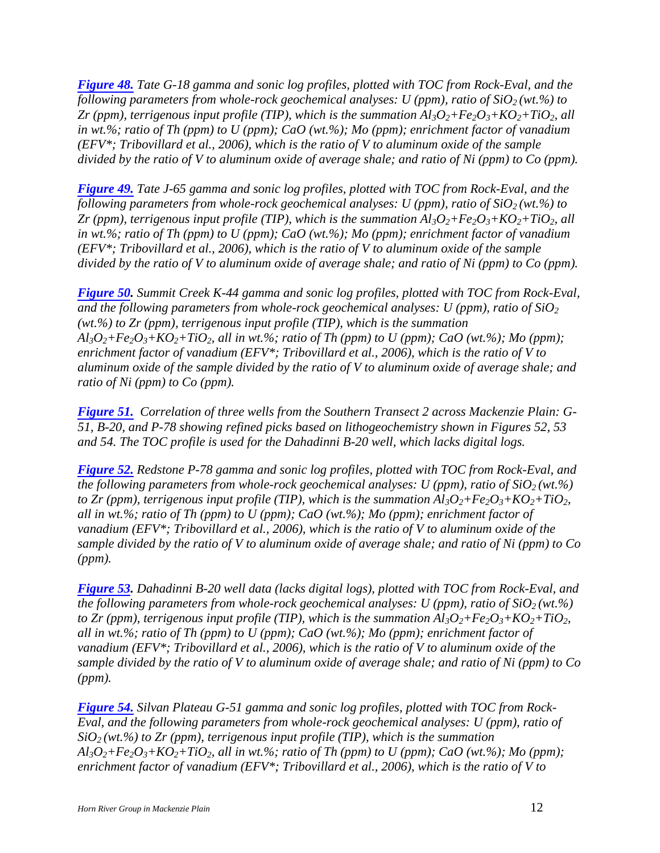*Figure 48. Tate G-18 gamma and sonic log profiles, plotted with TOC from Rock-Eval, and the following parameters from whole-rock geochemical analyses: U (ppm), ratio of SiO2 (wt.%) to Zr* (ppm), terrigenous input profile (TIP), which is the summation  $Al_3O_2 + Fe_2O_3 + KO_2 + TiO_2$ , all *in wt.%; ratio of Th (ppm) to U (ppm); CaO (wt.%); Mo (ppm); enrichment factor of vanadium (EFV\*; Tribovillard et al., 2006), which is the ratio of V to aluminum oxide of the sample divided by the ratio of V to aluminum oxide of average shale; and ratio of Ni (ppm) to Co (ppm).* 

*Figure 49. Tate J-65 gamma and sonic log profiles, plotted with TOC from Rock-Eval, and the following parameters from whole-rock geochemical analyses: U (ppm), ratio of SiO2 (wt.%) to Zr* (ppm), terrigenous input profile (TIP), which is the summation  $Al_3O_2 + Fe_2O_3 + KO_2 + TiO_2$ , all *in wt.%; ratio of Th (ppm) to U (ppm); CaO (wt.%); Mo (ppm); enrichment factor of vanadium (EFV\*; Tribovillard et al., 2006), which is the ratio of V to aluminum oxide of the sample divided by the ratio of V to aluminum oxide of average shale; and ratio of Ni (ppm) to Co (ppm).* 

*Figure 50. Summit Creek K-44 gamma and sonic log profiles, plotted with TOC from Rock-Eval, and the following parameters from whole-rock geochemical analyses: U (ppm), ratio of SiO<sup>2</sup> (wt.%) to Zr (ppm), terrigenous input profile (TIP), which is the summation*   $A<sub>3</sub>O<sub>2</sub>+Fe<sub>2</sub>O<sub>3</sub>+KO<sub>2</sub>+TiO<sub>2</sub>$ *, all in wt.%; ratio of Th (ppm) to U (ppm); CaO (wt.%); Mo (ppm); enrichment factor of vanadium (EFV\*; Tribovillard et al., 2006), which is the ratio of V to aluminum oxide of the sample divided by the ratio of V to aluminum oxide of average shale; and ratio of Ni (ppm) to Co (ppm).* 

*Figure 51. Correlation of three wells from the Southern Transect 2 across Mackenzie Plain: G-51, B-20, and P-78 showing refined picks based on lithogeochemistry shown in Figures 52, 53 and 54. The TOC profile is used for the Dahadinni B-20 well, which lacks digital logs.* 

*Figure 52. Redstone P-78 gamma and sonic log profiles, plotted with TOC from Rock-Eval, and the following parameters from whole-rock geochemical analyses: U (ppm), ratio of*  $SiO<sub>2</sub>(wt.\%)$ *to Zr (ppm), terrigenous input profile (TIP), which is the summation*  $Al_3O_2 + Fe_2O_3 + KO_2 + TiO_2$ *, all in wt.%; ratio of Th (ppm) to U (ppm); CaO (wt.%); Mo (ppm); enrichment factor of vanadium (EFV\*; Tribovillard et al., 2006), which is the ratio of V to aluminum oxide of the sample divided by the ratio of V to aluminum oxide of average shale; and ratio of Ni (ppm) to Co (ppm).* 

*Figure 53. Dahadinni B-20 well data (lacks digital logs), plotted with TOC from Rock-Eval, and the following parameters from whole-rock geochemical analyses: U (ppm), ratio of*  $SiO<sub>2</sub>(wt.^{\%})$ *to Zr (ppm), terrigenous input profile (TIP), which is the summation*  $Al_3O_2 + Fe_2O_3 + KO_2 + TiO_2$ *, all in wt.%; ratio of Th (ppm) to U (ppm); CaO (wt.%); Mo (ppm); enrichment factor of vanadium (EFV\*; Tribovillard et al., 2006), which is the ratio of V to aluminum oxide of the sample divided by the ratio of V to aluminum oxide of average shale; and ratio of Ni (ppm) to Co (ppm).* 

*Figure 54. Silvan Plateau G-51 gamma and sonic log profiles, plotted with TOC from Rock-Eval, and the following parameters from whole-rock geochemical analyses: U (ppm), ratio of*   $SiO<sub>2</sub>(wt.\%)$  to Zr (ppm), terrigenous input profile (TIP), which is the summation  $A$ l<sub>3</sub> $O$ <sub>2</sub>+Fe<sub>2</sub> $O$ <sub>3</sub>+KO<sub>2</sub>+TiO<sub>2</sub>, all in wt.%; ratio of Th (ppm) to U (ppm); CaO (wt.%); Mo (ppm); *enrichment factor of vanadium (EFV\*; Tribovillard et al., 2006), which is the ratio of V to*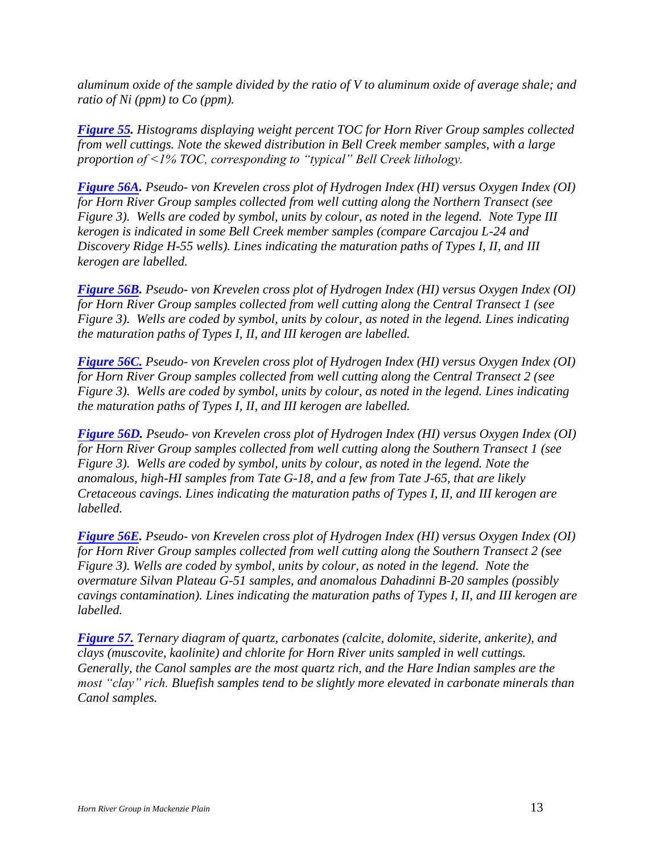*aluminum oxide of the sample divided by the ratio of V to aluminum oxide of average shale; and ratio of Ni (ppm) to Co (ppm).* 

*Figure 55. Histograms displaying weight percent TOC for Horn River Group samples collected from well cuttings. Note the skewed distribution in Bell Creek member samples, with a large proportion of <1% TOC, corresponding to "typical" Bell Creek lithology.*

*Figure 56A. Pseudo- von Krevelen cross plot of Hydrogen Index (HI) versus Oxygen Index (OI) for Horn River Group samples collected from well cutting along the Northern Transect (see Figure 3). Wells are coded by symbol, units by colour, as noted in the legend. Note Type III kerogen is indicated in some Bell Creek member samples (compare Carcajou L-24 and Discovery Ridge H-55 wells). Lines indicating the maturation paths of Types I, II, and III kerogen are labelled.* 

*Figure 56B. Pseudo- von Krevelen cross plot of Hydrogen Index (HI) versus Oxygen Index (OI) for Horn River Group samples collected from well cutting along the Central Transect 1 (see Figure 3). Wells are coded by symbol, units by colour, as noted in the legend. Lines indicating the maturation paths of Types I, II, and III kerogen are labelled.* 

*Figure 56C. Pseudo- von Krevelen cross plot of Hydrogen Index (HI) versus Oxygen Index (OI) for Horn River Group samples collected from well cutting along the Central Transect 2 (see Figure 3). Wells are coded by symbol, units by colour, as noted in the legend. Lines indicating the maturation paths of Types I, II, and III kerogen are labelled.* 

*Figure 56D. Pseudo- von Krevelen cross plot of Hydrogen Index (HI) versus Oxygen Index (OI) for Horn River Group samples collected from well cutting along the Southern Transect 1 (see Figure 3). Wells are coded by symbol, units by colour, as noted in the legend. Note the anomalous, high-HI samples from Tate G-18, and a few from Tate J-65, that are likely Cretaceous cavings. Lines indicating the maturation paths of Types I, II, and III kerogen are labelled.* 

*Figure 56E. Pseudo- von Krevelen cross plot of Hydrogen Index (HI) versus Oxygen Index (OI) for Horn River Group samples collected from well cutting along the Southern Transect 2 (see Figure 3). Wells are coded by symbol, units by colour, as noted in the legend. Note the overmature Silvan Plateau G-51 samples, and anomalous Dahadinni B-20 samples (possibly cavings contamination). Lines indicating the maturation paths of Types I, II, and III kerogen are labelled.* 

*Figure 57. Ternary diagram of quartz, carbonates (calcite, dolomite, siderite, ankerite), and clays (muscovite, kaolinite) and chlorite for Horn River units sampled in well cuttings. Generally, the Canol samples are the most quartz rich, and the Hare Indian samples are the most "clay" rich. Bluefish samples tend to be slightly more elevated in carbonate minerals than Canol samples.*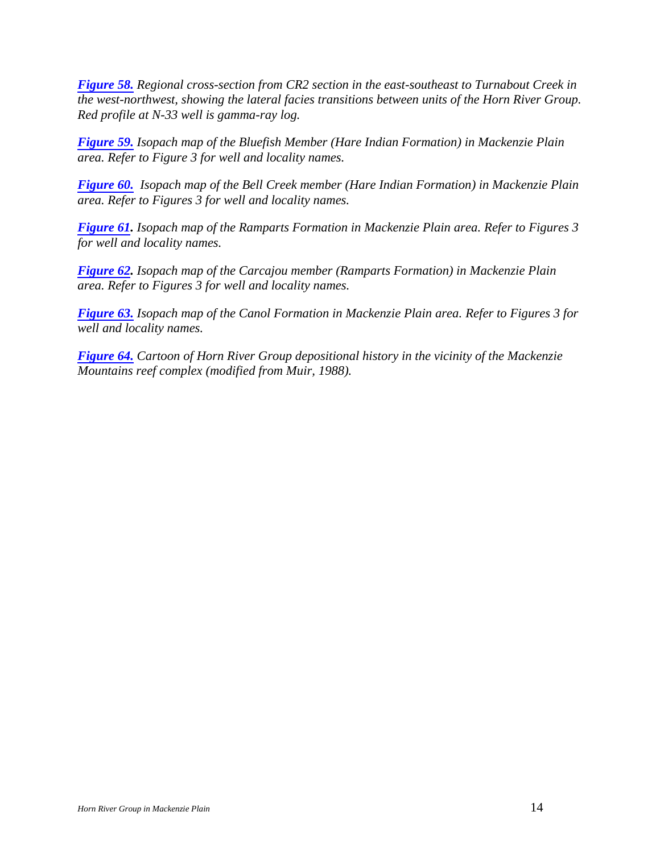*Figure 58. Regional cross-section from CR2 section in the east-southeast to Turnabout Creek in the west-northwest, showing the lateral facies transitions between units of the Horn River Group. Red profile at N-33 well is gamma-ray log.* 

*Figure 59. Isopach map of the Bluefish Member (Hare Indian Formation) in Mackenzie Plain area. Refer to Figure 3 for well and locality names.* 

*Figure 60. Isopach map of the Bell Creek member (Hare Indian Formation) in Mackenzie Plain area. Refer to Figures 3 for well and locality names.* 

*Figure 61. Isopach map of the Ramparts Formation in Mackenzie Plain area. Refer to Figures 3 for well and locality names.* 

*Figure 62. Isopach map of the Carcajou member (Ramparts Formation) in Mackenzie Plain area. Refer to Figures 3 for well and locality names.* 

*Figure 63. Isopach map of the Canol Formation in Mackenzie Plain area. Refer to Figures 3 for well and locality names.* 

*Figure 64. Cartoon of Horn River Group depositional history in the vicinity of the Mackenzie Mountains reef complex (modified from Muir, 1988).*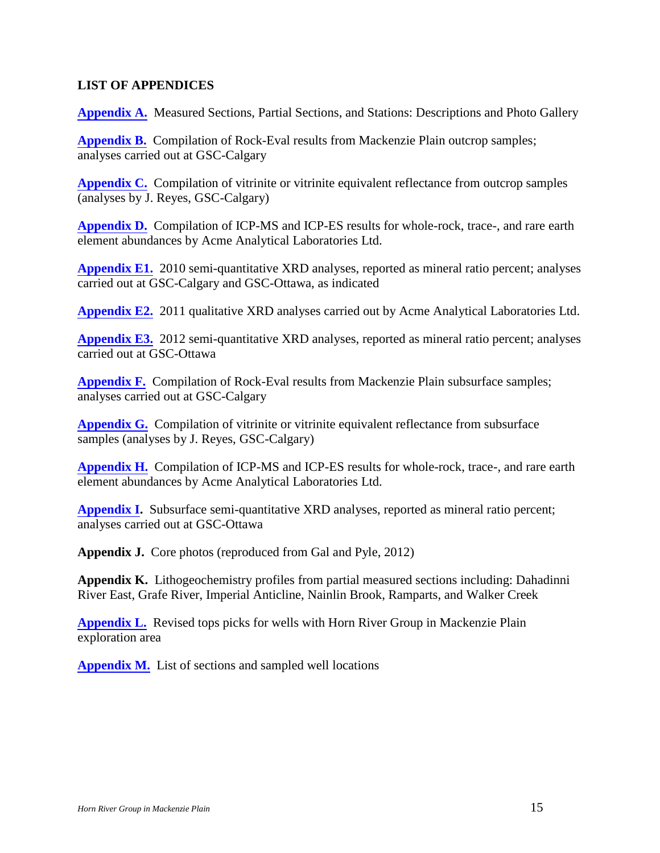#### <span id="page-14-0"></span>**LIST OF APPENDICES**

**Appendix A.** Measured Sections, Partial Sections, and Stations: Descriptions and Photo Gallery

**Appendix B.** Compilation of Rock-Eval results from Mackenzie Plain outcrop samples; analyses carried out at GSC-Calgary

**Appendix C.** Compilation of vitrinite or vitrinite equivalent reflectance from outcrop samples (analyses by J. Reyes, GSC-Calgary)

**Appendix D.** Compilation of ICP-MS and ICP-ES results for whole-rock, trace-, and rare earth element abundances by Acme Analytical Laboratories Ltd.

**Appendix E1.** 2010 semi-quantitative XRD analyses, reported as mineral ratio percent; analyses carried out at GSC-Calgary and GSC-Ottawa, as indicated

**Appendix E2.** 2011 qualitative XRD analyses carried out by Acme Analytical Laboratories Ltd.

**Appendix E3.** 2012 semi-quantitative XRD analyses, reported as mineral ratio percent; analyses carried out at GSC-Ottawa

**Appendix F.** Compilation of Rock-Eval results from Mackenzie Plain subsurface samples; analyses carried out at GSC-Calgary

**Appendix G.** Compilation of vitrinite or vitrinite equivalent reflectance from subsurface samples (analyses by J. Reyes, GSC-Calgary)

**Appendix H.** Compilation of ICP-MS and ICP-ES results for whole-rock, trace-, and rare earth element abundances by Acme Analytical Laboratories Ltd.

**Appendix I.** Subsurface semi-quantitative XRD analyses, reported as mineral ratio percent; analyses carried out at GSC-Ottawa

**Appendix J.** Core photos (reproduced from Gal and Pyle, 2012)

**Appendix K.** Lithogeochemistry profiles from partial measured sections including: Dahadinni River East, Grafe River, Imperial Anticline, Nainlin Brook, Ramparts, and Walker Creek

**Appendix L.** Revised tops picks for wells with Horn River Group in Mackenzie Plain exploration area

**Appendix M.** List of sections and sampled well locations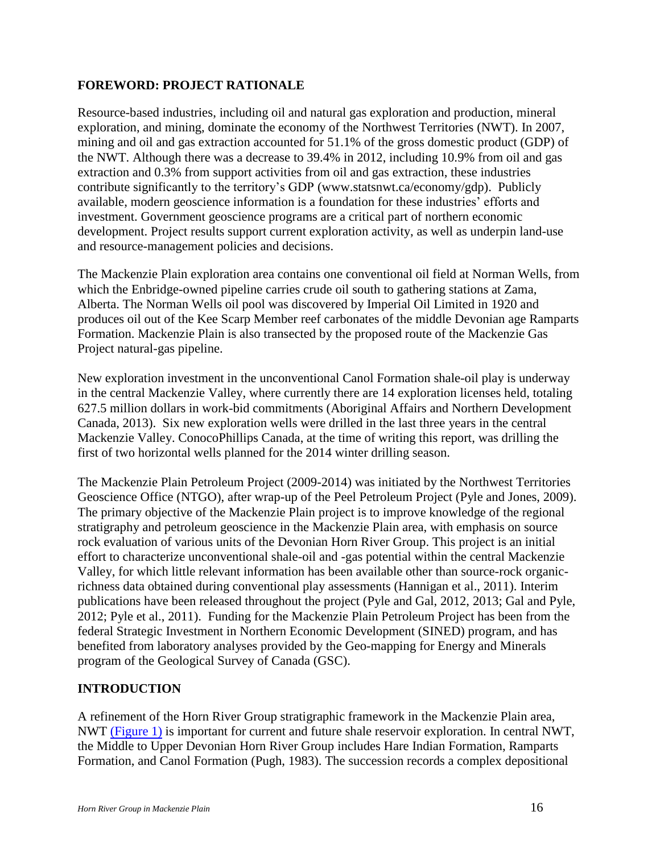## <span id="page-15-0"></span>**FOREWORD: PROJECT RATIONALE**

Resource-based industries, including oil and natural gas exploration and production, mineral exploration, and mining, dominate the economy of the Northwest Territories (NWT). In 2007, mining and oil and gas extraction accounted for 51.1% of the gross domestic product (GDP) of the NWT. Although there was a decrease to 39.4% in 2012, including 10.9% from oil and gas extraction and 0.3% from support activities from oil and gas extraction, these industries contribute significantly to the territory's GDP (www.statsnwt.ca/economy/gdp). Publicly available, modern geoscience information is a foundation for these industries' efforts and investment. Government geoscience programs are a critical part of northern economic development. Project results support current exploration activity, as well as underpin land-use and resource-management policies and decisions.

The Mackenzie Plain exploration area contains one conventional oil field at Norman Wells, from which the Enbridge-owned pipeline carries crude oil south to gathering stations at Zama, Alberta. The Norman Wells oil pool was discovered by Imperial Oil Limited in 1920 and produces oil out of the Kee Scarp Member reef carbonates of the middle Devonian age Ramparts Formation. Mackenzie Plain is also transected by the proposed route of the Mackenzie Gas Project natural-gas pipeline.

New exploration investment in the unconventional Canol Formation shale-oil play is underway in the central Mackenzie Valley, where currently there are 14 exploration licenses held, totaling 627.5 million dollars in work-bid commitments (Aboriginal Affairs and Northern Development Canada, 2013). Six new exploration wells were drilled in the last three years in the central Mackenzie Valley. ConocoPhillips Canada, at the time of writing this report, was drilling the first of two horizontal wells planned for the 2014 winter drilling season.

The Mackenzie Plain Petroleum Project (2009-2014) was initiated by the Northwest Territories Geoscience Office (NTGO), after wrap-up of the Peel Petroleum Project (Pyle and Jones, 2009). The primary objective of the Mackenzie Plain project is to improve knowledge of the regional stratigraphy and petroleum geoscience in the Mackenzie Plain area, with emphasis on source rock evaluation of various units of the Devonian Horn River Group. This project is an initial effort to characterize unconventional shale-oil and -gas potential within the central Mackenzie Valley, for which little relevant information has been available other than source-rock organicrichness data obtained during conventional play assessments (Hannigan et al., 2011). Interim publications have been released throughout the project (Pyle and Gal, 2012, 2013; Gal and Pyle, 2012; Pyle et al., 2011). Funding for the Mackenzie Plain Petroleum Project has been from the federal Strategic Investment in Northern Economic Development (SINED) program, and has benefited from laboratory analyses provided by the Geo-mapping for Energy and Minerals program of the Geological Survey of Canada (GSC).

#### <span id="page-15-1"></span>**INTRODUCTION**

A refinement of the Horn River Group stratigraphic framework in the Mackenzie Plain area, NWT (Figure 1) is important for current and future shale reservoir exploration. In central NWT, the Middle to Upper Devonian Horn River Group includes Hare Indian Formation, Ramparts Formation, and Canol Formation (Pugh, 1983). The succession records a complex depositional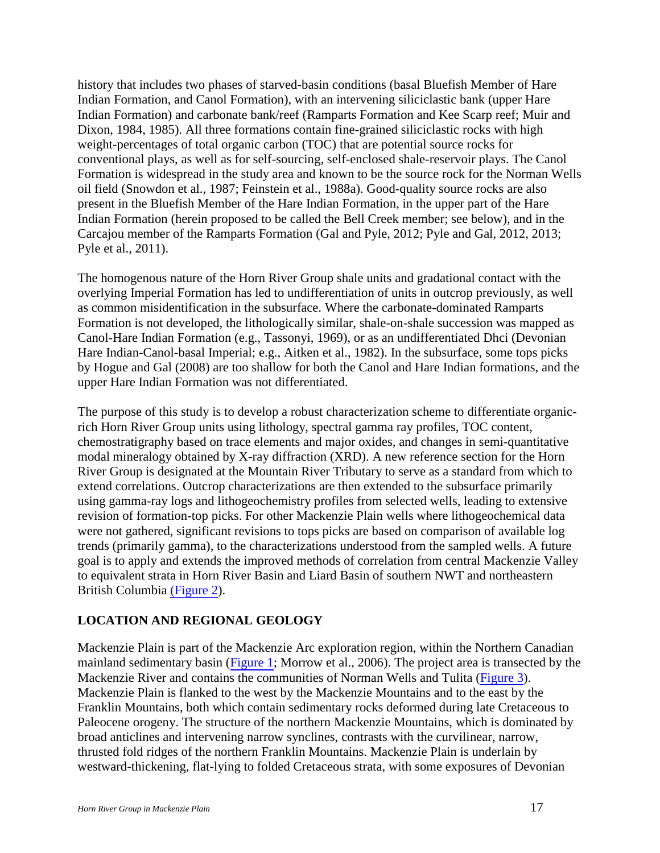history that includes two phases of starved-basin conditions (basal Bluefish Member of Hare Indian Formation, and Canol Formation), with an intervening siliciclastic bank (upper Hare Indian Formation) and carbonate bank/reef (Ramparts Formation and Kee Scarp reef; Muir and Dixon, 1984, 1985). All three formations contain fine-grained siliciclastic rocks with high weight-percentages of total organic carbon (TOC) that are potential source rocks for conventional plays, as well as for self-sourcing, self-enclosed shale-reservoir plays. The Canol Formation is widespread in the study area and known to be the source rock for the Norman Wells oil field (Snowdon et al., 1987; Feinstein et al., 1988a). Good-quality source rocks are also present in the Bluefish Member of the Hare Indian Formation, in the upper part of the Hare Indian Formation (herein proposed to be called the Bell Creek member; see below), and in the Carcajou member of the Ramparts Formation (Gal and Pyle, 2012; Pyle and Gal, 2012, 2013; Pyle et al., 2011).

The homogenous nature of the Horn River Group shale units and gradational contact with the overlying Imperial Formation has led to undifferentiation of units in outcrop previously, as well as common misidentification in the subsurface. Where the carbonate-dominated Ramparts Formation is not developed, the lithologically similar, shale-on-shale succession was mapped as Canol-Hare Indian Formation (e.g., Tassonyi, 1969), or as an undifferentiated Dhci (Devonian Hare Indian-Canol-basal Imperial; e.g., Aitken et al., 1982). In the subsurface, some tops picks by Hogue and Gal (2008) are too shallow for both the Canol and Hare Indian formations, and the upper Hare Indian Formation was not differentiated.

The purpose of this study is to develop a robust characterization scheme to differentiate organicrich Horn River Group units using lithology, spectral gamma ray profiles, TOC content, chemostratigraphy based on trace elements and major oxides, and changes in semi-quantitative modal mineralogy obtained by X-ray diffraction (XRD). A new reference section for the Horn River Group is designated at the Mountain River Tributary to serve as a standard from which to extend correlations. Outcrop characterizations are then extended to the subsurface primarily using gamma-ray logs and lithogeochemistry profiles from selected wells, leading to extensive revision of formation-top picks. For other Mackenzie Plain wells where lithogeochemical data were not gathered, significant revisions to tops picks are based on comparison of available log trends (primarily gamma), to the characterizations understood from the sampled wells. A future goal is to apply and extends the improved methods of correlation from central Mackenzie Valley to equivalent strata in Horn River Basin and Liard Basin of southern NWT and northeastern British Columbia (Figure 2).

## <span id="page-16-0"></span>**LOCATION AND REGIONAL GEOLOGY**

Mackenzie Plain is part of the Mackenzie Arc exploration region, within the Northern Canadian mainland sedimentary basin (Figure 1; Morrow et al., 2006). The project area is transected by the Mackenzie River and contains the communities of Norman Wells and Tulita (Figure 3). Mackenzie Plain is flanked to the west by the Mackenzie Mountains and to the east by the Franklin Mountains, both which contain sedimentary rocks deformed during late Cretaceous to Paleocene orogeny. The structure of the northern Mackenzie Mountains, which is dominated by broad anticlines and intervening narrow synclines, contrasts with the curvilinear, narrow, thrusted fold ridges of the northern Franklin Mountains. Mackenzie Plain is underlain by westward-thickening, flat-lying to folded Cretaceous strata, with some exposures of Devonian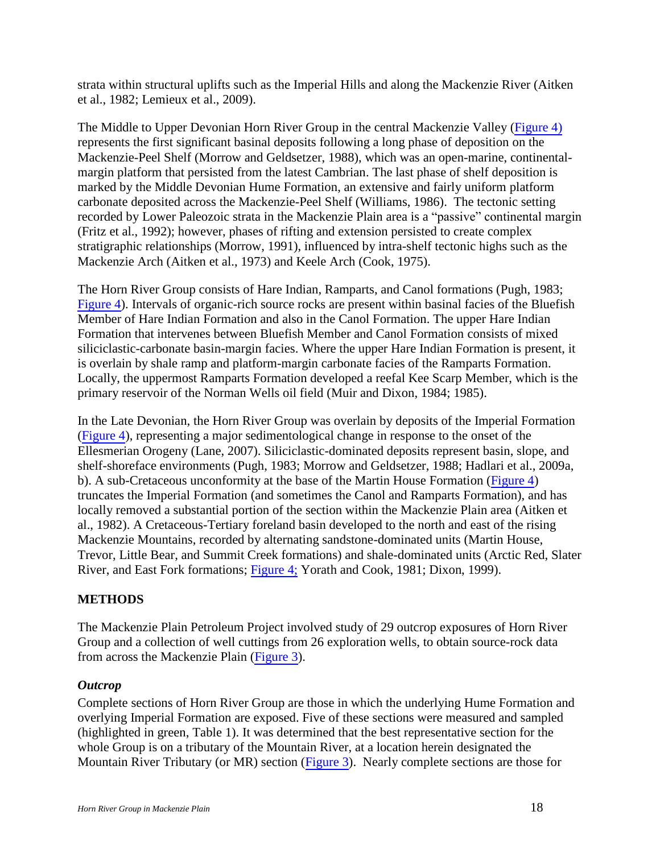strata within structural uplifts such as the Imperial Hills and along the Mackenzie River (Aitken et al., 1982; Lemieux et al., 2009).

The Middle to Upper Devonian Horn River Group in the central Mackenzie Valley (Figure 4) represents the first significant basinal deposits following a long phase of deposition on the Mackenzie-Peel Shelf (Morrow and Geldsetzer, 1988), which was an open-marine, continentalmargin platform that persisted from the latest Cambrian. The last phase of shelf deposition is marked by the Middle Devonian Hume Formation, an extensive and fairly uniform platform carbonate deposited across the Mackenzie-Peel Shelf (Williams, 1986). The tectonic setting recorded by Lower Paleozoic strata in the Mackenzie Plain area is a "passive" continental margin (Fritz et al., 1992); however, phases of rifting and extension persisted to create complex stratigraphic relationships (Morrow, 1991), influenced by intra-shelf tectonic highs such as the Mackenzie Arch (Aitken et al., 1973) and Keele Arch (Cook, 1975).

The Horn River Group consists of Hare Indian, Ramparts, and Canol formations (Pugh, 1983; Figure 4). Intervals of organic-rich source rocks are present within basinal facies of the Bluefish Member of Hare Indian Formation and also in the Canol Formation. The upper Hare Indian Formation that intervenes between Bluefish Member and Canol Formation consists of mixed siliciclastic-carbonate basin-margin facies. Where the upper Hare Indian Formation is present, it is overlain by shale ramp and platform-margin carbonate facies of the Ramparts Formation. Locally, the uppermost Ramparts Formation developed a reefal Kee Scarp Member, which is the primary reservoir of the Norman Wells oil field (Muir and Dixon, 1984; 1985).

In the Late Devonian, the Horn River Group was overlain by deposits of the Imperial Formation (Figure 4), representing a major sedimentological change in response to the onset of the Ellesmerian Orogeny (Lane, 2007). Siliciclastic-dominated deposits represent basin, slope, and shelf-shoreface environments (Pugh, 1983; Morrow and Geldsetzer, 1988; Hadlari et al., 2009a, b). A sub-Cretaceous unconformity at the base of the Martin House Formation (Figure 4) truncates the Imperial Formation (and sometimes the Canol and Ramparts Formation), and has locally removed a substantial portion of the section within the Mackenzie Plain area (Aitken et al., 1982). A Cretaceous-Tertiary foreland basin developed to the north and east of the rising Mackenzie Mountains, recorded by alternating sandstone-dominated units (Martin House, Trevor, Little Bear, and Summit Creek formations) and shale-dominated units (Arctic Red, Slater River, and East Fork formations; Figure 4; Yorath and Cook, 1981; Dixon, 1999).

## <span id="page-17-0"></span>**METHODS**

The Mackenzie Plain Petroleum Project involved study of 29 outcrop exposures of Horn River Group and a collection of well cuttings from 26 exploration wells, to obtain source-rock data from across the Mackenzie Plain (Figure 3).

## <span id="page-17-1"></span>*Outcrop*

Complete sections of Horn River Group are those in which the underlying Hume Formation and overlying Imperial Formation are exposed. Five of these sections were measured and sampled (highlighted in green, Table 1). It was determined that the best representative section for the whole Group is on a tributary of the Mountain River, at a location herein designated the Mountain River Tributary (or MR) section (Figure 3). Nearly complete sections are those for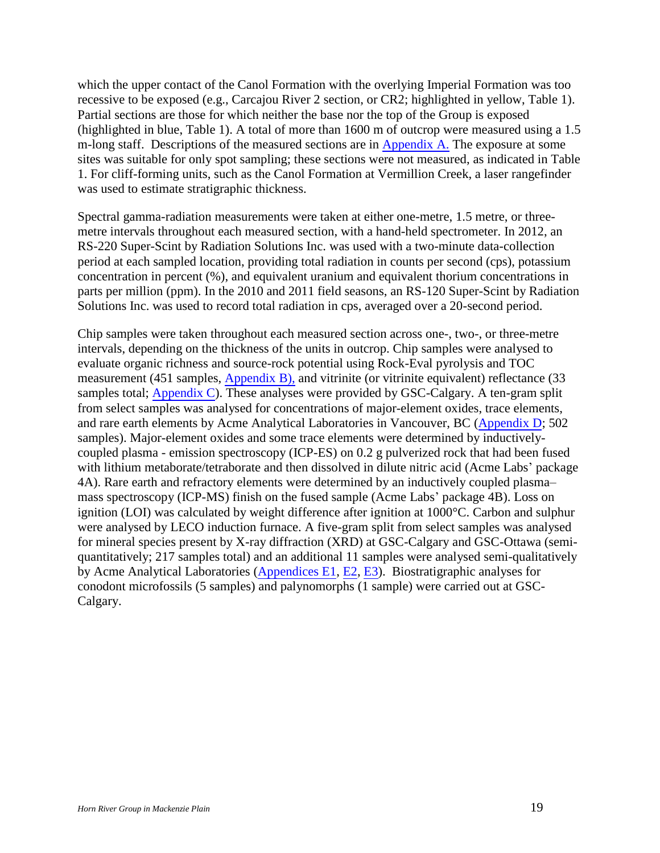which the upper contact of the Canol Formation with the overlying Imperial Formation was too recessive to be exposed (e.g., Carcajou River 2 section, or CR2; highlighted in yellow, Table 1). Partial sections are those for which neither the base nor the top of the Group is exposed (highlighted in blue, Table 1). A total of more than 1600 m of outcrop were measured using a 1.5 m-long staff. Descriptions of the measured sections are in Appendix A. The exposure at some sites was suitable for only spot sampling; these sections were not measured, as indicated in Table 1. For cliff-forming units, such as the Canol Formation at Vermillion Creek, a laser rangefinder was used to estimate stratigraphic thickness.

Spectral gamma-radiation measurements were taken at either one-metre, 1.5 metre, or threemetre intervals throughout each measured section, with a hand-held spectrometer. In 2012, an RS-220 Super-Scint by Radiation Solutions Inc. was used with a two-minute data-collection period at each sampled location, providing total radiation in counts per second (cps), potassium concentration in percent (%), and equivalent uranium and equivalent thorium concentrations in parts per million (ppm). In the 2010 and 2011 field seasons, an RS-120 Super-Scint by Radiation Solutions Inc. was used to record total radiation in cps, averaged over a 20-second period.

Chip samples were taken throughout each measured section across one-, two-, or three-metre intervals, depending on the thickness of the units in outcrop. Chip samples were analysed to evaluate organic richness and source-rock potential using Rock-Eval pyrolysis and TOC measurement (451 samples, Appendix B), and vitrinite (or vitrinite equivalent) reflectance (33 samples total; Appendix C). These analyses were provided by GSC-Calgary. A ten-gram split from select samples was analysed for concentrations of major-element oxides, trace elements, and rare earth elements by Acme Analytical Laboratories in Vancouver, BC (Appendix D; 502 samples). Major-element oxides and some trace elements were determined by inductivelycoupled plasma - emission spectroscopy (ICP-ES) on 0.2 g pulverized rock that had been fused with lithium metaborate/tetraborate and then dissolved in dilute nitric acid (Acme Labs' package 4A). Rare earth and refractory elements were determined by an inductively coupled plasma– mass spectroscopy (ICP-MS) finish on the fused sample (Acme Labs' package 4B). Loss on ignition (LOI) was calculated by weight difference after ignition at 1000°C. Carbon and sulphur were analysed by LECO induction furnace. A five-gram split from select samples was analysed for mineral species present by X-ray diffraction (XRD) at GSC-Calgary and GSC-Ottawa (semiquantitatively; 217 samples total) and an additional 11 samples were analysed semi-qualitatively by Acme Analytical Laboratories (Appendices E1, E2, E3). Biostratigraphic analyses for conodont microfossils (5 samples) and palynomorphs (1 sample) were carried out at GSC-Calgary.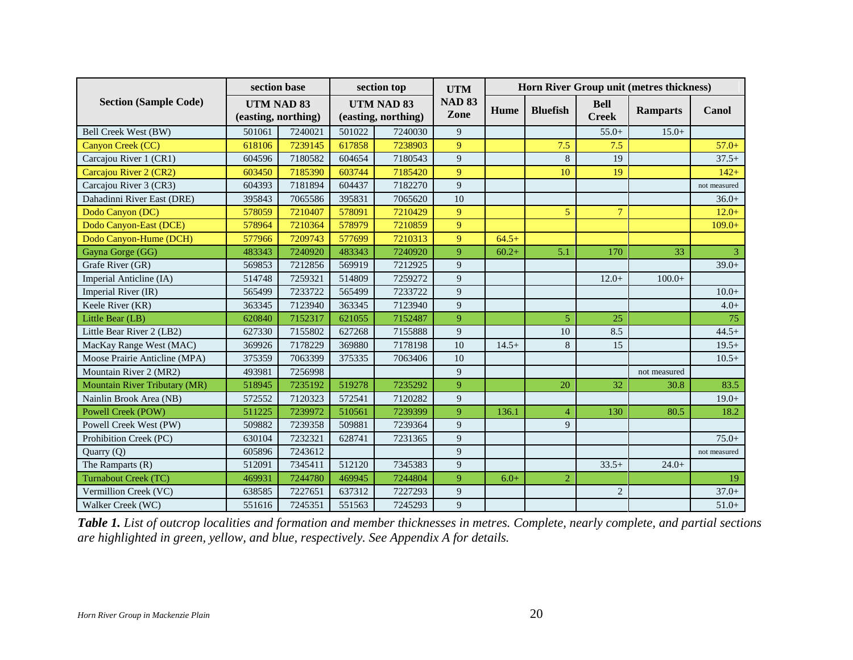|                               | section base                      |         |        | section top                                                | <b>UTM</b>  | Horn River Group unit (metres thickness) |                 |                             |                 |              |
|-------------------------------|-----------------------------------|---------|--------|------------------------------------------------------------|-------------|------------------------------------------|-----------------|-----------------------------|-----------------|--------------|
| <b>Section (Sample Code)</b>  | UTM NAD 83<br>(easting, northing) |         |        | <b>NAD 83</b><br>UTM NAD 83<br>Zone<br>(easting, northing) |             | Hume                                     | <b>Bluefish</b> | <b>Bell</b><br><b>Creek</b> | <b>Ramparts</b> | Canol        |
| Bell Creek West (BW)          | 501061                            | 7240021 | 501022 | 7240030                                                    | 9           |                                          |                 | $55.0+$                     | $15.0+$         |              |
| Canyon Creek (CC)             | 618106                            | 7239145 | 617858 | 7238903                                                    | 9           |                                          | 7.5             | 7.5                         |                 | $57.0+$      |
| Carcajou River 1 (CR1)        | 604596                            | 7180582 | 604654 | 7180543                                                    | 9           |                                          | 8               | 19                          |                 | $37.5+$      |
| Carcajou River 2 (CR2)        | 603450                            | 7185390 | 603744 | 7185420                                                    | 9           |                                          | 10              | 19                          |                 | $142+$       |
| Carcajou River 3 (CR3)        | 604393                            | 7181894 | 604437 | 7182270                                                    | $\mathbf Q$ |                                          |                 |                             |                 | not measured |
| Dahadinni River East (DRE)    | 395843                            | 7065586 | 395831 | 7065620                                                    | 10          |                                          |                 |                             |                 | $36.0+$      |
| Dodo Canyon (DC)              | 578059                            | 7210407 | 578091 | 7210429                                                    | 9           |                                          | 5               | $\overline{7}$              |                 | $12.0+$      |
| Dodo Canyon-East (DCE)        | 578964                            | 7210364 | 578979 | 7210859                                                    | 9           |                                          |                 |                             |                 | $109.0+$     |
| Dodo Canyon-Hume (DCH)        | 577966                            | 7209743 | 577699 | 7210313                                                    | 9           | $64.5+$                                  |                 |                             |                 |              |
| Gayna Gorge (GG)              | 483343                            | 7240920 | 483343 | 7240920                                                    | 9           | $60.2+$                                  | 5.1             | 170                         | 33              |              |
| Grafe River (GR)              | 569853                            | 7212856 | 569919 | 7212925                                                    | 9           |                                          |                 |                             |                 | $39.0+$      |
| Imperial Anticline (IA)       | 514748                            | 7259321 | 514809 | 7259272                                                    | 9           |                                          |                 | $12.0+$                     | $100.0+$        |              |
| Imperial River (IR)           | 565499                            | 7233722 | 565499 | 7233722                                                    | 9           |                                          |                 |                             |                 | $10.0+$      |
| Keele River (KR)              | 363345                            | 7123940 | 363345 | 7123940                                                    | 9           |                                          |                 |                             |                 | $4.0+$       |
| Little Bear (LB)              | 620840                            | 7152317 | 621055 | 7152487                                                    | 9           |                                          | 5               | 25                          |                 | 75           |
| Little Bear River 2 (LB2)     | 627330                            | 7155802 | 627268 | 7155888                                                    | 9           |                                          | 10              | 8.5                         |                 | $44.5+$      |
| MacKay Range West (MAC)       | 369926                            | 7178229 | 369880 | 7178198                                                    | 10          | $14.5+$                                  | 8               | 15                          |                 | $19.5+$      |
| Moose Prairie Anticline (MPA) | 375359                            | 7063399 | 375335 | 7063406                                                    | 10          |                                          |                 |                             |                 | $10.5+$      |
| Mountain River 2 (MR2)        | 493981                            | 7256998 |        |                                                            | 9           |                                          |                 |                             | not measured    |              |
| Mountain River Tributary (MR) | 518945                            | 7235192 | 519278 | 7235292                                                    | 9           |                                          | 20              | 32                          | 30.8            | 83.5         |
| Nainlin Brook Area (NB)       | 572552                            | 7120323 | 572541 | 7120282                                                    | 9           |                                          |                 |                             |                 | $19.0+$      |
| Powell Creek (POW)            | 511225                            | 7239972 | 510561 | 7239399                                                    | 9           | 136.1                                    | $\overline{4}$  | 130                         | 80.5            | 18.2         |
| Powell Creek West (PW)        | 509882                            | 7239358 | 509881 | 7239364                                                    | 9           |                                          | 9               |                             |                 |              |
| Prohibition Creek (PC)        | 630104                            | 7232321 | 628741 | 7231365                                                    | 9           |                                          |                 |                             |                 | $75.0+$      |
| Quarry (Q)                    | 605896                            | 7243612 |        |                                                            | 9           |                                          |                 |                             |                 | not measured |
| The Ramparts (R)              | 512091                            | 7345411 | 512120 | 7345383                                                    | 9           |                                          |                 | $33.5+$                     | $24.0+$         |              |
| Turnabout Creek (TC)          | 469931                            | 7244780 | 469945 | 7244804                                                    | 9           | $6.0+$                                   | $\overline{2}$  |                             |                 | 19           |
| Vermillion Creek (VC)         | 638585                            | 7227651 | 637312 | 7227293                                                    | 9           |                                          |                 | $\overline{2}$              |                 | $37.0+$      |
| Walker Creek (WC)             | 551616                            | 7245351 | 551563 | 7245293                                                    | 9           |                                          |                 |                             |                 | $51.0+$      |

*Table 1. List of outcrop localities and formation and member thicknesses in metres. Complete, nearly complete, and partial sections are highlighted in green, yellow, and blue, respectively. See Appendix A for details.*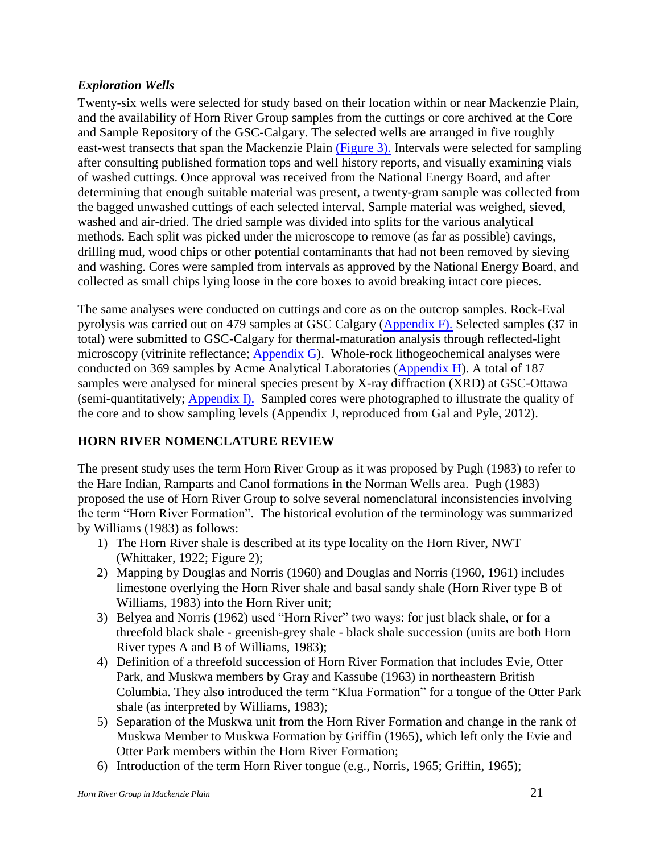## <span id="page-20-0"></span>*Exploration Wells*

Twenty-six wells were selected for study based on their location within or near Mackenzie Plain, and the availability of Horn River Group samples from the cuttings or core archived at the Core and Sample Repository of the GSC-Calgary. The selected wells are arranged in five roughly east-west transects that span the Mackenzie Plain (Figure 3). Intervals were selected for sampling after consulting published formation tops and well history reports, and visually examining vials of washed cuttings. Once approval was received from the National Energy Board, and after determining that enough suitable material was present, a twenty-gram sample was collected from the bagged unwashed cuttings of each selected interval. Sample material was weighed, sieved, washed and air-dried. The dried sample was divided into splits for the various analytical methods. Each split was picked under the microscope to remove (as far as possible) cavings, drilling mud, wood chips or other potential contaminants that had not been removed by sieving and washing. Cores were sampled from intervals as approved by the National Energy Board, and collected as small chips lying loose in the core boxes to avoid breaking intact core pieces.

The same analyses were conducted on cuttings and core as on the outcrop samples. Rock-Eval pyrolysis was carried out on 479 samples at GSC Calgary (Appendix F). Selected samples (37 in total) were submitted to GSC-Calgary for thermal-maturation analysis through reflected-light microscopy (vitrinite reflectance; Appendix G). Whole-rock lithogeochemical analyses were conducted on 369 samples by Acme Analytical Laboratories (Appendix H). A total of 187 samples were analysed for mineral species present by X-ray diffraction (XRD) at GSC-Ottawa (semi-quantitatively; Appendix I). Sampled cores were photographed to illustrate the quality of the core and to show sampling levels (Appendix J, reproduced from Gal and Pyle, 2012).

## <span id="page-20-1"></span>**HORN RIVER NOMENCLATURE REVIEW**

The present study uses the term Horn River Group as it was proposed by Pugh (1983) to refer to the Hare Indian, Ramparts and Canol formations in the Norman Wells area. Pugh (1983) proposed the use of Horn River Group to solve several nomenclatural inconsistencies involving the term "Horn River Formation". The historical evolution of the terminology was summarized by Williams (1983) as follows:

- 1) The Horn River shale is described at its type locality on the Horn River, NWT (Whittaker, 1922; Figure 2);
- 2) Mapping by Douglas and Norris (1960) and Douglas and Norris (1960, 1961) includes limestone overlying the Horn River shale and basal sandy shale (Horn River type B of Williams, 1983) into the Horn River unit;
- 3) Belyea and Norris (1962) used "Horn River" two ways: for just black shale, or for a threefold black shale - greenish-grey shale - black shale succession (units are both Horn River types A and B of Williams, 1983);
- 4) Definition of a threefold succession of Horn River Formation that includes Evie, Otter Park, and Muskwa members by Gray and Kassube (1963) in northeastern British Columbia. They also introduced the term "Klua Formation" for a tongue of the Otter Park shale (as interpreted by Williams, 1983);
- 5) Separation of the Muskwa unit from the Horn River Formation and change in the rank of Muskwa Member to Muskwa Formation by Griffin (1965), which left only the Evie and Otter Park members within the Horn River Formation;
- 6) Introduction of the term Horn River tongue (e.g., Norris, 1965; Griffin, 1965);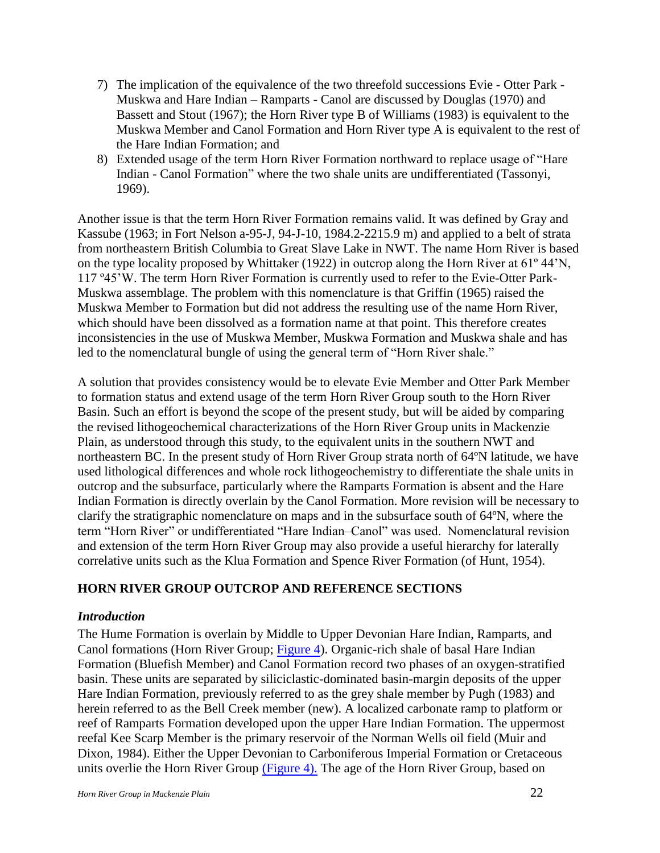- 7) The implication of the equivalence of the two threefold successions Evie Otter Park Muskwa and Hare Indian – Ramparts - Canol are discussed by Douglas (1970) and Bassett and Stout (1967); the Horn River type B of Williams (1983) is equivalent to the Muskwa Member and Canol Formation and Horn River type A is equivalent to the rest of the Hare Indian Formation; and
- 8) Extended usage of the term Horn River Formation northward to replace usage of "Hare Indian - Canol Formation" where the two shale units are undifferentiated (Tassonyi, 1969).

Another issue is that the term Horn River Formation remains valid. It was defined by Gray and Kassube (1963; in Fort Nelson a-95-J, 94-J-10, 1984.2-2215.9 m) and applied to a belt of strata from northeastern British Columbia to Great Slave Lake in NWT. The name Horn River is based on the type locality proposed by Whittaker (1922) in outcrop along the Horn River at 61º 44'N, 117 º45'W. The term Horn River Formation is currently used to refer to the Evie-Otter Park-Muskwa assemblage. The problem with this nomenclature is that Griffin (1965) raised the Muskwa Member to Formation but did not address the resulting use of the name Horn River, which should have been dissolved as a formation name at that point. This therefore creates inconsistencies in the use of Muskwa Member, Muskwa Formation and Muskwa shale and has led to the nomenclatural bungle of using the general term of "Horn River shale."

A solution that provides consistency would be to elevate Evie Member and Otter Park Member to formation status and extend usage of the term Horn River Group south to the Horn River Basin. Such an effort is beyond the scope of the present study, but will be aided by comparing the revised lithogeochemical characterizations of the Horn River Group units in Mackenzie Plain, as understood through this study, to the equivalent units in the southern NWT and northeastern BC. In the present study of Horn River Group strata north of 64ºN latitude, we have used lithological differences and whole rock lithogeochemistry to differentiate the shale units in outcrop and the subsurface, particularly where the Ramparts Formation is absent and the Hare Indian Formation is directly overlain by the Canol Formation. More revision will be necessary to clarify the stratigraphic nomenclature on maps and in the subsurface south of 64ºN, where the term "Horn River" or undifferentiated "Hare Indian–Canol" was used. Nomenclatural revision and extension of the term Horn River Group may also provide a useful hierarchy for laterally correlative units such as the Klua Formation and Spence River Formation (of Hunt, 1954).

## <span id="page-21-0"></span>**HORN RIVER GROUP OUTCROP AND REFERENCE SECTIONS**

#### <span id="page-21-1"></span>*Introduction*

The Hume Formation is overlain by Middle to Upper Devonian Hare Indian, Ramparts, and Canol formations (Horn River Group; Figure 4). Organic-rich shale of basal Hare Indian Formation (Bluefish Member) and Canol Formation record two phases of an oxygen-stratified basin. These units are separated by siliciclastic-dominated basin-margin deposits of the upper Hare Indian Formation, previously referred to as the grey shale member by Pugh (1983) and herein referred to as the Bell Creek member (new). A localized carbonate ramp to platform or reef of Ramparts Formation developed upon the upper Hare Indian Formation. The uppermost reefal Kee Scarp Member is the primary reservoir of the Norman Wells oil field (Muir and Dixon, 1984). Either the Upper Devonian to Carboniferous Imperial Formation or Cretaceous units overlie the Horn River Group (Figure 4). The age of the Horn River Group, based on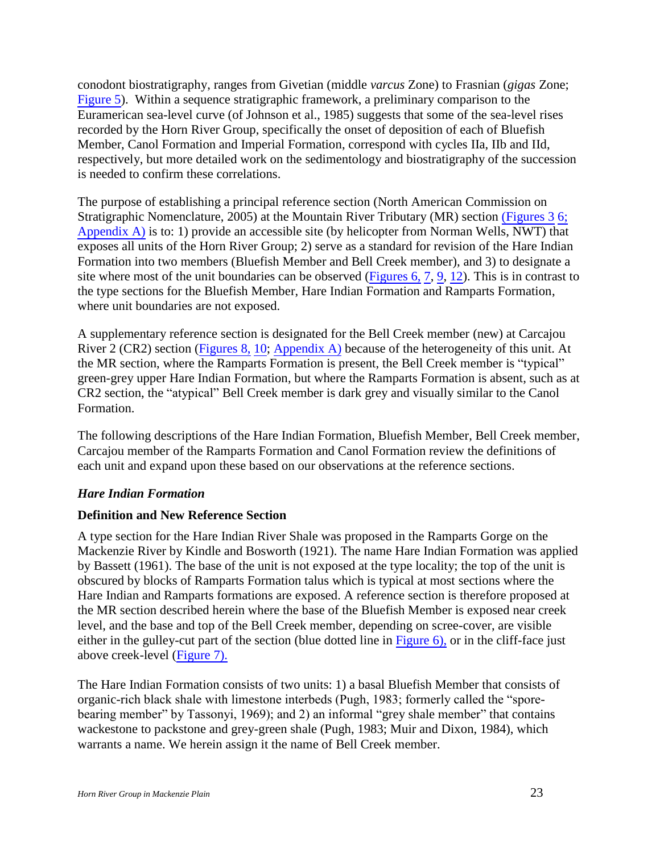conodont biostratigraphy, ranges from Givetian (middle *varcus* Zone) to Frasnian (*gigas* Zone; Figure 5). Within a sequence stratigraphic framework, a preliminary comparison to the Euramerican sea-level curve (of Johnson et al., 1985) suggests that some of the sea-level rises recorded by the Horn River Group, specifically the onset of deposition of each of Bluefish Member, Canol Formation and Imperial Formation, correspond with cycles IIa, IIb and IId, respectively, but more detailed work on the sedimentology and biostratigraphy of the succession is needed to confirm these correlations.

The purpose of establishing a principal reference section (North American Commission on Stratigraphic Nomenclature, 2005) at the Mountain River Tributary (MR) section (Figures 3 6; Appendix A) is to: 1) provide an accessible site (by helicopter from Norman Wells, NWT) that exposes all units of the Horn River Group; 2) serve as a standard for revision of the Hare Indian Formation into two members (Bluefish Member and Bell Creek member), and 3) to designate a site where most of the unit boundaries can be observed (Figures 6, 7, 9, 12). This is in contrast to the type sections for the Bluefish Member, Hare Indian Formation and Ramparts Formation, where unit boundaries are not exposed.

A supplementary reference section is designated for the Bell Creek member (new) at Carcajou River 2 (CR2) section (Figures 8, 10; Appendix A) because of the heterogeneity of this unit. At the MR section, where the Ramparts Formation is present, the Bell Creek member is "typical" green-grey upper Hare Indian Formation, but where the Ramparts Formation is absent, such as at CR2 section, the "atypical" Bell Creek member is dark grey and visually similar to the Canol Formation.

The following descriptions of the Hare Indian Formation, Bluefish Member, Bell Creek member, Carcajou member of the Ramparts Formation and Canol Formation review the definitions of each unit and expand upon these based on our observations at the reference sections.

#### <span id="page-22-0"></span>*Hare Indian Formation*

#### <span id="page-22-1"></span>**Definition and New Reference Section**

A type section for the Hare Indian River Shale was proposed in the Ramparts Gorge on the Mackenzie River by Kindle and Bosworth (1921). The name Hare Indian Formation was applied by Bassett (1961). The base of the unit is not exposed at the type locality; the top of the unit is obscured by blocks of Ramparts Formation talus which is typical at most sections where the Hare Indian and Ramparts formations are exposed. A reference section is therefore proposed at the MR section described herein where the base of the Bluefish Member is exposed near creek level, and the base and top of the Bell Creek member, depending on scree-cover, are visible either in the gulley-cut part of the section (blue dotted line in Figure 6), or in the cliff-face just above creek-level (Figure 7).

The Hare Indian Formation consists of two units: 1) a basal Bluefish Member that consists of organic-rich black shale with limestone interbeds (Pugh, 1983; formerly called the "sporebearing member" by Tassonyi, 1969); and 2) an informal "grey shale member" that contains wackestone to packstone and grey-green shale (Pugh, 1983; Muir and Dixon, 1984), which warrants a name. We herein assign it the name of Bell Creek member.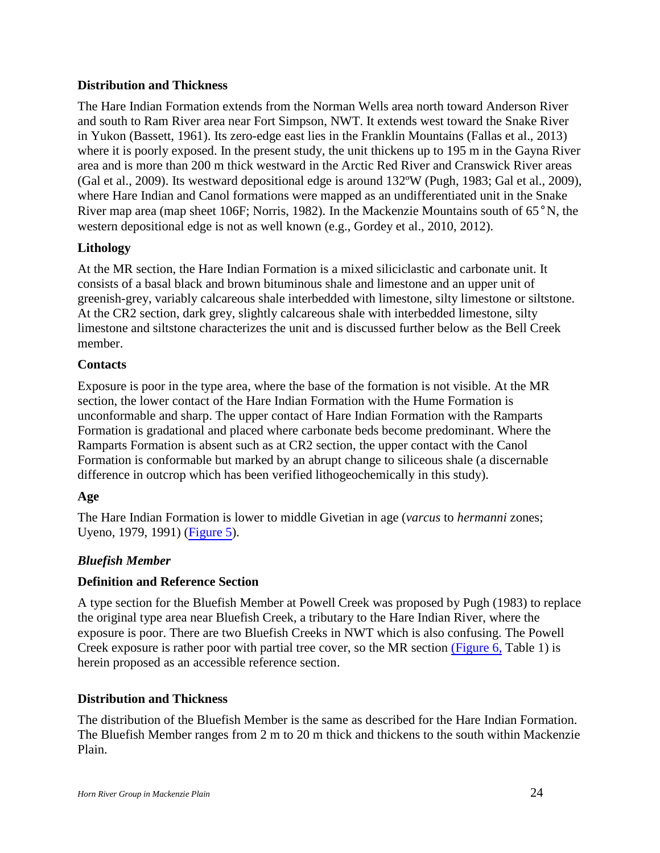## <span id="page-23-0"></span>**Distribution and Thickness**

The Hare Indian Formation extends from the Norman Wells area north toward Anderson River and south to Ram River area near Fort Simpson, NWT. It extends west toward the Snake River in Yukon (Bassett, 1961). Its zero-edge east lies in the Franklin Mountains (Fallas et al., 2013) where it is poorly exposed. In the present study, the unit thickens up to 195 m in the Gayna River area and is more than 200 m thick westward in the Arctic Red River and Cranswick River areas (Gal et al., 2009). Its westward depositional edge is around 132ºW (Pugh, 1983; Gal et al., 2009), where Hare Indian and Canol formations were mapped as an undifferentiated unit in the Snake River map area (map sheet 106F; Norris, 1982). In the Mackenzie Mountains south of 65°N, the western depositional edge is not as well known (e.g., Gordey et al., 2010, 2012).

## <span id="page-23-1"></span>**Lithology**

At the MR section, the Hare Indian Formation is a mixed siliciclastic and carbonate unit. It consists of a basal black and brown bituminous shale and limestone and an upper unit of greenish-grey, variably calcareous shale interbedded with limestone, silty limestone or siltstone. At the CR2 section, dark grey, slightly calcareous shale with interbedded limestone, silty limestone and siltstone characterizes the unit and is discussed further below as the Bell Creek member.

## <span id="page-23-2"></span>**Contacts**

Exposure is poor in the type area, where the base of the formation is not visible. At the MR section, the lower contact of the Hare Indian Formation with the Hume Formation is unconformable and sharp. The upper contact of Hare Indian Formation with the Ramparts Formation is gradational and placed where carbonate beds become predominant. Where the Ramparts Formation is absent such as at CR2 section, the upper contact with the Canol Formation is conformable but marked by an abrupt change to siliceous shale (a discernable difference in outcrop which has been verified lithogeochemically in this study).

## <span id="page-23-3"></span>**Age**

The Hare Indian Formation is lower to middle Givetian in age (*varcus* to *hermanni* zones; Uyeno, 1979, 1991) (Figure 5).

## <span id="page-23-4"></span>*Bluefish Member*

#### <span id="page-23-5"></span>**Definition and Reference Section**

A type section for the Bluefish Member at Powell Creek was proposed by Pugh (1983) to replace the original type area near Bluefish Creek, a tributary to the Hare Indian River, where the exposure is poor. There are two Bluefish Creeks in NWT which is also confusing. The Powell Creek exposure is rather poor with partial tree cover, so the MR section (Figure 6, Table 1) is herein proposed as an accessible reference section.

## <span id="page-23-6"></span>**Distribution and Thickness**

The distribution of the Bluefish Member is the same as described for the Hare Indian Formation. The Bluefish Member ranges from 2 m to 20 m thick and thickens to the south within Mackenzie Plain.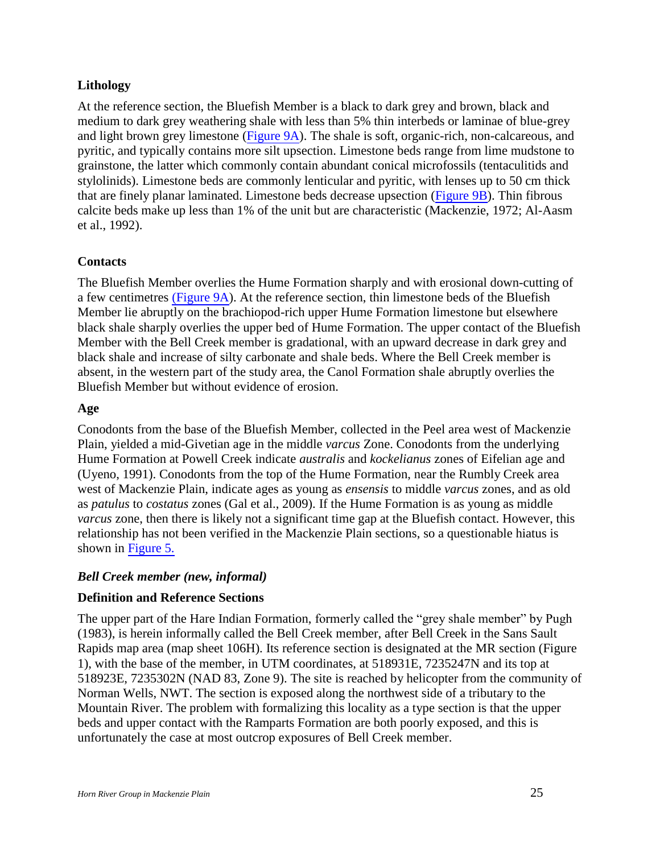## <span id="page-24-0"></span>**Lithology**

At the reference section, the Bluefish Member is a black to dark grey and brown, black and medium to dark grey weathering shale with less than 5% thin interbeds or laminae of blue-grey and light brown grey limestone (Figure 9A). The shale is soft, organic-rich, non-calcareous, and pyritic, and typically contains more silt upsection. Limestone beds range from lime mudstone to grainstone, the latter which commonly contain abundant conical microfossils (tentaculitids and stylolinids). Limestone beds are commonly lenticular and pyritic, with lenses up to 50 cm thick that are finely planar laminated. Limestone beds decrease upsection (Figure 9B). Thin fibrous calcite beds make up less than 1% of the unit but are characteristic (Mackenzie, 1972; Al-Aasm et al., 1992).

## <span id="page-24-1"></span>**Contacts**

The Bluefish Member overlies the Hume Formation sharply and with erosional down-cutting of a few centimetres (Figure 9A). At the reference section, thin limestone beds of the Bluefish Member lie abruptly on the brachiopod-rich upper Hume Formation limestone but elsewhere black shale sharply overlies the upper bed of Hume Formation. The upper contact of the Bluefish Member with the Bell Creek member is gradational, with an upward decrease in dark grey and black shale and increase of silty carbonate and shale beds. Where the Bell Creek member is absent, in the western part of the study area, the Canol Formation shale abruptly overlies the Bluefish Member but without evidence of erosion.

#### <span id="page-24-2"></span>**Age**

Conodonts from the base of the Bluefish Member, collected in the Peel area west of Mackenzie Plain, yielded a mid-Givetian age in the middle *varcus* Zone. Conodonts from the underlying Hume Formation at Powell Creek indicate *australis* and *kockelianus* zones of Eifelian age and (Uyeno, 1991). Conodonts from the top of the Hume Formation, near the Rumbly Creek area west of Mackenzie Plain, indicate ages as young as *ensensis* to middle *varcus* zones, and as old as *patulus* to *costatus* zones (Gal et al., 2009). If the Hume Formation is as young as middle *varcus* zone, then there is likely not a significant time gap at the Bluefish contact. However, this relationship has not been verified in the Mackenzie Plain sections, so a questionable hiatus is shown in Figure 5.

#### <span id="page-24-3"></span>*Bell Creek member (new, informal)*

#### <span id="page-24-4"></span>**Definition and Reference Sections**

The upper part of the Hare Indian Formation, formerly called the "grey shale member" by Pugh (1983), is herein informally called the Bell Creek member, after Bell Creek in the Sans Sault Rapids map area (map sheet 106H). Its reference section is designated at the MR section (Figure 1), with the base of the member, in UTM coordinates, at 518931E, 7235247N and its top at 518923E, 7235302N (NAD 83, Zone 9). The site is reached by helicopter from the community of Norman Wells, NWT. The section is exposed along the northwest side of a tributary to the Mountain River. The problem with formalizing this locality as a type section is that the upper beds and upper contact with the Ramparts Formation are both poorly exposed, and this is unfortunately the case at most outcrop exposures of Bell Creek member.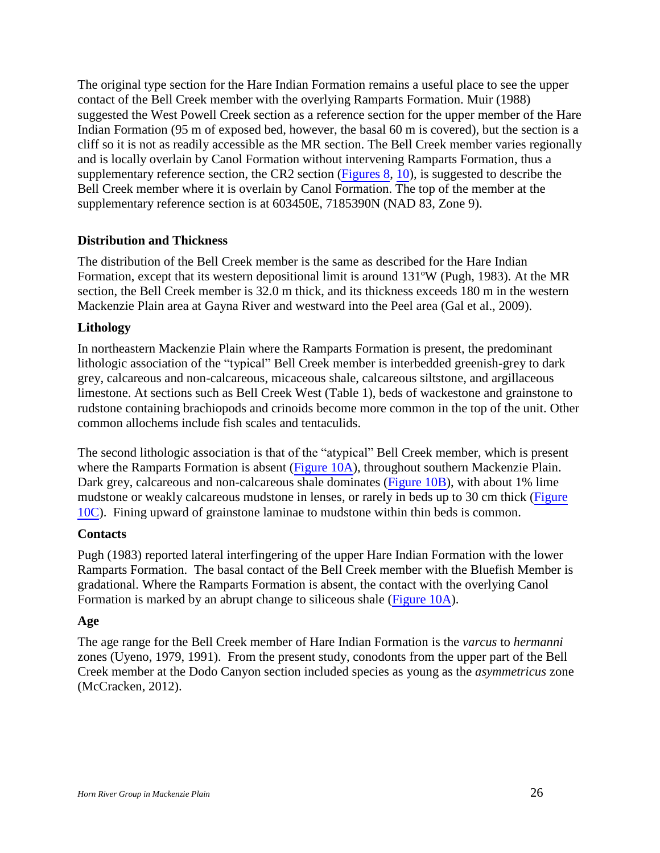The original type section for the Hare Indian Formation remains a useful place to see the upper contact of the Bell Creek member with the overlying Ramparts Formation. Muir (1988) suggested the West Powell Creek section as a reference section for the upper member of the Hare Indian Formation (95 m of exposed bed, however, the basal 60 m is covered), but the section is a cliff so it is not as readily accessible as the MR section. The Bell Creek member varies regionally and is locally overlain by Canol Formation without intervening Ramparts Formation, thus a supplementary reference section, the CR2 section (Figures 8, 10), is suggested to describe the Bell Creek member where it is overlain by Canol Formation. The top of the member at the supplementary reference section is at 603450E, 7185390N (NAD 83, Zone 9).

## <span id="page-25-0"></span>**Distribution and Thickness**

The distribution of the Bell Creek member is the same as described for the Hare Indian Formation, except that its western depositional limit is around 131ºW (Pugh, 1983). At the MR section, the Bell Creek member is 32.0 m thick, and its thickness exceeds 180 m in the western Mackenzie Plain area at Gayna River and westward into the Peel area (Gal et al., 2009).

#### <span id="page-25-1"></span>**Lithology**

In northeastern Mackenzie Plain where the Ramparts Formation is present, the predominant lithologic association of the "typical" Bell Creek member is interbedded greenish-grey to dark grey, calcareous and non-calcareous, micaceous shale, calcareous siltstone, and argillaceous limestone. At sections such as Bell Creek West (Table 1), beds of wackestone and grainstone to rudstone containing brachiopods and crinoids become more common in the top of the unit. Other common allochems include fish scales and tentaculids.

The second lithologic association is that of the "atypical" Bell Creek member, which is present where the Ramparts Formation is absent (Figure 10A), throughout southern Mackenzie Plain. Dark grey, calcareous and non-calcareous shale dominates (Figure 10B), with about 1% lime mudstone or weakly calcareous mudstone in lenses, or rarely in beds up to 30 cm thick (Figure 10C). Fining upward of grainstone laminae to mudstone within thin beds is common.

#### <span id="page-25-2"></span>**Contacts**

Pugh (1983) reported lateral interfingering of the upper Hare Indian Formation with the lower Ramparts Formation. The basal contact of the Bell Creek member with the Bluefish Member is gradational. Where the Ramparts Formation is absent, the contact with the overlying Canol Formation is marked by an abrupt change to siliceous shale (Figure 10A).

#### <span id="page-25-3"></span>**Age**

The age range for the Bell Creek member of Hare Indian Formation is the *varcus* to *hermanni* zones (Uyeno, 1979, 1991). From the present study, conodonts from the upper part of the Bell Creek member at the Dodo Canyon section included species as young as the *asymmetricus* zone (McCracken, 2012).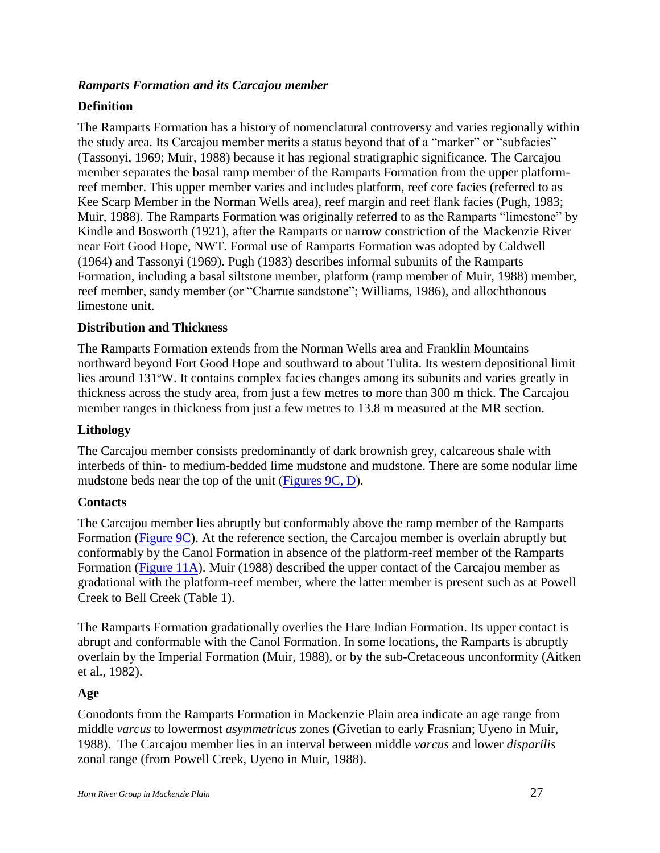## <span id="page-26-0"></span>*Ramparts Formation and its Carcajou member*

## <span id="page-26-1"></span>**Definition**

The Ramparts Formation has a history of nomenclatural controversy and varies regionally within the study area. Its Carcajou member merits a status beyond that of a "marker" or "subfacies" (Tassonyi, 1969; Muir, 1988) because it has regional stratigraphic significance. The Carcajou member separates the basal ramp member of the Ramparts Formation from the upper platformreef member. This upper member varies and includes platform, reef core facies (referred to as Kee Scarp Member in the Norman Wells area), reef margin and reef flank facies (Pugh, 1983; Muir, 1988). The Ramparts Formation was originally referred to as the Ramparts "limestone" by Kindle and Bosworth (1921), after the Ramparts or narrow constriction of the Mackenzie River near Fort Good Hope, NWT. Formal use of Ramparts Formation was adopted by Caldwell (1964) and Tassonyi (1969). Pugh (1983) describes informal subunits of the Ramparts Formation, including a basal siltstone member, platform (ramp member of Muir, 1988) member, reef member, sandy member (or "Charrue sandstone"; Williams, 1986), and allochthonous limestone unit.

#### <span id="page-26-2"></span>**Distribution and Thickness**

The Ramparts Formation extends from the Norman Wells area and Franklin Mountains northward beyond Fort Good Hope and southward to about Tulita. Its western depositional limit lies around 131ºW. It contains complex facies changes among its subunits and varies greatly in thickness across the study area, from just a few metres to more than 300 m thick. The Carcajou member ranges in thickness from just a few metres to 13.8 m measured at the MR section.

#### <span id="page-26-3"></span>**Lithology**

The Carcajou member consists predominantly of dark brownish grey, calcareous shale with interbeds of thin- to medium-bedded lime mudstone and mudstone. There are some nodular lime mudstone beds near the top of the unit (Figures 9C, D).

#### <span id="page-26-4"></span>**Contacts**

The Carcajou member lies abruptly but conformably above the ramp member of the Ramparts Formation (Figure 9C). At the reference section, the Carcajou member is overlain abruptly but conformably by the Canol Formation in absence of the platform-reef member of the Ramparts Formation (Figure 11A). Muir (1988) described the upper contact of the Carcajou member as gradational with the platform-reef member, where the latter member is present such as at Powell Creek to Bell Creek (Table 1).

The Ramparts Formation gradationally overlies the Hare Indian Formation. Its upper contact is abrupt and conformable with the Canol Formation. In some locations, the Ramparts is abruptly overlain by the Imperial Formation (Muir, 1988), or by the sub-Cretaceous unconformity (Aitken et al., 1982).

#### <span id="page-26-5"></span>**Age**

Conodonts from the Ramparts Formation in Mackenzie Plain area indicate an age range from middle *varcus* to lowermost *asymmetricus* zones (Givetian to early Frasnian; Uyeno in Muir, 1988). The Carcajou member lies in an interval between middle *varcus* and lower *disparilis* zonal range (from Powell Creek, Uyeno in Muir, 1988).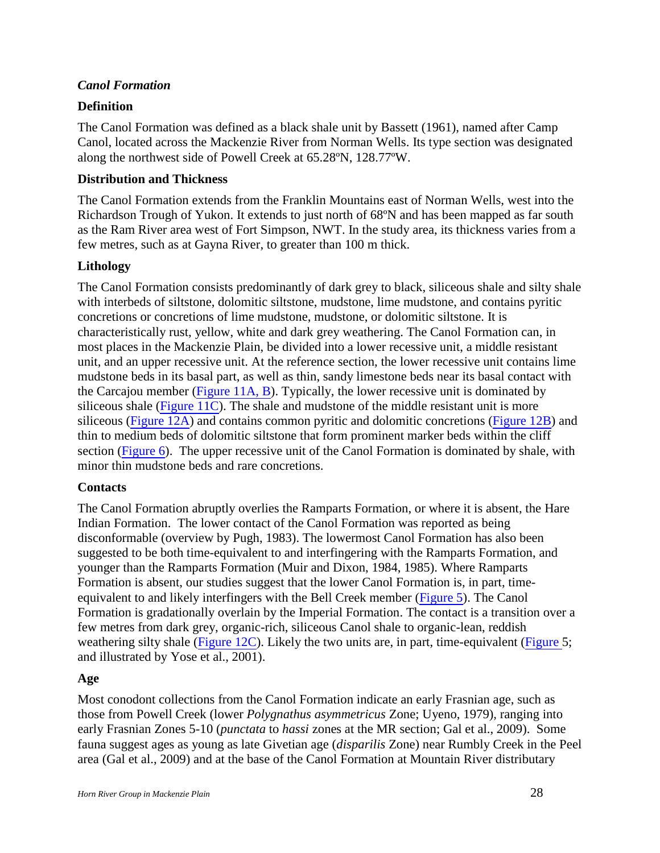#### <span id="page-27-0"></span>*Canol Formation*

## <span id="page-27-1"></span>**Definition**

The Canol Formation was defined as a black shale unit by Bassett (1961), named after Camp Canol, located across the Mackenzie River from Norman Wells. Its type section was designated along the northwest side of Powell Creek at 65.28ºN, 128.77ºW.

#### <span id="page-27-2"></span>**Distribution and Thickness**

The Canol Formation extends from the Franklin Mountains east of Norman Wells, west into the Richardson Trough of Yukon. It extends to just north of 68ºN and has been mapped as far south as the Ram River area west of Fort Simpson, NWT. In the study area, its thickness varies from a few metres, such as at Gayna River, to greater than 100 m thick.

## <span id="page-27-3"></span>**Lithology**

The Canol Formation consists predominantly of dark grey to black, siliceous shale and silty shale with interbeds of siltstone, dolomitic siltstone, mudstone, lime mudstone, and contains pyritic concretions or concretions of lime mudstone, mudstone, or dolomitic siltstone. It is characteristically rust, yellow, white and dark grey weathering. The Canol Formation can, in most places in the Mackenzie Plain, be divided into a lower recessive unit, a middle resistant unit, and an upper recessive unit. At the reference section, the lower recessive unit contains lime mudstone beds in its basal part, as well as thin, sandy limestone beds near its basal contact with the Carcajou member (Figure 11A, B). Typically, the lower recessive unit is dominated by siliceous shale (Figure 11C). The shale and mudstone of the middle resistant unit is more siliceous (Figure 12A) and contains common pyritic and dolomitic concretions (Figure 12B) and thin to medium beds of dolomitic siltstone that form prominent marker beds within the cliff section (Figure 6). The upper recessive unit of the Canol Formation is dominated by shale, with minor thin mudstone beds and rare concretions.

## <span id="page-27-4"></span>**Contacts**

The Canol Formation abruptly overlies the Ramparts Formation, or where it is absent, the Hare Indian Formation. The lower contact of the Canol Formation was reported as being disconformable (overview by Pugh, 1983). The lowermost Canol Formation has also been suggested to be both time-equivalent to and interfingering with the Ramparts Formation, and younger than the Ramparts Formation (Muir and Dixon, 1984, 1985). Where Ramparts Formation is absent, our studies suggest that the lower Canol Formation is, in part, timeequivalent to and likely interfingers with the Bell Creek member (Figure 5). The Canol Formation is gradationally overlain by the Imperial Formation. The contact is a transition over a few metres from dark grey, organic-rich, siliceous Canol shale to organic-lean, reddish weathering silty shale (Figure 12C). Likely the two units are, in part, time-equivalent (Figure 5; and illustrated by Yose et al., 2001).

#### <span id="page-27-5"></span>**Age**

Most conodont collections from the Canol Formation indicate an early Frasnian age, such as those from Powell Creek (lower *Polygnathus asymmetricus* Zone; Uyeno, 1979), ranging into early Frasnian Zones 5-10 (*punctata* to *hassi* zones at the MR section; Gal et al., 2009). Some fauna suggest ages as young as late Givetian age (*disparilis* Zone) near Rumbly Creek in the Peel area (Gal et al., 2009) and at the base of the Canol Formation at Mountain River distributary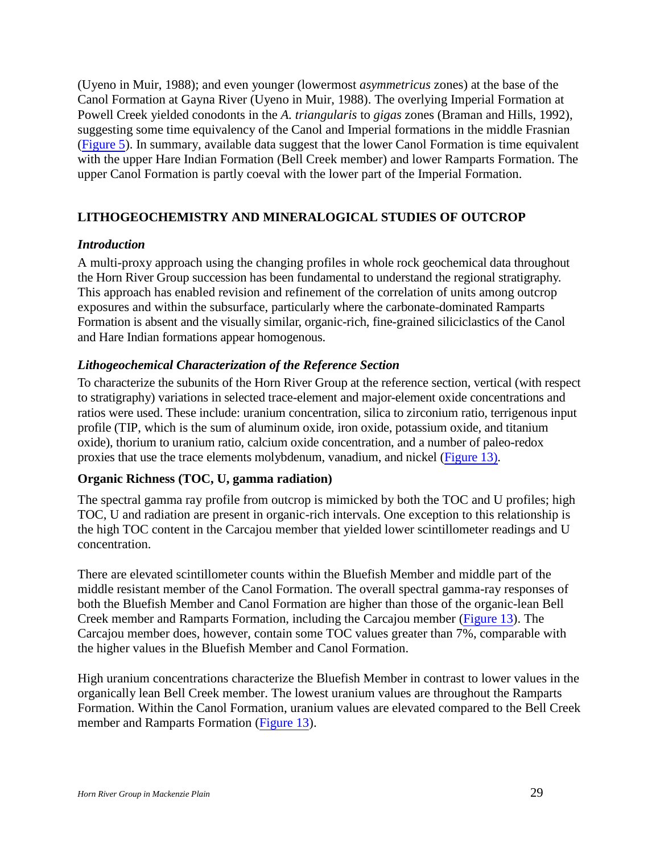(Uyeno in Muir, 1988); and even younger (lowermost *asymmetricus* zones) at the base of the Canol Formation at Gayna River (Uyeno in Muir, 1988). The overlying Imperial Formation at Powell Creek yielded conodonts in the *A. triangularis* to *gigas* zones (Braman and Hills, 1992), suggesting some time equivalency of the Canol and Imperial formations in the middle Frasnian (Figure 5). In summary, available data suggest that the lower Canol Formation is time equivalent with the upper Hare Indian Formation (Bell Creek member) and lower Ramparts Formation. The upper Canol Formation is partly coeval with the lower part of the Imperial Formation.

## <span id="page-28-0"></span>**LITHOGEOCHEMISTRY AND MINERALOGICAL STUDIES OF OUTCROP**

#### <span id="page-28-1"></span>*Introduction*

A multi-proxy approach using the changing profiles in whole rock geochemical data throughout the Horn River Group succession has been fundamental to understand the regional stratigraphy. This approach has enabled revision and refinement of the correlation of units among outcrop exposures and within the subsurface, particularly where the carbonate-dominated Ramparts Formation is absent and the visually similar, organic-rich, fine-grained siliciclastics of the Canol and Hare Indian formations appear homogenous.

## <span id="page-28-2"></span>*Lithogeochemical Characterization of the Reference Section*

To characterize the subunits of the Horn River Group at the reference section, vertical (with respect to stratigraphy) variations in selected trace-element and major-element oxide concentrations and ratios were used. These include: uranium concentration, silica to zirconium ratio, terrigenous input profile (TIP, which is the sum of aluminum oxide, iron oxide, potassium oxide, and titanium oxide), thorium to uranium ratio, calcium oxide concentration, and a number of paleo-redox proxies that use the trace elements molybdenum, vanadium, and nickel (Figure 13).

#### <span id="page-28-3"></span>**Organic Richness (TOC, U, gamma radiation)**

The spectral gamma ray profile from outcrop is mimicked by both the TOC and U profiles; high TOC, U and radiation are present in organic-rich intervals. One exception to this relationship is the high TOC content in the Carcajou member that yielded lower scintillometer readings and U concentration.

There are elevated scintillometer counts within the Bluefish Member and middle part of the middle resistant member of the Canol Formation. The overall spectral gamma-ray responses of both the Bluefish Member and Canol Formation are higher than those of the organic-lean Bell Creek member and Ramparts Formation, including the Carcajou member (Figure 13). The Carcajou member does, however, contain some TOC values greater than 7%, comparable with the higher values in the Bluefish Member and Canol Formation.

High uranium concentrations characterize the Bluefish Member in contrast to lower values in the organically lean Bell Creek member. The lowest uranium values are throughout the Ramparts Formation. Within the Canol Formation, uranium values are elevated compared to the Bell Creek member and Ramparts Formation (Figure 13).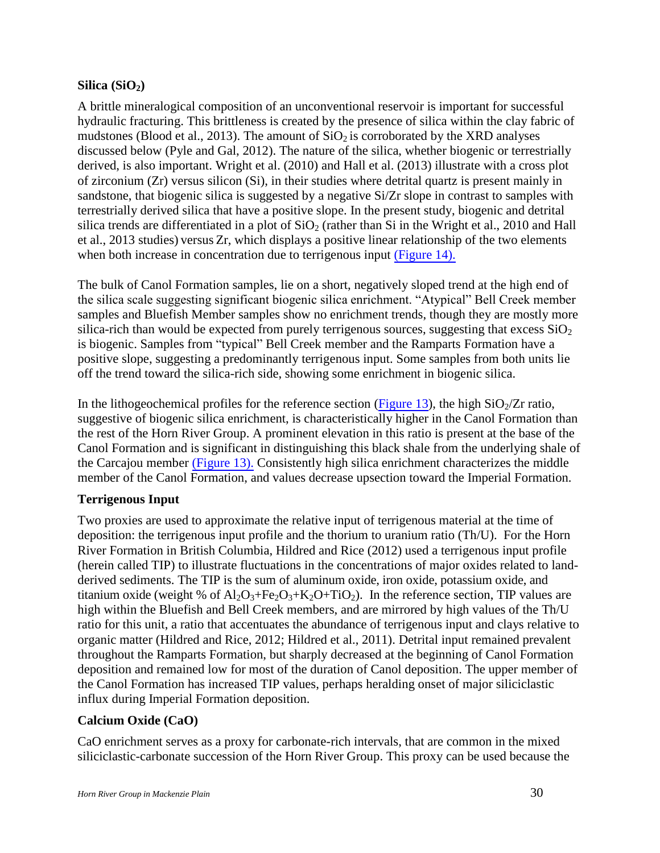## <span id="page-29-0"></span>**Silica**  $(SiO<sub>2</sub>)$

A brittle mineralogical composition of an unconventional reservoir is important for successful hydraulic fracturing. This brittleness is created by the presence of silica within the clay fabric of mudstones (Blood et al., 2013). The amount of  $SiO<sub>2</sub>$  is corroborated by the XRD analyses discussed below (Pyle and Gal, 2012). The nature of the silica, whether biogenic or terrestrially derived, is also important. Wright et al. (2010) and Hall et al. (2013) illustrate with a cross plot of zirconium (Zr) versus silicon (Si), in their studies where detrital quartz is present mainly in sandstone, that biogenic silica is suggested by a negative Si/Zr slope in contrast to samples with terrestrially derived silica that have a positive slope. In the present study, biogenic and detrital silica trends are differentiated in a plot of  $SiO<sub>2</sub>$  (rather than Si in the Wright et al., 2010 and Hall et al., 2013 studies) versus Zr, which displays a positive linear relationship of the two elements when both increase in concentration due to terrigenous input (Figure 14).

The bulk of Canol Formation samples, lie on a short, negatively sloped trend at the high end of the silica scale suggesting significant biogenic silica enrichment. "Atypical" Bell Creek member samples and Bluefish Member samples show no enrichment trends, though they are mostly more silica-rich than would be expected from purely terrigenous sources, suggesting that excess  $SiO<sub>2</sub>$ is biogenic. Samples from "typical" Bell Creek member and the Ramparts Formation have a positive slope, suggesting a predominantly terrigenous input. Some samples from both units lie off the trend toward the silica-rich side, showing some enrichment in biogenic silica.

In the lithogeochemical profiles for the reference section (Figure 13), the high  $SiO<sub>2</sub>/Zr$  ratio, suggestive of biogenic silica enrichment, is characteristically higher in the Canol Formation than the rest of the Horn River Group. A prominent elevation in this ratio is present at the base of the Canol Formation and is significant in distinguishing this black shale from the underlying shale of the Carcajou member (Figure 13). Consistently high silica enrichment characterizes the middle member of the Canol Formation, and values decrease upsection toward the Imperial Formation.

## <span id="page-29-1"></span>**Terrigenous Input**

Two proxies are used to approximate the relative input of terrigenous material at the time of deposition: the terrigenous input profile and the thorium to uranium ratio (Th/U). For the Horn River Formation in British Columbia, Hildred and Rice (2012) used a terrigenous input profile (herein called TIP) to illustrate fluctuations in the concentrations of major oxides related to landderived sediments. The TIP is the sum of aluminum oxide, iron oxide, potassium oxide, and titanium oxide (weight % of  $Al_2O_3+Fe_2O_3+K_2O+TiO_2$ ). In the reference section, TIP values are high within the Bluefish and Bell Creek members, and are mirrored by high values of the Th/U ratio for this unit, a ratio that accentuates the abundance of terrigenous input and clays relative to organic matter (Hildred and Rice, 2012; Hildred et al., 2011). Detrital input remained prevalent throughout the Ramparts Formation, but sharply decreased at the beginning of Canol Formation deposition and remained low for most of the duration of Canol deposition. The upper member of the Canol Formation has increased TIP values, perhaps heralding onset of major siliciclastic influx during Imperial Formation deposition.

## <span id="page-29-2"></span>**Calcium Oxide (CaO)**

CaO enrichment serves as a proxy for carbonate-rich intervals, that are common in the mixed siliciclastic-carbonate succession of the Horn River Group. This proxy can be used because the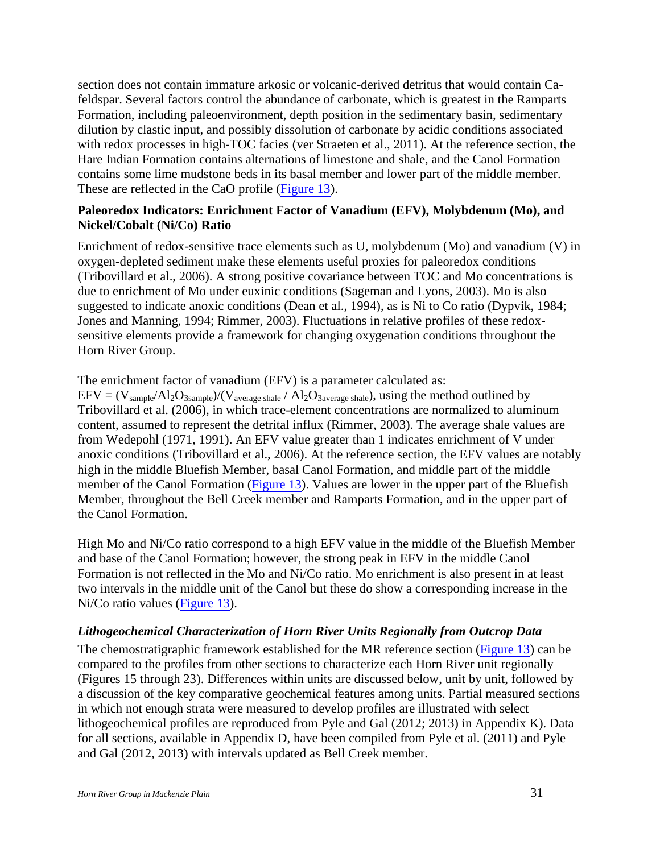section does not contain immature arkosic or volcanic-derived detritus that would contain Cafeldspar. Several factors control the abundance of carbonate, which is greatest in the Ramparts Formation, including paleoenvironment, depth position in the sedimentary basin, sedimentary dilution by clastic input, and possibly dissolution of carbonate by acidic conditions associated with redox processes in high-TOC facies (ver Straeten et al., 2011). At the reference section, the Hare Indian Formation contains alternations of limestone and shale, and the Canol Formation contains some lime mudstone beds in its basal member and lower part of the middle member. These are reflected in the CaO profile (Figure 13).

#### <span id="page-30-0"></span>**Paleoredox Indicators: Enrichment Factor of Vanadium (EFV), Molybdenum (Mo), and Nickel/Cobalt (Ni/Co) Ratio**

Enrichment of redox-sensitive trace elements such as U, molybdenum (Mo) and vanadium (V) in oxygen-depleted sediment make these elements useful proxies for paleoredox conditions (Tribovillard et al., 2006). A strong positive covariance between TOC and Mo concentrations is due to enrichment of Mo under euxinic conditions (Sageman and Lyons, 2003). Mo is also suggested to indicate anoxic conditions (Dean et al., 1994), as is Ni to Co ratio (Dypvik, 1984; Jones and Manning, 1994; Rimmer, 2003). Fluctuations in relative profiles of these redoxsensitive elements provide a framework for changing oxygenation conditions throughout the Horn River Group.

The enrichment factor of vanadium (EFV) is a parameter calculated as:

 $EFV = (V_{sample}/Al_2O_{3sample})/(V_{average \, shape} / Al_2O_{3average \, shape})$ , using the method outlined by Tribovillard et al. (2006), in which trace-element concentrations are normalized to aluminum content, assumed to represent the detrital influx (Rimmer, 2003). The average shale values are from Wedepohl (1971, 1991). An EFV value greater than 1 indicates enrichment of V under anoxic conditions (Tribovillard et al., 2006). At the reference section, the EFV values are notably high in the middle Bluefish Member, basal Canol Formation, and middle part of the middle member of the Canol Formation (Figure 13). Values are lower in the upper part of the Bluefish Member, throughout the Bell Creek member and Ramparts Formation, and in the upper part of the Canol Formation.

High Mo and Ni/Co ratio correspond to a high EFV value in the middle of the Bluefish Member and base of the Canol Formation; however, the strong peak in EFV in the middle Canol Formation is not reflected in the Mo and Ni/Co ratio. Mo enrichment is also present in at least two intervals in the middle unit of the Canol but these do show a corresponding increase in the Ni/Co ratio values (Figure 13).

#### <span id="page-30-1"></span>*Lithogeochemical Characterization of Horn River Units Regionally from Outcrop Data*

The chemostratigraphic framework established for the MR reference section (Figure 13) can be compared to the profiles from other sections to characterize each Horn River unit regionally (Figures 15 through 23). Differences within units are discussed below, unit by unit, followed by a discussion of the key comparative geochemical features among units. Partial measured sections in which not enough strata were measured to develop profiles are illustrated with select lithogeochemical profiles are reproduced from Pyle and Gal (2012; 2013) in Appendix K). Data for all sections, available in Appendix D, have been compiled from Pyle et al. (2011) and Pyle and Gal (2012, 2013) with intervals updated as Bell Creek member.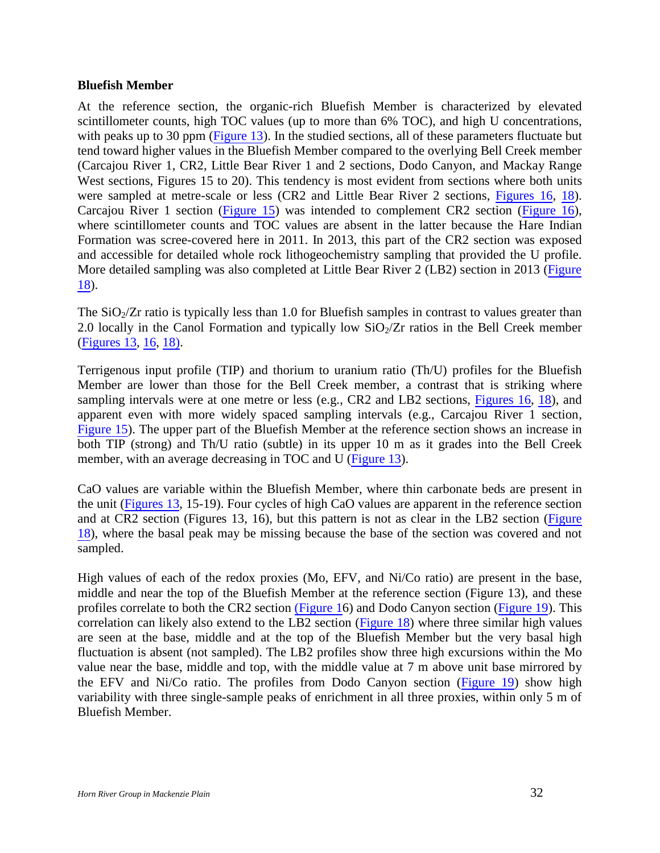#### <span id="page-31-0"></span>**Bluefish Member**

At the reference section, the organic-rich Bluefish Member is characterized by elevated scintillometer counts, high TOC values (up to more than 6% TOC), and high U concentrations, with peaks up to 30 ppm (Figure 13). In the studied sections, all of these parameters fluctuate but tend toward higher values in the Bluefish Member compared to the overlying Bell Creek member (Carcajou River 1, CR2, Little Bear River 1 and 2 sections, Dodo Canyon, and Mackay Range West sections, Figures 15 to 20). This tendency is most evident from sections where both units were sampled at metre-scale or less (CR2 and Little Bear River 2 sections, Figures 16, 18). Carcajou River 1 section (Figure 15) was intended to complement CR2 section (Figure 16), where scintillometer counts and TOC values are absent in the latter because the Hare Indian Formation was scree-covered here in 2011. In 2013, this part of the CR2 section was exposed and accessible for detailed whole rock lithogeochemistry sampling that provided the U profile. More detailed sampling was also completed at Little Bear River 2 (LB2) section in 2013 (Figure 18).

The  $SiO<sub>2</sub>/Zr$  ratio is typically less than 1.0 for Bluefish samples in contrast to values greater than 2.0 locally in the Canol Formation and typically low  $SiO<sub>2</sub>/Zr$  ratios in the Bell Creek member (Figures 13, 16, 18).

Terrigenous input profile (TIP) and thorium to uranium ratio (Th/U) profiles for the Bluefish Member are lower than those for the Bell Creek member, a contrast that is striking where sampling intervals were at one metre or less (e.g.,  $CR2$  and  $LB2$  sections, Figures 16, 18), and apparent even with more widely spaced sampling intervals (e.g., Carcajou River 1 section, Figure 15). The upper part of the Bluefish Member at the reference section shows an increase in both TIP (strong) and Th/U ratio (subtle) in its upper 10 m as it grades into the Bell Creek member, with an average decreasing in TOC and U (Figure 13).

CaO values are variable within the Bluefish Member, where thin carbonate beds are present in the unit (Figures 13, 15-19). Four cycles of high CaO values are apparent in the reference section and at CR2 section (Figures 13, 16), but this pattern is not as clear in the LB2 section (Figure 18), where the basal peak may be missing because the base of the section was covered and not sampled.

High values of each of the redox proxies (Mo, EFV, and Ni/Co ratio) are present in the base, middle and near the top of the Bluefish Member at the reference section (Figure 13), and these profiles correlate to both the CR2 section (Figure 16) and Dodo Canyon section (Figure 19). This correlation can likely also extend to the LB2 section (Figure 18) where three similar high values are seen at the base, middle and at the top of the Bluefish Member but the very basal high fluctuation is absent (not sampled). The LB2 profiles show three high excursions within the Mo value near the base, middle and top, with the middle value at 7 m above unit base mirrored by the EFV and Ni/Co ratio. The profiles from Dodo Canyon section (Figure 19) show high variability with three single-sample peaks of enrichment in all three proxies, within only 5 m of Bluefish Member.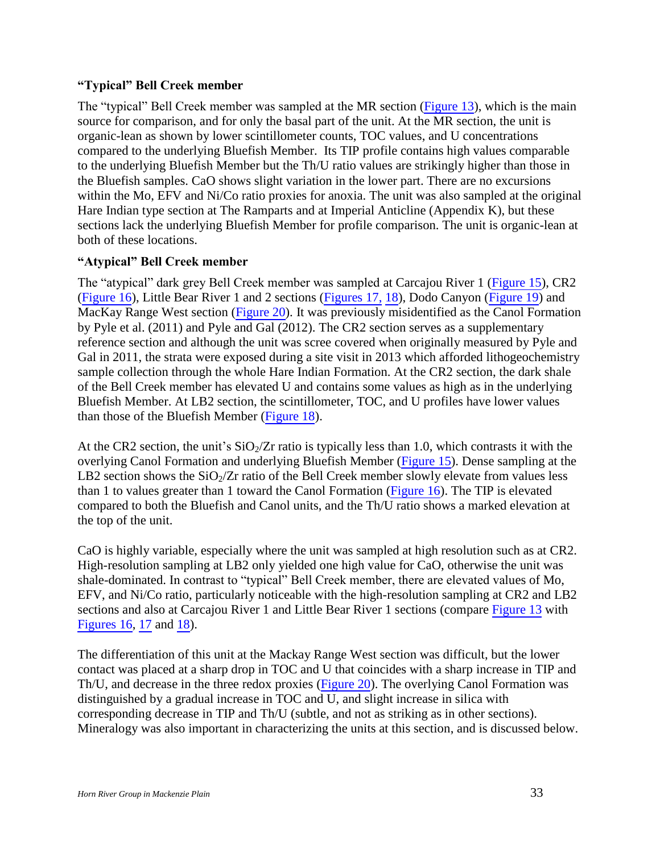## <span id="page-32-0"></span>**"Typical" Bell Creek member**

The "typical" Bell Creek member was sampled at the MR section (Figure 13), which is the main source for comparison, and for only the basal part of the unit. At the MR section, the unit is organic-lean as shown by lower scintillometer counts, TOC values, and U concentrations compared to the underlying Bluefish Member. Its TIP profile contains high values comparable to the underlying Bluefish Member but the Th/U ratio values are strikingly higher than those in the Bluefish samples. CaO shows slight variation in the lower part. There are no excursions within the Mo, EFV and Ni/Co ratio proxies for anoxia. The unit was also sampled at the original Hare Indian type section at The Ramparts and at Imperial Anticline (Appendix K), but these sections lack the underlying Bluefish Member for profile comparison. The unit is organic-lean at both of these locations.

## <span id="page-32-1"></span>**"Atypical" Bell Creek member**

The "atypical" dark grey Bell Creek member was sampled at Carcajou River 1 (Figure 15), CR2 (Figure 16), Little Bear River 1 and 2 sections (Figures 17, 18), Dodo Canyon (Figure 19) and MacKay Range West section (Figure 20). It was previously misidentified as the Canol Formation by Pyle et al. (2011) and Pyle and Gal (2012). The CR2 section serves as a supplementary reference section and although the unit was scree covered when originally measured by Pyle and Gal in 2011, the strata were exposed during a site visit in 2013 which afforded lithogeochemistry sample collection through the whole Hare Indian Formation. At the CR2 section, the dark shale of the Bell Creek member has elevated U and contains some values as high as in the underlying Bluefish Member. At LB2 section, the scintillometer, TOC, and U profiles have lower values than those of the Bluefish Member (Figure 18).

At the CR2 section, the unit's  $SiO_2/Zr$  ratio is typically less than 1.0, which contrasts it with the overlying Canol Formation and underlying Bluefish Member (Figure 15). Dense sampling at the LB2 section shows the  $SiO_2/Zr$  ratio of the Bell Creek member slowly elevate from values less than 1 to values greater than 1 toward the Canol Formation (Figure 16). The TIP is elevated compared to both the Bluefish and Canol units, and the Th/U ratio shows a marked elevation at the top of the unit.

CaO is highly variable, especially where the unit was sampled at high resolution such as at CR2. High-resolution sampling at LB2 only yielded one high value for CaO, otherwise the unit was shale-dominated. In contrast to "typical" Bell Creek member, there are elevated values of Mo, EFV, and Ni/Co ratio, particularly noticeable with the high-resolution sampling at CR2 and LB2 sections and also at Carcajou River 1 and Little Bear River 1 sections (compare Figure 13 with Figures 16, 17 and 18).

The differentiation of this unit at the Mackay Range West section was difficult, but the lower contact was placed at a sharp drop in TOC and U that coincides with a sharp increase in TIP and Th/U, and decrease in the three redox proxies (Figure 20). The overlying Canol Formation was distinguished by a gradual increase in TOC and U, and slight increase in silica with corresponding decrease in TIP and Th/U (subtle, and not as striking as in other sections). Mineralogy was also important in characterizing the units at this section, and is discussed below.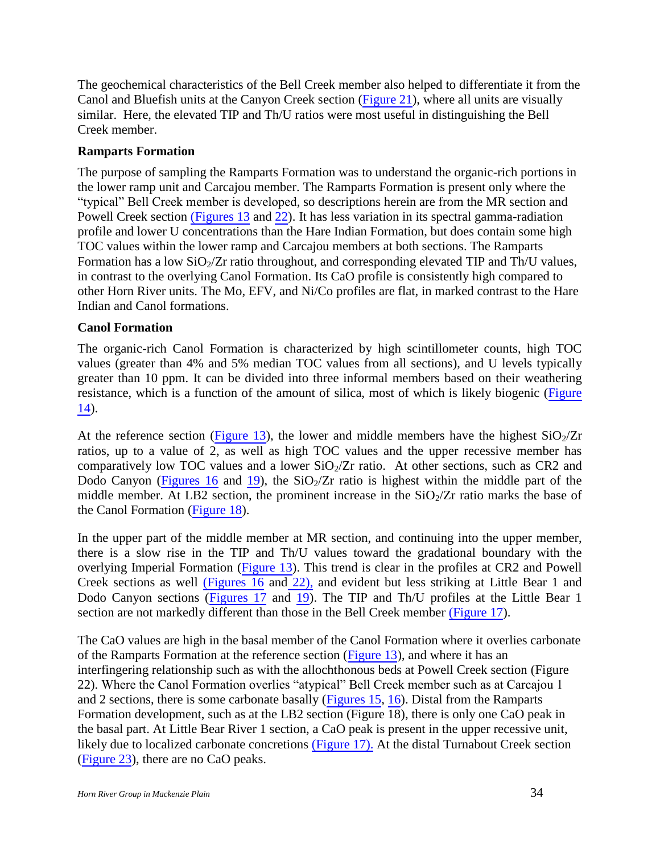The geochemical characteristics of the Bell Creek member also helped to differentiate it from the Canol and Bluefish units at the Canyon Creek section (Figure 21), where all units are visually similar. Here, the elevated TIP and Th/U ratios were most useful in distinguishing the Bell Creek member.

## <span id="page-33-0"></span>**Ramparts Formation**

The purpose of sampling the Ramparts Formation was to understand the organic-rich portions in the lower ramp unit and Carcajou member. The Ramparts Formation is present only where the "typical" Bell Creek member is developed, so descriptions herein are from the MR section and Powell Creek section (Figures 13 and 22). It has less variation in its spectral gamma-radiation profile and lower U concentrations than the Hare Indian Formation, but does contain some high TOC values within the lower ramp and Carcajou members at both sections. The Ramparts Formation has a low  $SiO_2/Zr$  ratio throughout, and corresponding elevated TIP and Th/U values, in contrast to the overlying Canol Formation. Its CaO profile is consistently high compared to other Horn River units. The Mo, EFV, and Ni/Co profiles are flat, in marked contrast to the Hare Indian and Canol formations.

## <span id="page-33-1"></span>**Canol Formation**

The organic-rich Canol Formation is characterized by high scintillometer counts, high TOC values (greater than 4% and 5% median TOC values from all sections), and U levels typically greater than 10 ppm. It can be divided into three informal members based on their weathering resistance, which is a function of the amount of silica, most of which is likely biogenic (Figure 14).

At the reference section (Figure 13), the lower and middle members have the highest  $SiO_2/Zr$ ratios, up to a value of 2, as well as high TOC values and the upper recessive member has comparatively low TOC values and a lower  $SiO<sub>2</sub>/Zr$  ratio. At other sections, such as CR2 and Dodo Canyon (Figures 16 and 19), the  $SiO<sub>2</sub>/Zr$  ratio is highest within the middle part of the middle member. At LB2 section, the prominent increase in the  $SiO<sub>2</sub>/Zr$  ratio marks the base of the Canol Formation (Figure 18).

In the upper part of the middle member at MR section, and continuing into the upper member, there is a slow rise in the TIP and Th/U values toward the gradational boundary with the overlying Imperial Formation (Figure 13). This trend is clear in the profiles at CR2 and Powell Creek sections as well (Figures 16 and 22), and evident but less striking at Little Bear 1 and Dodo Canyon sections (Figures 17 and 19). The TIP and Th/U profiles at the Little Bear 1 section are not markedly different than those in the Bell Creek member (Figure 17).

The CaO values are high in the basal member of the Canol Formation where it overlies carbonate of the Ramparts Formation at the reference section (Figure 13), and where it has an interfingering relationship such as with the allochthonous beds at Powell Creek section (Figure 22). Where the Canol Formation overlies "atypical" Bell Creek member such as at Carcajou 1 and 2 sections, there is some carbonate basally (Figures 15, 16). Distal from the Ramparts Formation development, such as at the LB2 section (Figure 18), there is only one CaO peak in the basal part. At Little Bear River 1 section, a CaO peak is present in the upper recessive unit, likely due to localized carbonate concretions (Figure 17). At the distal Turnabout Creek section (Figure 23), there are no CaO peaks.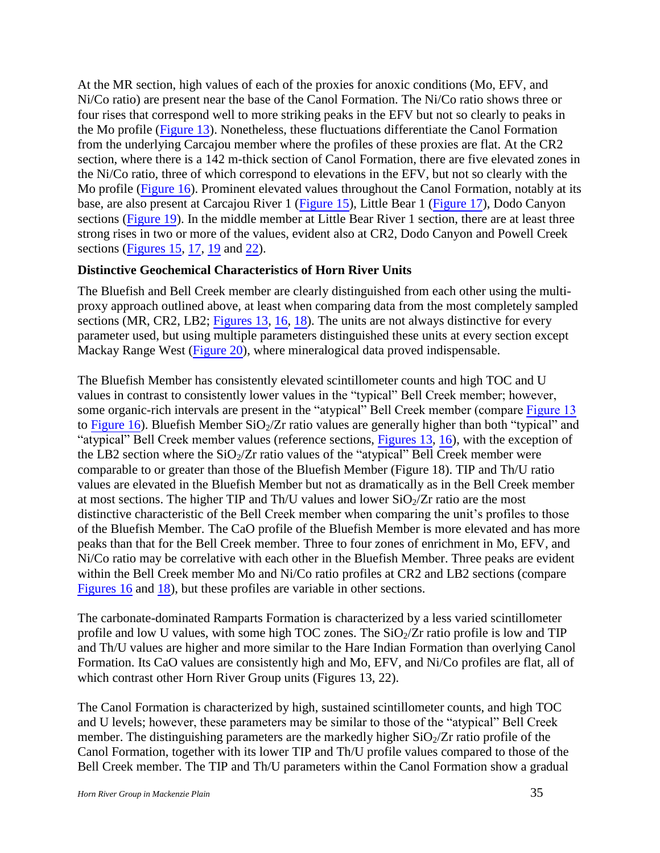At the MR section, high values of each of the proxies for anoxic conditions (Mo, EFV, and Ni/Co ratio) are present near the base of the Canol Formation. The Ni/Co ratio shows three or four rises that correspond well to more striking peaks in the EFV but not so clearly to peaks in the Mo profile (Figure 13). Nonetheless, these fluctuations differentiate the Canol Formation from the underlying Carcajou member where the profiles of these proxies are flat. At the CR2 section, where there is a 142 m-thick section of Canol Formation, there are five elevated zones in the Ni/Co ratio, three of which correspond to elevations in the EFV, but not so clearly with the Mo profile (Figure 16). Prominent elevated values throughout the Canol Formation, notably at its base, are also present at Carcajou River 1 (Figure 15), Little Bear 1 (Figure 17), Dodo Canyon sections (Figure 19). In the middle member at Little Bear River 1 section, there are at least three strong rises in two or more of the values, evident also at CR2, Dodo Canyon and Powell Creek sections (Figures 15, 17, 19 and 22).

## <span id="page-34-0"></span>**Distinctive Geochemical Characteristics of Horn River Units**

The Bluefish and Bell Creek member are clearly distinguished from each other using the multiproxy approach outlined above, at least when comparing data from the most completely sampled sections (MR, CR2, LB2; Figures 13, 16, 18). The units are not always distinctive for every parameter used, but using multiple parameters distinguished these units at every section except Mackay Range West (Figure 20), where mineralogical data proved indispensable.

The Bluefish Member has consistently elevated scintillometer counts and high TOC and U values in contrast to consistently lower values in the "typical" Bell Creek member; however, some organic-rich intervals are present in the "atypical" Bell Creek member (compare Figure 13 to Figure 16). Bluefish Member  $SiO_2/Zr$  ratio values are generally higher than both "typical" and "atypical" Bell Creek member values (reference sections, Figures 13, 16), with the exception of the LB2 section where the  $SiO<sub>2</sub>/Zr$  ratio values of the "atypical" Bell Creek member were comparable to or greater than those of the Bluefish Member (Figure 18). TIP and Th/U ratio values are elevated in the Bluefish Member but not as dramatically as in the Bell Creek member at most sections. The higher TIP and Th/U values and lower  $SiO_2/Zr$  ratio are the most distinctive characteristic of the Bell Creek member when comparing the unit's profiles to those of the Bluefish Member. The CaO profile of the Bluefish Member is more elevated and has more peaks than that for the Bell Creek member. Three to four zones of enrichment in Mo, EFV, and Ni/Co ratio may be correlative with each other in the Bluefish Member. Three peaks are evident within the Bell Creek member Mo and Ni/Co ratio profiles at CR2 and LB2 sections (compare Figures 16 and 18), but these profiles are variable in other sections.

The carbonate-dominated Ramparts Formation is characterized by a less varied scintillometer profile and low U values, with some high TOC zones. The  $SiO<sub>2</sub>/Zr$  ratio profile is low and TIP and Th/U values are higher and more similar to the Hare Indian Formation than overlying Canol Formation. Its CaO values are consistently high and Mo, EFV, and Ni/Co profiles are flat, all of which contrast other Horn River Group units (Figures 13, 22).

The Canol Formation is characterized by high, sustained scintillometer counts, and high TOC and U levels; however, these parameters may be similar to those of the "atypical" Bell Creek member. The distinguishing parameters are the markedly higher  $SiO<sub>2</sub>/Zr$  ratio profile of the Canol Formation, together with its lower TIP and Th/U profile values compared to those of the Bell Creek member. The TIP and Th/U parameters within the Canol Formation show a gradual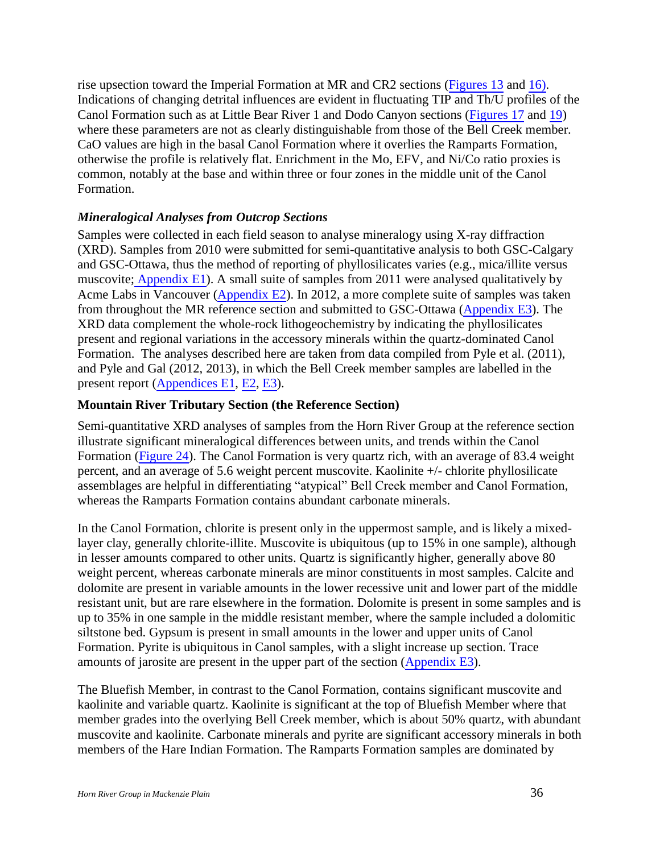rise upsection toward the Imperial Formation at MR and CR2 sections (Figures 13 and 16). Indications of changing detrital influences are evident in fluctuating TIP and Th/U profiles of the Canol Formation such as at Little Bear River 1 and Dodo Canyon sections (Figures 17 and 19) where these parameters are not as clearly distinguishable from those of the Bell Creek member. CaO values are high in the basal Canol Formation where it overlies the Ramparts Formation, otherwise the profile is relatively flat. Enrichment in the Mo, EFV, and Ni/Co ratio proxies is common, notably at the base and within three or four zones in the middle unit of the Canol Formation.

## <span id="page-35-0"></span>*Mineralogical Analyses from Outcrop Sections*

Samples were collected in each field season to analyse mineralogy using X-ray diffraction (XRD). Samples from 2010 were submitted for semi-quantitative analysis to both GSC-Calgary and GSC-Ottawa, thus the method of reporting of phyllosilicates varies (e.g., mica/illite versus muscovite; Appendix E1). A small suite of samples from 2011 were analysed qualitatively by Acme Labs in Vancouver (Appendix E2). In 2012, a more complete suite of samples was taken from throughout the MR reference section and submitted to GSC-Ottawa (Appendix E3). The XRD data complement the whole-rock lithogeochemistry by indicating the phyllosilicates present and regional variations in the accessory minerals within the quartz-dominated Canol Formation. The analyses described here are taken from data compiled from Pyle et al. (2011), and Pyle and Gal (2012, 2013), in which the Bell Creek member samples are labelled in the present report (Appendices E1, E2, E3).

#### <span id="page-35-1"></span>**Mountain River Tributary Section (the Reference Section)**

Semi-quantitative XRD analyses of samples from the Horn River Group at the reference section illustrate significant mineralogical differences between units, and trends within the Canol Formation (Figure 24). The Canol Formation is very quartz rich, with an average of 83.4 weight percent, and an average of 5.6 weight percent muscovite. Kaolinite +/- chlorite phyllosilicate assemblages are helpful in differentiating "atypical" Bell Creek member and Canol Formation, whereas the Ramparts Formation contains abundant carbonate minerals.

In the Canol Formation, chlorite is present only in the uppermost sample, and is likely a mixedlayer clay, generally chlorite-illite. Muscovite is ubiquitous (up to 15% in one sample), although in lesser amounts compared to other units. Quartz is significantly higher, generally above 80 weight percent, whereas carbonate minerals are minor constituents in most samples. Calcite and dolomite are present in variable amounts in the lower recessive unit and lower part of the middle resistant unit, but are rare elsewhere in the formation. Dolomite is present in some samples and is up to 35% in one sample in the middle resistant member, where the sample included a dolomitic siltstone bed. Gypsum is present in small amounts in the lower and upper units of Canol Formation. Pyrite is ubiquitous in Canol samples, with a slight increase up section. Trace amounts of jarosite are present in the upper part of the section (Appendix E3).

The Bluefish Member, in contrast to the Canol Formation, contains significant muscovite and kaolinite and variable quartz. Kaolinite is significant at the top of Bluefish Member where that member grades into the overlying Bell Creek member, which is about 50% quartz, with abundant muscovite and kaolinite. Carbonate minerals and pyrite are significant accessory minerals in both members of the Hare Indian Formation. The Ramparts Formation samples are dominated by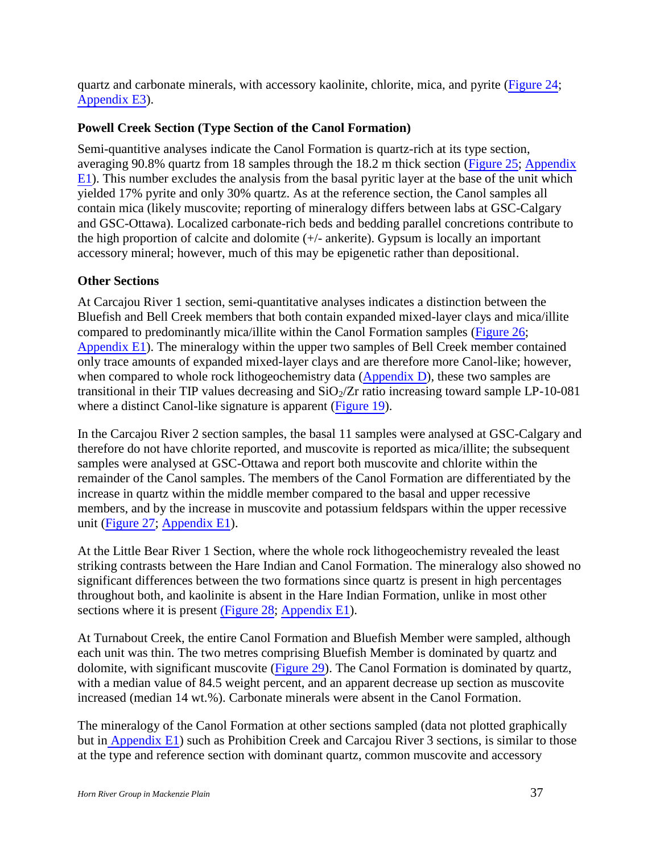quartz and carbonate minerals, with accessory kaolinite, chlorite, mica, and pyrite (Figure 24; Appendix E3).

## <span id="page-36-0"></span>**Powell Creek Section (Type Section of the Canol Formation)**

Semi-quantitive analyses indicate the Canol Formation is quartz-rich at its type section, averaging 90.8% quartz from 18 samples through the 18.2 m thick section (Figure 25; Appendix E1). This number excludes the analysis from the basal pyritic layer at the base of the unit which yielded 17% pyrite and only 30% quartz. As at the reference section, the Canol samples all contain mica (likely muscovite; reporting of mineralogy differs between labs at GSC-Calgary and GSC-Ottawa). Localized carbonate-rich beds and bedding parallel concretions contribute to the high proportion of calcite and dolomite (+/- ankerite). Gypsum is locally an important accessory mineral; however, much of this may be epigenetic rather than depositional.

## <span id="page-36-1"></span>**Other Sections**

At Carcajou River 1 section, semi-quantitative analyses indicates a distinction between the Bluefish and Bell Creek members that both contain expanded mixed-layer clays and mica/illite compared to predominantly mica/illite within the Canol Formation samples (Figure 26; Appendix E1). The mineralogy within the upper two samples of Bell Creek member contained only trace amounts of expanded mixed-layer clays and are therefore more Canol-like; however, when compared to whole rock lithogeochemistry data (Appendix D), these two samples are transitional in their TIP values decreasing and  $SiO<sub>2</sub>/Zr$  ratio increasing toward sample LP-10-081 where a distinct Canol-like signature is apparent (Figure 19).

In the Carcajou River 2 section samples, the basal 11 samples were analysed at GSC-Calgary and therefore do not have chlorite reported, and muscovite is reported as mica/illite; the subsequent samples were analysed at GSC-Ottawa and report both muscovite and chlorite within the remainder of the Canol samples. The members of the Canol Formation are differentiated by the increase in quartz within the middle member compared to the basal and upper recessive members, and by the increase in muscovite and potassium feldspars within the upper recessive unit (Figure 27; Appendix E1).

At the Little Bear River 1 Section, where the whole rock lithogeochemistry revealed the least striking contrasts between the Hare Indian and Canol Formation. The mineralogy also showed no significant differences between the two formations since quartz is present in high percentages throughout both, and kaolinite is absent in the Hare Indian Formation, unlike in most other sections where it is present (Figure 28; Appendix E1).

At Turnabout Creek, the entire Canol Formation and Bluefish Member were sampled, although each unit was thin. The two metres comprising Bluefish Member is dominated by quartz and dolomite, with significant muscovite (Figure 29). The Canol Formation is dominated by quartz, with a median value of 84.5 weight percent, and an apparent decrease up section as muscovite increased (median 14 wt.%). Carbonate minerals were absent in the Canol Formation.

The mineralogy of the Canol Formation at other sections sampled (data not plotted graphically but in Appendix E1) such as Prohibition Creek and Carcajou River 3 sections, is similar to those at the type and reference section with dominant quartz, common muscovite and accessory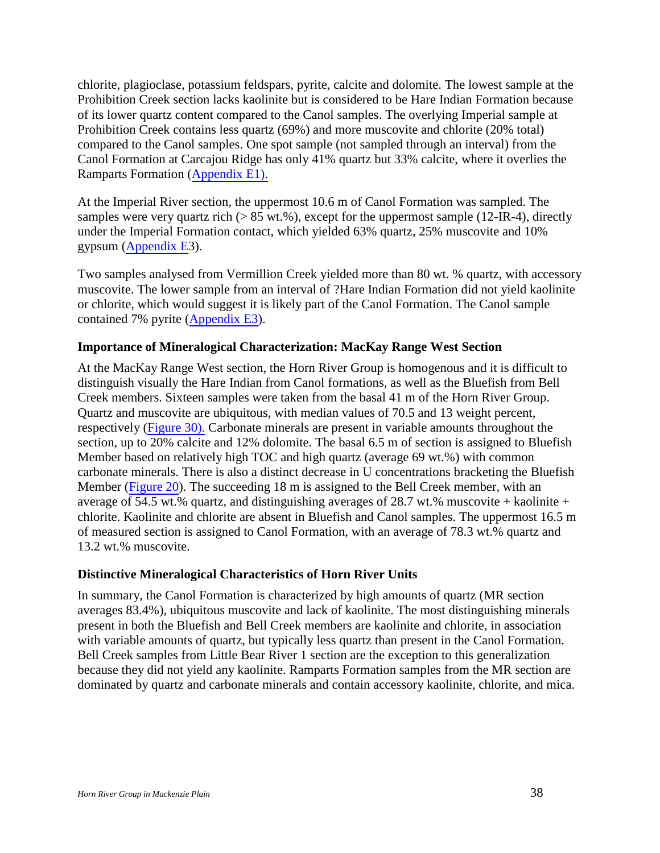chlorite, plagioclase, potassium feldspars, pyrite, calcite and dolomite. The lowest sample at the Prohibition Creek section lacks kaolinite but is considered to be Hare Indian Formation because of its lower quartz content compared to the Canol samples. The overlying Imperial sample at Prohibition Creek contains less quartz (69%) and more muscovite and chlorite (20% total) compared to the Canol samples. One spot sample (not sampled through an interval) from the Canol Formation at Carcajou Ridge has only 41% quartz but 33% calcite, where it overlies the Ramparts Formation (Appendix E1).

At the Imperial River section, the uppermost 10.6 m of Canol Formation was sampled. The samples were very quartz rich ( $> 85$  wt.%), except for the uppermost sample (12-IR-4), directly under the Imperial Formation contact, which yielded 63% quartz, 25% muscovite and 10% gypsum (Appendix E3).

Two samples analysed from Vermillion Creek yielded more than 80 wt. % quartz, with accessory muscovite. The lower sample from an interval of ?Hare Indian Formation did not yield kaolinite or chlorite, which would suggest it is likely part of the Canol Formation. The Canol sample contained 7% pyrite (Appendix E3).

#### <span id="page-37-0"></span>**Importance of Mineralogical Characterization: MacKay Range West Section**

At the MacKay Range West section, the Horn River Group is homogenous and it is difficult to distinguish visually the Hare Indian from Canol formations, as well as the Bluefish from Bell Creek members. Sixteen samples were taken from the basal 41 m of the Horn River Group. Quartz and muscovite are ubiquitous, with median values of 70.5 and 13 weight percent, respectively (Figure 30). Carbonate minerals are present in variable amounts throughout the section, up to 20% calcite and 12% dolomite. The basal 6.5 m of section is assigned to Bluefish Member based on relatively high TOC and high quartz (average 69 wt.%) with common carbonate minerals. There is also a distinct decrease in U concentrations bracketing the Bluefish Member (Figure 20). The succeeding 18 m is assigned to the Bell Creek member, with an average of 54.5 wt.% quartz, and distinguishing averages of 28.7 wt.% muscovite + kaolinite + chlorite. Kaolinite and chlorite are absent in Bluefish and Canol samples. The uppermost 16.5 m of measured section is assigned to Canol Formation, with an average of 78.3 wt.% quartz and 13.2 wt.% muscovite.

#### <span id="page-37-1"></span>**Distinctive Mineralogical Characteristics of Horn River Units**

In summary, the Canol Formation is characterized by high amounts of quartz (MR section averages 83.4%), ubiquitous muscovite and lack of kaolinite. The most distinguishing minerals present in both the Bluefish and Bell Creek members are kaolinite and chlorite, in association with variable amounts of quartz, but typically less quartz than present in the Canol Formation. Bell Creek samples from Little Bear River 1 section are the exception to this generalization because they did not yield any kaolinite. Ramparts Formation samples from the MR section are dominated by quartz and carbonate minerals and contain accessory kaolinite, chlorite, and mica.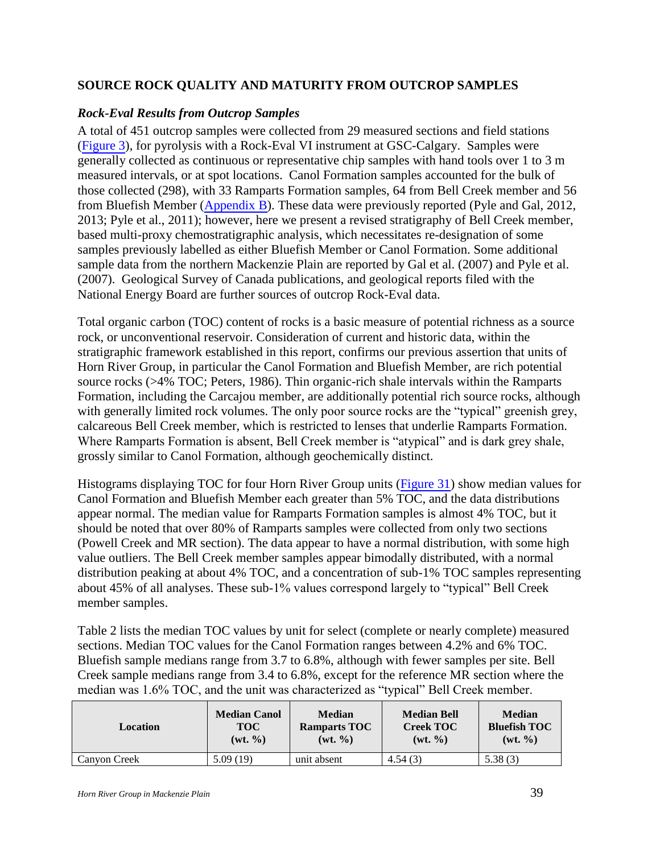## <span id="page-38-0"></span>**SOURCE ROCK QUALITY AND MATURITY FROM OUTCROP SAMPLES**

## <span id="page-38-1"></span>*Rock-Eval Results from Outcrop Samples*

A total of 451 outcrop samples were collected from 29 measured sections and field stations (Figure 3), for pyrolysis with a Rock-Eval VI instrument at GSC-Calgary. Samples were generally collected as continuous or representative chip samples with hand tools over 1 to 3 m measured intervals, or at spot locations. Canol Formation samples accounted for the bulk of those collected (298), with 33 Ramparts Formation samples, 64 from Bell Creek member and 56 from Bluefish Member (Appendix B). These data were previously reported (Pyle and Gal, 2012, 2013; Pyle et al., 2011); however, here we present a revised stratigraphy of Bell Creek member, based multi-proxy chemostratigraphic analysis, which necessitates re-designation of some samples previously labelled as either Bluefish Member or Canol Formation. Some additional sample data from the northern Mackenzie Plain are reported by Gal et al. (2007) and Pyle et al. (2007). Geological Survey of Canada publications, and geological reports filed with the National Energy Board are further sources of outcrop Rock-Eval data.

Total organic carbon (TOC) content of rocks is a basic measure of potential richness as a source rock, or unconventional reservoir. Consideration of current and historic data, within the stratigraphic framework established in this report, confirms our previous assertion that units of Horn River Group, in particular the Canol Formation and Bluefish Member, are rich potential source rocks (>4% TOC; Peters, 1986). Thin organic-rich shale intervals within the Ramparts Formation, including the Carcajou member, are additionally potential rich source rocks, although with generally limited rock volumes. The only poor source rocks are the "typical" greenish grey, calcareous Bell Creek member, which is restricted to lenses that underlie Ramparts Formation. Where Ramparts Formation is absent, Bell Creek member is "atypical" and is dark grey shale, grossly similar to Canol Formation, although geochemically distinct.

Histograms displaying TOC for four Horn River Group units (Figure 31) show median values for Canol Formation and Bluefish Member each greater than 5% TOC, and the data distributions appear normal. The median value for Ramparts Formation samples is almost 4% TOC, but it should be noted that over 80% of Ramparts samples were collected from only two sections (Powell Creek and MR section). The data appear to have a normal distribution, with some high value outliers. The Bell Creek member samples appear bimodally distributed, with a normal distribution peaking at about 4% TOC, and a concentration of sub-1% TOC samples representing about 45% of all analyses. These sub-1% values correspond largely to "typical" Bell Creek member samples.

Table 2 lists the median TOC values by unit for select (complete or nearly complete) measured sections. Median TOC values for the Canol Formation ranges between 4.2% and 6% TOC. Bluefish sample medians range from 3.7 to 6.8%, although with fewer samples per site. Bell Creek sample medians range from 3.4 to 6.8%, except for the reference MR section where the median was 1.6% TOC, and the unit was characterized as "typical" Bell Creek member.

| Location     | <b>Median Canol</b> | <b>Median</b>       | <b>Median Bell</b>  | <b>Median</b>       |
|--------------|---------------------|---------------------|---------------------|---------------------|
|              | <b>TOC</b>          | <b>Ramparts TOC</b> | <b>Creek TOC</b>    | <b>Bluefish TOC</b> |
|              | $(wt, \frac{9}{6})$ | $(wt, \frac{9}{6})$ | $(wt, \frac{9}{9})$ | $(wt, \frac{9}{6})$ |
| Canyon Creek | 5.09 (19)           | unit absent         | 4.54(3)             | 5.38(3)             |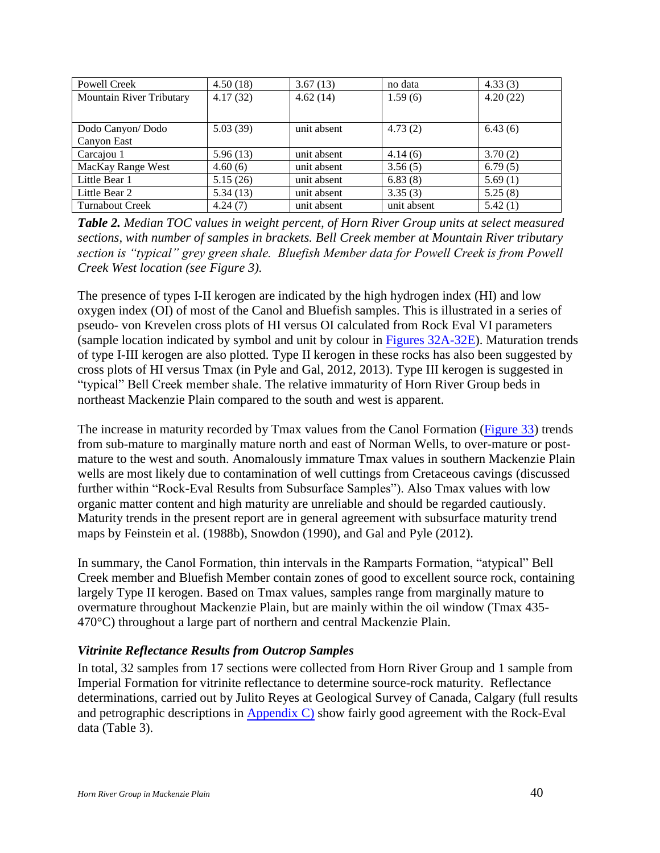| <b>Powell Creek</b>      | 4.50(18) | 3.67(13)    | no data     | 4.33(3)  |
|--------------------------|----------|-------------|-------------|----------|
| Mountain River Tributary | 4.17(32) | 4.62(14)    | 1.59(6)     | 4.20(22) |
|                          |          |             |             |          |
|                          |          |             |             |          |
| Dodo Canyon/Dodo         | 5.03(39) | unit absent | 4.73(2)     | 6.43(6)  |
| Canyon East              |          |             |             |          |
| Carcajou 1               | 5.96(13) | unit absent | 4.14(6)     | 3.70(2)  |
| MacKay Range West        | 4.60(6)  | unit absent | 3.56(5)     | 6.79(5)  |
| Little Bear 1            | 5.15(26) | unit absent | 6.83(8)     | 5.69(1)  |
| Little Bear 2            | 5.34(13) | unit absent | 3.35(3)     | 5.25(8)  |
| <b>Turnabout Creek</b>   | 4.24(7)  | unit absent | unit absent | 5.42(1)  |

*Table 2. Median TOC values in weight percent, of Horn River Group units at select measured sections, with number of samples in brackets. Bell Creek member at Mountain River tributary section is "typical" grey green shale. Bluefish Member data for Powell Creek is from Powell Creek West location (see Figure 3).*

The presence of types I-II kerogen are indicated by the high hydrogen index (HI) and low oxygen index (OI) of most of the Canol and Bluefish samples. This is illustrated in a series of pseudo- von Krevelen cross plots of HI versus OI calculated from Rock Eval VI parameters (sample location indicated by symbol and unit by colour in Figures 32A-32E). Maturation trends of type I-III kerogen are also plotted. Type II kerogen in these rocks has also been suggested by cross plots of HI versus Tmax (in Pyle and Gal, 2012, 2013). Type III kerogen is suggested in "typical" Bell Creek member shale. The relative immaturity of Horn River Group beds in northeast Mackenzie Plain compared to the south and west is apparent.

The increase in maturity recorded by Tmax values from the Canol Formation (Figure 33) trends from sub-mature to marginally mature north and east of Norman Wells, to over-mature or postmature to the west and south. Anomalously immature Tmax values in southern Mackenzie Plain wells are most likely due to contamination of well cuttings from Cretaceous cavings (discussed further within "Rock-Eval Results from Subsurface Samples"). Also Tmax values with low organic matter content and high maturity are unreliable and should be regarded cautiously. Maturity trends in the present report are in general agreement with subsurface maturity trend maps by Feinstein et al. (1988b), Snowdon (1990), and Gal and Pyle (2012).

In summary, the Canol Formation, thin intervals in the Ramparts Formation, "atypical" Bell Creek member and Bluefish Member contain zones of good to excellent source rock, containing largely Type II kerogen. Based on Tmax values, samples range from marginally mature to overmature throughout Mackenzie Plain, but are mainly within the oil window (Tmax 435- 470°C) throughout a large part of northern and central Mackenzie Plain.

#### <span id="page-39-0"></span>*Vitrinite Reflectance Results from Outcrop Samples*

In total, 32 samples from 17 sections were collected from Horn River Group and 1 sample from Imperial Formation for vitrinite reflectance to determine source-rock maturity. Reflectance determinations, carried out by Julito Reyes at Geological Survey of Canada, Calgary (full results and petrographic descriptions in Appendix C) show fairly good agreement with the Rock-Eval data (Table 3).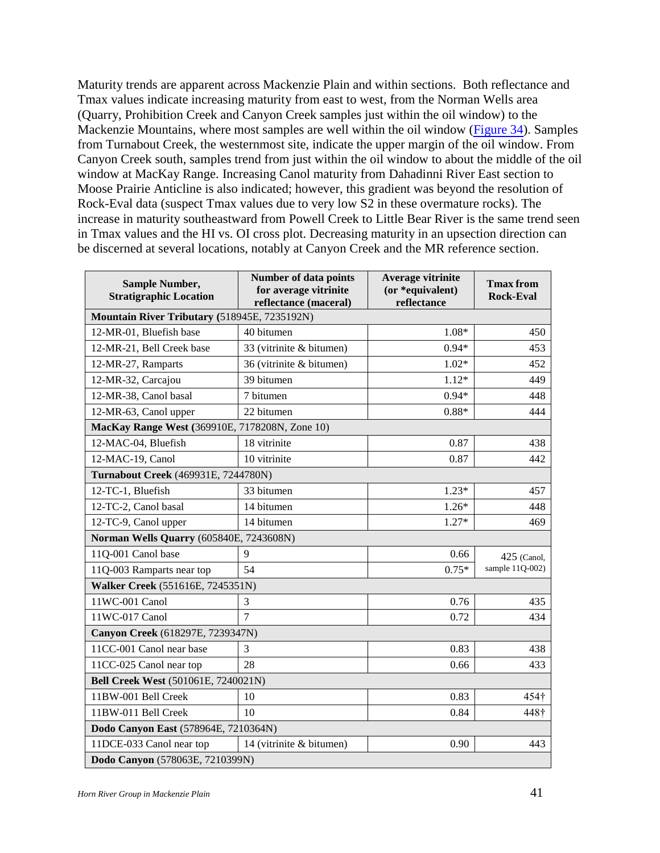Maturity trends are apparent across Mackenzie Plain and within sections. Both reflectance and Tmax values indicate increasing maturity from east to west, from the Norman Wells area (Quarry, Prohibition Creek and Canyon Creek samples just within the oil window) to the Mackenzie Mountains, where most samples are well within the oil window (Figure 34). Samples from Turnabout Creek, the westernmost site, indicate the upper margin of the oil window. From Canyon Creek south, samples trend from just within the oil window to about the middle of the oil window at MacKay Range. Increasing Canol maturity from Dahadinni River East section to Moose Prairie Anticline is also indicated; however, this gradient was beyond the resolution of Rock-Eval data (suspect Tmax values due to very low S2 in these overmature rocks). The increase in maturity southeastward from Powell Creek to Little Bear River is the same trend seen in Tmax values and the HI vs. OI cross plot. Decreasing maturity in an upsection direction can be discerned at several locations, notably at Canyon Creek and the MR reference section.

| <b>Sample Number,</b><br><b>Stratigraphic Location</b> | <b>Number of data points</b><br>for average vitrinite<br>reflectance (maceral) | Average vitrinite<br>(or *equivalent)<br>reflectance | <b>Tmax from</b><br><b>Rock-Eval</b> |  |  |  |  |
|--------------------------------------------------------|--------------------------------------------------------------------------------|------------------------------------------------------|--------------------------------------|--|--|--|--|
| Mountain River Tributary (518945E, 7235192N)           |                                                                                |                                                      |                                      |  |  |  |  |
| 12-MR-01, Bluefish base                                | 40 bitumen                                                                     | 1.08*                                                | 450                                  |  |  |  |  |
| 12-MR-21, Bell Creek base                              | 33 (vitrinite & bitumen)                                                       | $0.94*$                                              | 453                                  |  |  |  |  |
| 12-MR-27, Ramparts                                     | 36 (vitrinite & bitumen)                                                       | $1.02*$                                              | 452                                  |  |  |  |  |
| 12-MR-32, Carcajou                                     | 39 bitumen                                                                     | $1.12*$                                              | 449                                  |  |  |  |  |
| 12-MR-38, Canol basal                                  | 7 bitumen                                                                      | $0.94*$                                              | 448                                  |  |  |  |  |
| 12-MR-63, Canol upper                                  | 22 bitumen                                                                     | $0.88*$                                              | 444                                  |  |  |  |  |
| MacKay Range West (369910E, 7178208N, Zone 10)         |                                                                                |                                                      |                                      |  |  |  |  |
| 12-MAC-04, Bluefish                                    | 18 vitrinite                                                                   | 0.87                                                 | 438                                  |  |  |  |  |
| 12-MAC-19, Canol                                       | 10 vitrinite                                                                   | 0.87                                                 | 442                                  |  |  |  |  |
| Turnabout Creek (469931E, 7244780N)                    |                                                                                |                                                      |                                      |  |  |  |  |
| 12-TC-1, Bluefish                                      | 33 bitumen                                                                     | $1.23*$                                              | 457                                  |  |  |  |  |
| 12-TC-2, Canol basal                                   | 14 bitumen                                                                     | $1.26*$                                              | 448                                  |  |  |  |  |
| 12-TC-9, Canol upper                                   | 14 bitumen                                                                     | $1.27*$                                              | 469                                  |  |  |  |  |
| Norman Wells Quarry (605840E, 7243608N)                |                                                                                |                                                      |                                      |  |  |  |  |
| 11Q-001 Canol base                                     | $\mathbf{Q}$                                                                   | 0.66                                                 | $425$ (Canol.                        |  |  |  |  |
| 11Q-003 Ramparts near top                              | 54                                                                             | $0.75*$                                              | sample 11Q-002)                      |  |  |  |  |
| Walker Creek (551616E, 7245351N)                       |                                                                                |                                                      |                                      |  |  |  |  |
| 11WC-001 Canol                                         | 3                                                                              | 0.76                                                 | 435                                  |  |  |  |  |
| 11WC-017 Canol                                         | $\overline{7}$                                                                 | 0.72                                                 | 434                                  |  |  |  |  |
| Canyon Creek (618297E, 7239347N)                       |                                                                                |                                                      |                                      |  |  |  |  |
| 11CC-001 Canol near base                               | 3                                                                              | 0.83                                                 | 438                                  |  |  |  |  |
| 11CC-025 Canol near top                                | 28                                                                             | 0.66                                                 | 433                                  |  |  |  |  |
| <b>Bell Creek West (501061E, 7240021N)</b>             |                                                                                |                                                      |                                      |  |  |  |  |
| 11BW-001 Bell Creek                                    | 10                                                                             | 0.83                                                 | 454†                                 |  |  |  |  |
| 11BW-011 Bell Creek                                    | 10                                                                             | 0.84                                                 | 448†                                 |  |  |  |  |
| Dodo Canyon East (578964E, 7210364N)                   |                                                                                |                                                      |                                      |  |  |  |  |
| 11DCE-033 Canol near top                               | 14 (vitrinite & bitumen)                                                       | 0.90                                                 | 443                                  |  |  |  |  |
| Dodo Canyon (578063E, 7210399N)                        |                                                                                |                                                      |                                      |  |  |  |  |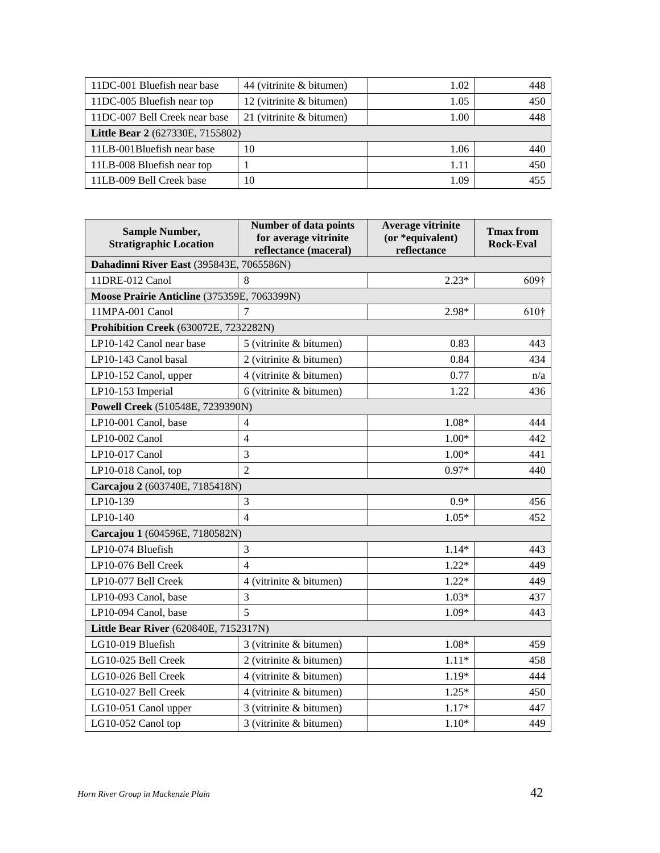| 11DC-001 Bluefish near base             | 44 (vitrinite & bitumen)   | 1.02 | 448 |  |  |  |
|-----------------------------------------|----------------------------|------|-----|--|--|--|
| 11DC-005 Bluefish near top              | 12 (vitrinite & bitumen)   | 1.05 | 450 |  |  |  |
| 11DC-007 Bell Creek near base           | 21 (vitrinite $&$ bitumen) | 1.00 | 448 |  |  |  |
| <b>Little Bear 2</b> (627330E, 7155802) |                            |      |     |  |  |  |
| 11LB-001Bluefish near base              | 10                         | 1.06 | 440 |  |  |  |
| 11LB-008 Bluefish near top              |                            | 1.11 | 450 |  |  |  |
| 11LB-009 Bell Creek base                | 10                         | 1.09 | 455 |  |  |  |

| <b>Sample Number,</b><br><b>Stratigraphic Location</b> | <b>Number of data points</b><br>for average vitrinite<br>reflectance (maceral) | Average vitrinite<br>(or *equivalent)<br>reflectance | <b>Tmax from</b><br><b>Rock-Eval</b> |  |  |  |  |  |
|--------------------------------------------------------|--------------------------------------------------------------------------------|------------------------------------------------------|--------------------------------------|--|--|--|--|--|
| Dahadinni River East (395843E, 7065586N)               |                                                                                |                                                      |                                      |  |  |  |  |  |
| 11DRE-012 Canol                                        | 8                                                                              | $2.23*$                                              | 609 <sup>†</sup>                     |  |  |  |  |  |
| Moose Prairie Anticline (375359E, 7063399N)            |                                                                                |                                                      |                                      |  |  |  |  |  |
| 11MPA-001 Canol                                        | $\overline{7}$                                                                 | 2.98*                                                | 610 <sup>†</sup>                     |  |  |  |  |  |
| <b>Prohibition Creek</b> (630072E, 7232282N)           |                                                                                |                                                      |                                      |  |  |  |  |  |
| LP10-142 Canol near base                               | 5 (vitrinite & bitumen)                                                        | 0.83                                                 | 443                                  |  |  |  |  |  |
| LP10-143 Canol basal                                   | 2 (vitrinite & bitumen)                                                        | 0.84                                                 | 434                                  |  |  |  |  |  |
| LP10-152 Canol, upper                                  | 4 (vitrinite & bitumen)                                                        | 0.77                                                 | n/a                                  |  |  |  |  |  |
| LP10-153 Imperial                                      | 6 (vitrinite & bitumen)                                                        | 1.22                                                 | 436                                  |  |  |  |  |  |
| Powell Creek (510548E, 7239390N)                       |                                                                                |                                                      |                                      |  |  |  |  |  |
| LP10-001 Canol, base                                   | $\overline{4}$                                                                 | 1.08*                                                | 444                                  |  |  |  |  |  |
| LP10-002 Canol                                         | 4                                                                              | $1.00*$                                              | 442                                  |  |  |  |  |  |
| LP10-017 Canol                                         | 3                                                                              | $1.00*$                                              | 441                                  |  |  |  |  |  |
| LP10-018 Canol, top                                    | $\overline{2}$                                                                 | $0.97*$                                              | 440                                  |  |  |  |  |  |
| Carcajou 2 (603740E, 7185418N)                         |                                                                                |                                                      |                                      |  |  |  |  |  |
| LP10-139                                               | 3                                                                              | $0.9*$                                               | 456                                  |  |  |  |  |  |
| LP10-140                                               | $\overline{4}$                                                                 | $1.05*$                                              | 452                                  |  |  |  |  |  |
| Carcajou 1 (604596E, 7180582N)                         |                                                                                |                                                      |                                      |  |  |  |  |  |
| LP10-074 Bluefish                                      | 3                                                                              | $1.14*$                                              | 443                                  |  |  |  |  |  |
| LP10-076 Bell Creek                                    | $\overline{\mathcal{L}}$                                                       | $1.22*$                                              | 449                                  |  |  |  |  |  |
| LP10-077 Bell Creek                                    | 4 (vitrinite & bitumen)                                                        | $1.22*$                                              | 449.                                 |  |  |  |  |  |
| LP10-093 Canol, base                                   | 3                                                                              | $1.03*$                                              | 437                                  |  |  |  |  |  |
| LP10-094 Canol, base                                   | 5                                                                              | $1.09*$                                              | 443                                  |  |  |  |  |  |
| Little Bear River (620840E, 7152317N)                  |                                                                                |                                                      |                                      |  |  |  |  |  |
| LG10-019 Bluefish                                      | 3 (vitrinite & bitumen)                                                        | $1.08*$                                              | 459.                                 |  |  |  |  |  |
| LG10-025 Bell Creek                                    | 2 (vitrinite & bitumen)                                                        | $1.11*$                                              | 458                                  |  |  |  |  |  |
| LG10-026 Bell Creek                                    | 4 (vitrinite & bitumen)                                                        | 1.19*                                                | 444                                  |  |  |  |  |  |
| LG10-027 Bell Creek                                    | 4 (vitrinite & bitumen)                                                        | $1.25*$                                              | 450                                  |  |  |  |  |  |
| LG10-051 Canol upper                                   | 3 (vitrinite & bitumen)                                                        | $1.17*$                                              | 447                                  |  |  |  |  |  |
| LG10-052 Canol top                                     | 3 (vitrinite & bitumen)                                                        | $1.10*$                                              | 449                                  |  |  |  |  |  |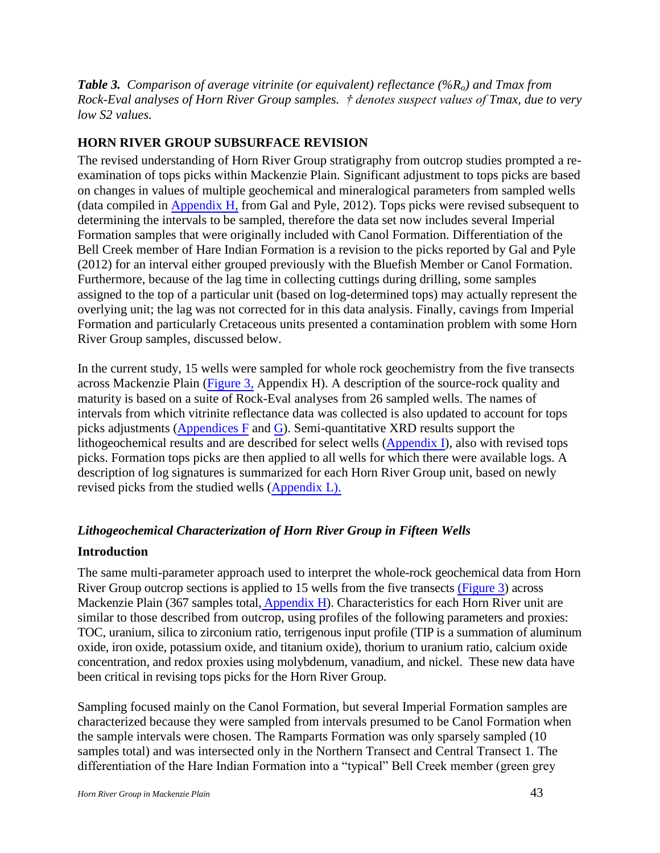*Table 3. Comparison of average vitrinite (or equivalent) reflectance (%Ro) and Tmax from Rock-Eval analyses of Horn River Group samples. † denotes suspect values of Tmax, due to very low S2 values.* 

## <span id="page-42-0"></span>**HORN RIVER GROUP SUBSURFACE REVISION**

The revised understanding of Horn River Group stratigraphy from outcrop studies prompted a reexamination of tops picks within Mackenzie Plain. Significant adjustment to tops picks are based on changes in values of multiple geochemical and mineralogical parameters from sampled wells (data compiled in Appendix H, from Gal and Pyle, 2012). Tops picks were revised subsequent to determining the intervals to be sampled, therefore the data set now includes several Imperial Formation samples that were originally included with Canol Formation. Differentiation of the Bell Creek member of Hare Indian Formation is a revision to the picks reported by Gal and Pyle (2012) for an interval either grouped previously with the Bluefish Member or Canol Formation. Furthermore, because of the lag time in collecting cuttings during drilling, some samples assigned to the top of a particular unit (based on log-determined tops) may actually represent the overlying unit; the lag was not corrected for in this data analysis. Finally, cavings from Imperial Formation and particularly Cretaceous units presented a contamination problem with some Horn River Group samples, discussed below.

In the current study, 15 wells were sampled for whole rock geochemistry from the five transects across Mackenzie Plain (Figure 3, Appendix H). A description of the source-rock quality and maturity is based on a suite of Rock-Eval analyses from 26 sampled wells. The names of intervals from which vitrinite reflectance data was collected is also updated to account for tops picks adjustments (Appendices F and G). Semi-quantitative XRD results support the lithogeochemical results and are described for select wells (Appendix I), also with revised tops picks. Formation tops picks are then applied to all wells for which there were available logs. A description of log signatures is summarized for each Horn River Group unit, based on newly revised picks from the studied wells (Appendix L).

## <span id="page-42-1"></span>*Lithogeochemical Characterization of Horn River Group in Fifteen Wells*

#### <span id="page-42-2"></span>**Introduction**

The same multi-parameter approach used to interpret the whole-rock geochemical data from Horn River Group outcrop sections is applied to 15 wells from the five transects (Figure 3) across Mackenzie Plain (367 samples total, Appendix H). Characteristics for each Horn River unit are similar to those described from outcrop, using profiles of the following parameters and proxies: TOC, uranium, silica to zirconium ratio, terrigenous input profile (TIP is a summation of aluminum oxide, iron oxide, potassium oxide, and titanium oxide), thorium to uranium ratio, calcium oxide concentration, and redox proxies using molybdenum, vanadium, and nickel. These new data have been critical in revising tops picks for the Horn River Group.

Sampling focused mainly on the Canol Formation, but several Imperial Formation samples are characterized because they were sampled from intervals presumed to be Canol Formation when the sample intervals were chosen. The Ramparts Formation was only sparsely sampled (10 samples total) and was intersected only in the Northern Transect and Central Transect 1. The differentiation of the Hare Indian Formation into a "typical" Bell Creek member (green grey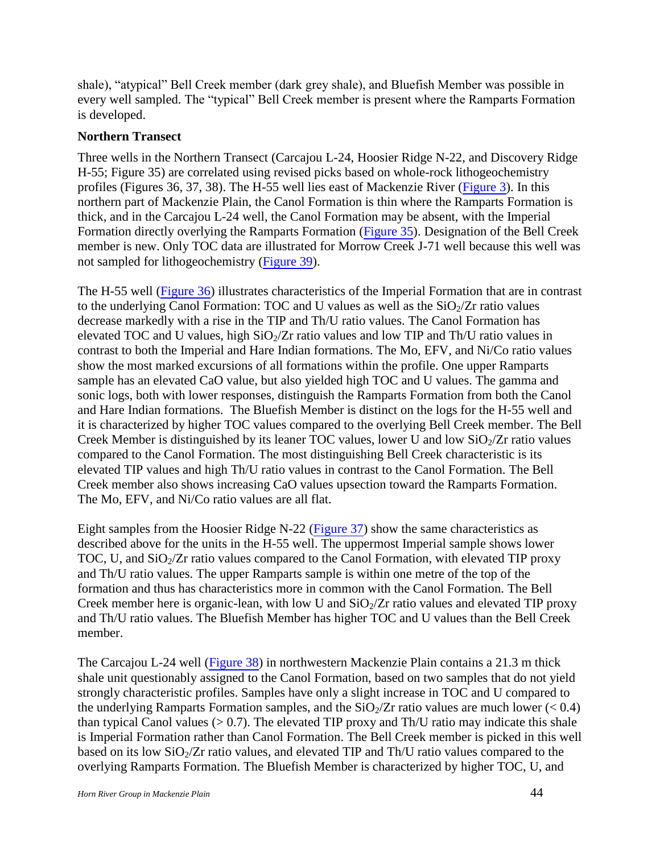shale), "atypical" Bell Creek member (dark grey shale), and Bluefish Member was possible in every well sampled. The "typical" Bell Creek member is present where the Ramparts Formation is developed.

## <span id="page-43-0"></span>**Northern Transect**

Three wells in the Northern Transect (Carcajou L-24, Hoosier Ridge N-22, and Discovery Ridge H-55; Figure 35) are correlated using revised picks based on whole-rock lithogeochemistry profiles (Figures 36, 37, 38). The H-55 well lies east of Mackenzie River (Figure 3). In this northern part of Mackenzie Plain, the Canol Formation is thin where the Ramparts Formation is thick, and in the Carcajou L-24 well, the Canol Formation may be absent, with the Imperial Formation directly overlying the Ramparts Formation (Figure 35). Designation of the Bell Creek member is new. Only TOC data are illustrated for Morrow Creek J-71 well because this well was not sampled for lithogeochemistry (Figure 39).

The H-55 well (Figure 36) illustrates characteristics of the Imperial Formation that are in contrast to the underlying Canol Formation: TOC and U values as well as the  $SiO<sub>2</sub>/Zr$  ratio values decrease markedly with a rise in the TIP and Th/U ratio values. The Canol Formation has elevated TOC and U values, high  $SiO_2/Zr$  ratio values and low TIP and Th/U ratio values in contrast to both the Imperial and Hare Indian formations. The Mo, EFV, and Ni/Co ratio values show the most marked excursions of all formations within the profile. One upper Ramparts sample has an elevated CaO value, but also yielded high TOC and U values. The gamma and sonic logs, both with lower responses, distinguish the Ramparts Formation from both the Canol and Hare Indian formations. The Bluefish Member is distinct on the logs for the H-55 well and it is characterized by higher TOC values compared to the overlying Bell Creek member. The Bell Creek Member is distinguished by its leaner TOC values, lower U and low  $SiO<sub>2</sub>/Zr$  ratio values compared to the Canol Formation. The most distinguishing Bell Creek characteristic is its elevated TIP values and high Th/U ratio values in contrast to the Canol Formation. The Bell Creek member also shows increasing CaO values upsection toward the Ramparts Formation. The Mo, EFV, and Ni/Co ratio values are all flat.

Eight samples from the Hoosier Ridge N-22 (Figure 37) show the same characteristics as described above for the units in the H-55 well. The uppermost Imperial sample shows lower TOC, U, and  $SiO<sub>2</sub>/Zr$  ratio values compared to the Canol Formation, with elevated TIP proxy and Th/U ratio values. The upper Ramparts sample is within one metre of the top of the formation and thus has characteristics more in common with the Canol Formation. The Bell Creek member here is organic-lean, with low U and  $SiO<sub>2</sub>/Zr$  ratio values and elevated TIP proxy and Th/U ratio values. The Bluefish Member has higher TOC and U values than the Bell Creek member.

The Carcajou L-24 well (Figure 38) in northwestern Mackenzie Plain contains a 21.3 m thick shale unit questionably assigned to the Canol Formation, based on two samples that do not yield strongly characteristic profiles. Samples have only a slight increase in TOC and U compared to the underlying Ramparts Formation samples, and the  $SiO_2/Zr$  ratio values are much lower (< 0.4) than typical Canol values  $(> 0.7)$ . The elevated TIP proxy and Th/U ratio may indicate this shale is Imperial Formation rather than Canol Formation. The Bell Creek member is picked in this well based on its low  $SiO<sub>2</sub>/Zr$  ratio values, and elevated TIP and Th/U ratio values compared to the overlying Ramparts Formation. The Bluefish Member is characterized by higher TOC, U, and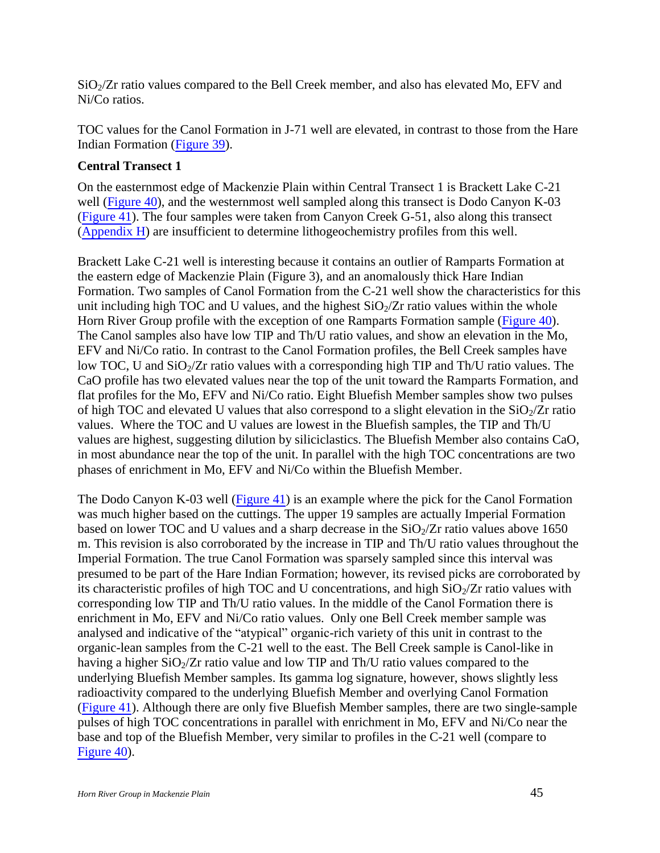$SiO<sub>2</sub>/Zr$  ratio values compared to the Bell Creek member, and also has elevated Mo, EFV and Ni/Co ratios.

TOC values for the Canol Formation in J-71 well are elevated, in contrast to those from the Hare Indian Formation (Figure 39).

## <span id="page-44-0"></span>**Central Transect 1**

On the easternmost edge of Mackenzie Plain within Central Transect 1 is Brackett Lake C-21 well (Figure 40), and the westernmost well sampled along this transect is Dodo Canyon K-03 (Figure 41). The four samples were taken from Canyon Creek G-51, also along this transect (Appendix H) are insufficient to determine lithogeochemistry profiles from this well.

Brackett Lake C-21 well is interesting because it contains an outlier of Ramparts Formation at the eastern edge of Mackenzie Plain (Figure 3), and an anomalously thick Hare Indian Formation. Two samples of Canol Formation from the C-21 well show the characteristics for this unit including high TOC and U values, and the highest  $SiO<sub>2</sub>/Zr$  ratio values within the whole Horn River Group profile with the exception of one Ramparts Formation sample (Figure 40). The Canol samples also have low TIP and Th/U ratio values, and show an elevation in the Mo, EFV and Ni/Co ratio. In contrast to the Canol Formation profiles, the Bell Creek samples have low TOC, U and  $SiO<sub>2</sub>/Zr$  ratio values with a corresponding high TIP and Th/U ratio values. The CaO profile has two elevated values near the top of the unit toward the Ramparts Formation, and flat profiles for the Mo, EFV and Ni/Co ratio. Eight Bluefish Member samples show two pulses of high TOC and elevated U values that also correspond to a slight elevation in the  $SiO<sub>2</sub>/Zr$  ratio values. Where the TOC and U values are lowest in the Bluefish samples, the TIP and Th/U values are highest, suggesting dilution by siliciclastics. The Bluefish Member also contains CaO, in most abundance near the top of the unit. In parallel with the high TOC concentrations are two phases of enrichment in Mo, EFV and Ni/Co within the Bluefish Member.

The Dodo Canyon K-03 well (Figure 41) is an example where the pick for the Canol Formation was much higher based on the cuttings. The upper 19 samples are actually Imperial Formation based on lower TOC and U values and a sharp decrease in the  $SiO<sub>2</sub>/Zr$  ratio values above 1650 m. This revision is also corroborated by the increase in TIP and Th/U ratio values throughout the Imperial Formation. The true Canol Formation was sparsely sampled since this interval was presumed to be part of the Hare Indian Formation; however, its revised picks are corroborated by its characteristic profiles of high TOC and U concentrations, and high  $SiO<sub>2</sub>/Zr$  ratio values with corresponding low TIP and Th/U ratio values. In the middle of the Canol Formation there is enrichment in Mo, EFV and Ni/Co ratio values. Only one Bell Creek member sample was analysed and indicative of the "atypical" organic-rich variety of this unit in contrast to the organic-lean samples from the C-21 well to the east. The Bell Creek sample is Canol-like in having a higher  $SiO_2/Zr$  ratio value and low TIP and Th/U ratio values compared to the underlying Bluefish Member samples. Its gamma log signature, however, shows slightly less radioactivity compared to the underlying Bluefish Member and overlying Canol Formation (Figure 41). Although there are only five Bluefish Member samples, there are two single-sample pulses of high TOC concentrations in parallel with enrichment in Mo, EFV and Ni/Co near the base and top of the Bluefish Member, very similar to profiles in the C-21 well (compare to Figure 40).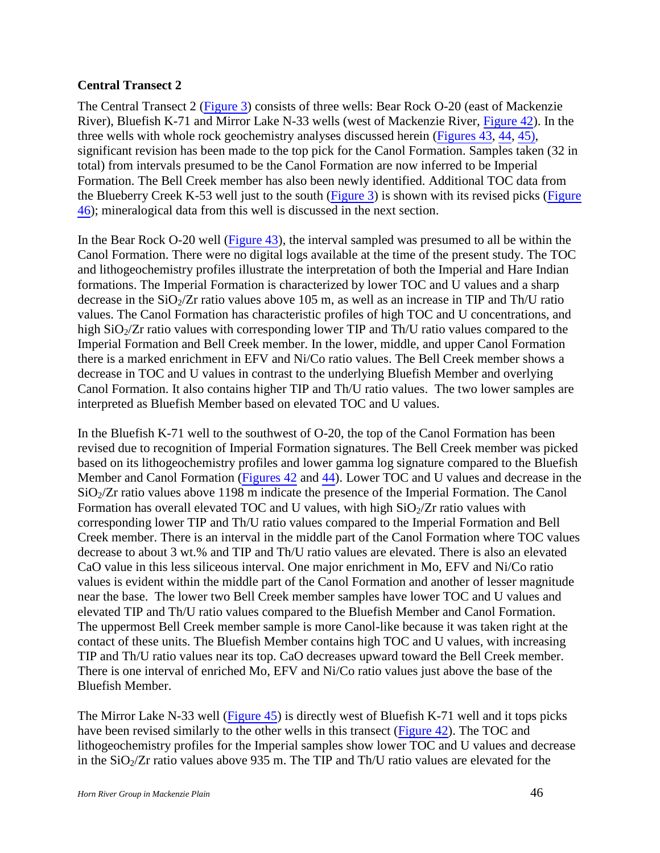## <span id="page-45-0"></span>**Central Transect 2**

The Central Transect 2 (Figure 3) consists of three wells: Bear Rock O-20 (east of Mackenzie River), Bluefish K-71 and Mirror Lake N-33 wells (west of Mackenzie River, Figure 42). In the three wells with whole rock geochemistry analyses discussed herein (Figures 43, 44, 45), significant revision has been made to the top pick for the Canol Formation. Samples taken (32 in total) from intervals presumed to be the Canol Formation are now inferred to be Imperial Formation. The Bell Creek member has also been newly identified. Additional TOC data from the Blueberry Creek K-53 well just to the south (Figure 3) is shown with its revised picks (Figure 46); mineralogical data from this well is discussed in the next section.

In the Bear Rock O-20 well (Figure 43), the interval sampled was presumed to all be within the Canol Formation. There were no digital logs available at the time of the present study. The TOC and lithogeochemistry profiles illustrate the interpretation of both the Imperial and Hare Indian formations. The Imperial Formation is characterized by lower TOC and U values and a sharp decrease in the  $SiO<sub>2</sub>/Zr$  ratio values above 105 m, as well as an increase in TIP and Th/U ratio values. The Canol Formation has characteristic profiles of high TOC and U concentrations, and high  $SiO<sub>2</sub>/Zr$  ratio values with corresponding lower TIP and Th/U ratio values compared to the Imperial Formation and Bell Creek member. In the lower, middle, and upper Canol Formation there is a marked enrichment in EFV and Ni/Co ratio values. The Bell Creek member shows a decrease in TOC and U values in contrast to the underlying Bluefish Member and overlying Canol Formation. It also contains higher TIP and Th/U ratio values. The two lower samples are interpreted as Bluefish Member based on elevated TOC and U values.

In the Bluefish K-71 well to the southwest of  $O-20$ , the top of the Canol Formation has been revised due to recognition of Imperial Formation signatures. The Bell Creek member was picked based on its lithogeochemistry profiles and lower gamma log signature compared to the Bluefish Member and Canol Formation (Figures 42 and 44). Lower TOC and U values and decrease in the  $SiO<sub>2</sub>/Zr$  ratio values above 1198 m indicate the presence of the Imperial Formation. The Canol Formation has overall elevated TOC and U values, with high  $SiO<sub>2</sub>/Zr$  ratio values with corresponding lower TIP and Th/U ratio values compared to the Imperial Formation and Bell Creek member. There is an interval in the middle part of the Canol Formation where TOC values decrease to about 3 wt.% and TIP and Th/U ratio values are elevated. There is also an elevated CaO value in this less siliceous interval. One major enrichment in Mo, EFV and Ni/Co ratio values is evident within the middle part of the Canol Formation and another of lesser magnitude near the base. The lower two Bell Creek member samples have lower TOC and U values and elevated TIP and Th/U ratio values compared to the Bluefish Member and Canol Formation. The uppermost Bell Creek member sample is more Canol-like because it was taken right at the contact of these units. The Bluefish Member contains high TOC and U values, with increasing TIP and Th/U ratio values near its top. CaO decreases upward toward the Bell Creek member. There is one interval of enriched Mo, EFV and Ni/Co ratio values just above the base of the Bluefish Member.

The Mirror Lake N-33 well (Figure 45) is directly west of Bluefish K-71 well and it tops picks have been revised similarly to the other wells in this transect (Figure 42). The TOC and lithogeochemistry profiles for the Imperial samples show lower TOC and U values and decrease in the  $SiO<sub>2</sub>/Zr$  ratio values above 935 m. The TIP and Th/U ratio values are elevated for the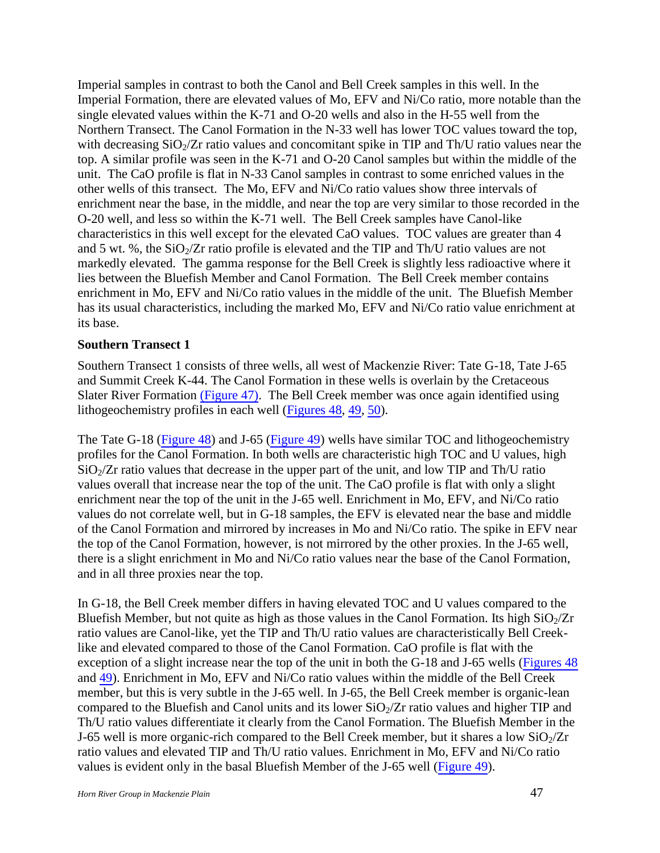Imperial samples in contrast to both the Canol and Bell Creek samples in this well. In the Imperial Formation, there are elevated values of Mo, EFV and Ni/Co ratio, more notable than the single elevated values within the K-71 and O-20 wells and also in the H-55 well from the Northern Transect. The Canol Formation in the N-33 well has lower TOC values toward the top, with decreasing  $SiO<sub>2</sub>/Zr$  ratio values and concomitant spike in TIP and Th/U ratio values near the top. A similar profile was seen in the K-71 and O-20 Canol samples but within the middle of the unit. The CaO profile is flat in N-33 Canol samples in contrast to some enriched values in the other wells of this transect. The Mo, EFV and Ni/Co ratio values show three intervals of enrichment near the base, in the middle, and near the top are very similar to those recorded in the O-20 well, and less so within the K-71 well. The Bell Creek samples have Canol-like characteristics in this well except for the elevated CaO values. TOC values are greater than 4 and 5 wt. %, the  $SiO_2/Zr$  ratio profile is elevated and the TIP and Th/U ratio values are not markedly elevated. The gamma response for the Bell Creek is slightly less radioactive where it lies between the Bluefish Member and Canol Formation. The Bell Creek member contains enrichment in Mo, EFV and Ni/Co ratio values in the middle of the unit. The Bluefish Member has its usual characteristics, including the marked Mo, EFV and Ni/Co ratio value enrichment at its base.

#### <span id="page-46-0"></span>**Southern Transect 1**

Southern Transect 1 consists of three wells, all west of Mackenzie River: Tate G-18, Tate J-65 and Summit Creek K-44. The Canol Formation in these wells is overlain by the Cretaceous Slater River Formation (Figure 47). The Bell Creek member was once again identified using lithogeochemistry profiles in each well (Figures 48, 49, 50).

The Tate G-18 (Figure 48) and J-65 (Figure 49) wells have similar TOC and lithogeochemistry profiles for the Canol Formation. In both wells are characteristic high TOC and U values, high  $SiO<sub>2</sub>/Zr$  ratio values that decrease in the upper part of the unit, and low TIP and Th/U ratio values overall that increase near the top of the unit. The CaO profile is flat with only a slight enrichment near the top of the unit in the J-65 well. Enrichment in Mo, EFV, and Ni/Co ratio values do not correlate well, but in G-18 samples, the EFV is elevated near the base and middle of the Canol Formation and mirrored by increases in Mo and Ni/Co ratio. The spike in EFV near the top of the Canol Formation, however, is not mirrored by the other proxies. In the J-65 well, there is a slight enrichment in Mo and Ni/Co ratio values near the base of the Canol Formation, and in all three proxies near the top.

In G-18, the Bell Creek member differs in having elevated TOC and U values compared to the Bluefish Member, but not quite as high as those values in the Canol Formation. Its high  $SiO_2/Zr$ ratio values are Canol-like, yet the TIP and Th/U ratio values are characteristically Bell Creeklike and elevated compared to those of the Canol Formation. CaO profile is flat with the exception of a slight increase near the top of the unit in both the G-18 and J-65 wells (Figures 48 and 49). Enrichment in Mo, EFV and Ni/Co ratio values within the middle of the Bell Creek member, but this is very subtle in the J-65 well. In J-65, the Bell Creek member is organic-lean compared to the Bluefish and Canol units and its lower  $SiO<sub>2</sub>/Zr$  ratio values and higher TIP and Th/U ratio values differentiate it clearly from the Canol Formation. The Bluefish Member in the J-65 well is more organic-rich compared to the Bell Creek member, but it shares a low  $SiO_2/Zr$ ratio values and elevated TIP and Th/U ratio values. Enrichment in Mo, EFV and Ni/Co ratio values is evident only in the basal Bluefish Member of the J-65 well (Figure 49).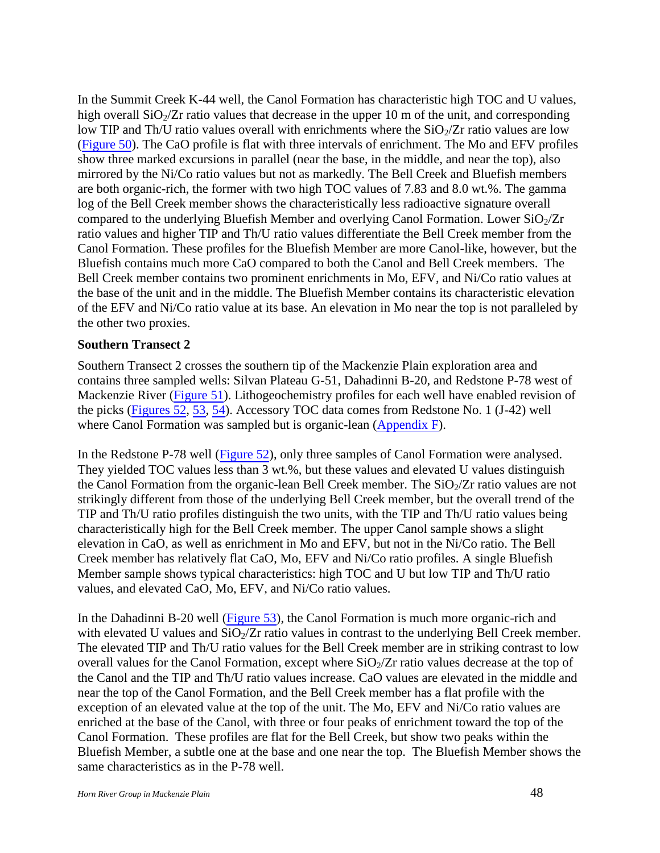In the Summit Creek K-44 well, the Canol Formation has characteristic high TOC and U values, high overall  $SiO<sub>2</sub>/Zr$  ratio values that decrease in the upper 10 m of the unit, and corresponding low TIP and Th/U ratio values overall with enrichments where the  $SiO_2/Zr$  ratio values are low (Figure 50). The CaO profile is flat with three intervals of enrichment. The Mo and EFV profiles show three marked excursions in parallel (near the base, in the middle, and near the top), also mirrored by the Ni/Co ratio values but not as markedly. The Bell Creek and Bluefish members are both organic-rich, the former with two high TOC values of 7.83 and 8.0 wt.%. The gamma log of the Bell Creek member shows the characteristically less radioactive signature overall compared to the underlying Bluefish Member and overlying Canol Formation. Lower  $SiO_2/Zr$ ratio values and higher TIP and Th/U ratio values differentiate the Bell Creek member from the Canol Formation. These profiles for the Bluefish Member are more Canol-like, however, but the Bluefish contains much more CaO compared to both the Canol and Bell Creek members. The Bell Creek member contains two prominent enrichments in Mo, EFV, and Ni/Co ratio values at the base of the unit and in the middle. The Bluefish Member contains its characteristic elevation of the EFV and Ni/Co ratio value at its base. An elevation in Mo near the top is not paralleled by the other two proxies.

#### <span id="page-47-0"></span>**Southern Transect 2**

Southern Transect 2 crosses the southern tip of the Mackenzie Plain exploration area and contains three sampled wells: Silvan Plateau G-51, Dahadinni B-20, and Redstone P-78 west of Mackenzie River (Figure 51). Lithogeochemistry profiles for each well have enabled revision of the picks (Figures 52, 53, 54). Accessory TOC data comes from Redstone No. 1 (J-42) well where Canol Formation was sampled but is organic-lean (Appendix F).

In the Redstone P-78 well (Figure 52), only three samples of Canol Formation were analysed. They yielded TOC values less than 3 wt.%, but these values and elevated U values distinguish the Canol Formation from the organic-lean Bell Creek member. The  $SiO<sub>2</sub>/Zr$  ratio values are not strikingly different from those of the underlying Bell Creek member, but the overall trend of the TIP and Th/U ratio profiles distinguish the two units, with the TIP and Th/U ratio values being characteristically high for the Bell Creek member. The upper Canol sample shows a slight elevation in CaO, as well as enrichment in Mo and EFV, but not in the Ni/Co ratio. The Bell Creek member has relatively flat CaO, Mo, EFV and Ni/Co ratio profiles. A single Bluefish Member sample shows typical characteristics: high TOC and U but low TIP and Th/U ratio values, and elevated CaO, Mo, EFV, and Ni/Co ratio values.

In the Dahadinni B-20 well (Figure 53), the Canol Formation is much more organic-rich and with elevated U values and  $SiO<sub>2</sub>/Zr$  ratio values in contrast to the underlying Bell Creek member. The elevated TIP and Th/U ratio values for the Bell Creek member are in striking contrast to low overall values for the Canol Formation, except where  $SiO<sub>2</sub>/Zr$  ratio values decrease at the top of the Canol and the TIP and Th/U ratio values increase. CaO values are elevated in the middle and near the top of the Canol Formation, and the Bell Creek member has a flat profile with the exception of an elevated value at the top of the unit. The Mo, EFV and Ni/Co ratio values are enriched at the base of the Canol, with three or four peaks of enrichment toward the top of the Canol Formation. These profiles are flat for the Bell Creek, but show two peaks within the Bluefish Member, a subtle one at the base and one near the top. The Bluefish Member shows the same characteristics as in the P-78 well.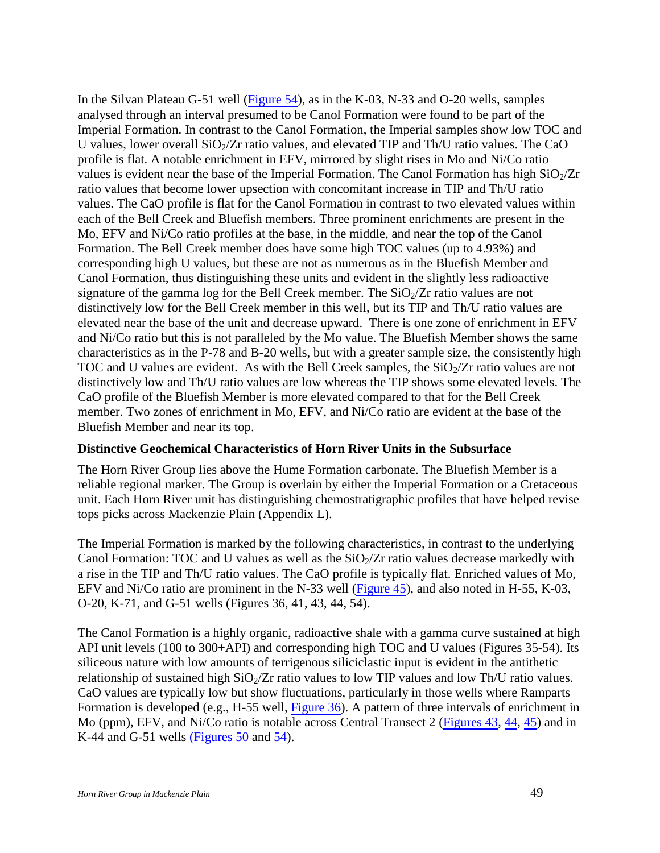In the Silvan Plateau G-51 well (Figure 54), as in the K-03, N-33 and O-20 wells, samples analysed through an interval presumed to be Canol Formation were found to be part of the Imperial Formation. In contrast to the Canol Formation, the Imperial samples show low TOC and U values, lower overall  $SiO<sub>2</sub>/Zr$  ratio values, and elevated TIP and Th/U ratio values. The CaO profile is flat. A notable enrichment in EFV, mirrored by slight rises in Mo and Ni/Co ratio values is evident near the base of the Imperial Formation. The Canol Formation has high  $SiO<sub>2</sub>/Zr$ ratio values that become lower upsection with concomitant increase in TIP and Th/U ratio values. The CaO profile is flat for the Canol Formation in contrast to two elevated values within each of the Bell Creek and Bluefish members. Three prominent enrichments are present in the Mo, EFV and Ni/Co ratio profiles at the base, in the middle, and near the top of the Canol Formation. The Bell Creek member does have some high TOC values (up to 4.93%) and corresponding high U values, but these are not as numerous as in the Bluefish Member and Canol Formation, thus distinguishing these units and evident in the slightly less radioactive signature of the gamma log for the Bell Creek member. The  $SiO<sub>2</sub>/Zr$  ratio values are not distinctively low for the Bell Creek member in this well, but its TIP and Th/U ratio values are elevated near the base of the unit and decrease upward. There is one zone of enrichment in EFV and Ni/Co ratio but this is not paralleled by the Mo value. The Bluefish Member shows the same characteristics as in the P-78 and B-20 wells, but with a greater sample size, the consistently high TOC and U values are evident. As with the Bell Creek samples, the  $SiO<sub>2</sub>/Zr$  ratio values are not distinctively low and Th/U ratio values are low whereas the TIP shows some elevated levels. The CaO profile of the Bluefish Member is more elevated compared to that for the Bell Creek member. Two zones of enrichment in Mo, EFV, and Ni/Co ratio are evident at the base of the Bluefish Member and near its top.

#### <span id="page-48-0"></span>**Distinctive Geochemical Characteristics of Horn River Units in the Subsurface**

The Horn River Group lies above the Hume Formation carbonate. The Bluefish Member is a reliable regional marker. The Group is overlain by either the Imperial Formation or a Cretaceous unit. Each Horn River unit has distinguishing chemostratigraphic profiles that have helped revise tops picks across Mackenzie Plain (Appendix L).

The Imperial Formation is marked by the following characteristics, in contrast to the underlying Canol Formation: TOC and U values as well as the  $SiO<sub>2</sub>/Zr$  ratio values decrease markedly with a rise in the TIP and Th/U ratio values. The CaO profile is typically flat. Enriched values of Mo, EFV and Ni/Co ratio are prominent in the N-33 well (Figure 45), and also noted in H-55, K-03, O-20, K-71, and G-51 wells (Figures 36, 41, 43, 44, 54).

The Canol Formation is a highly organic, radioactive shale with a gamma curve sustained at high API unit levels (100 to 300+API) and corresponding high TOC and U values (Figures 35-54). Its siliceous nature with low amounts of terrigenous siliciclastic input is evident in the antithetic relationship of sustained high  $SiO_2/Zr$  ratio values to low TIP values and low Th/U ratio values. CaO values are typically low but show fluctuations, particularly in those wells where Ramparts Formation is developed (e.g., H-55 well, Figure 36). A pattern of three intervals of enrichment in Mo (ppm), EFV, and Ni/Co ratio is notable across Central Transect 2 (Figures 43, 44, 45) and in K-44 and G-51 wells (Figures 50 and 54).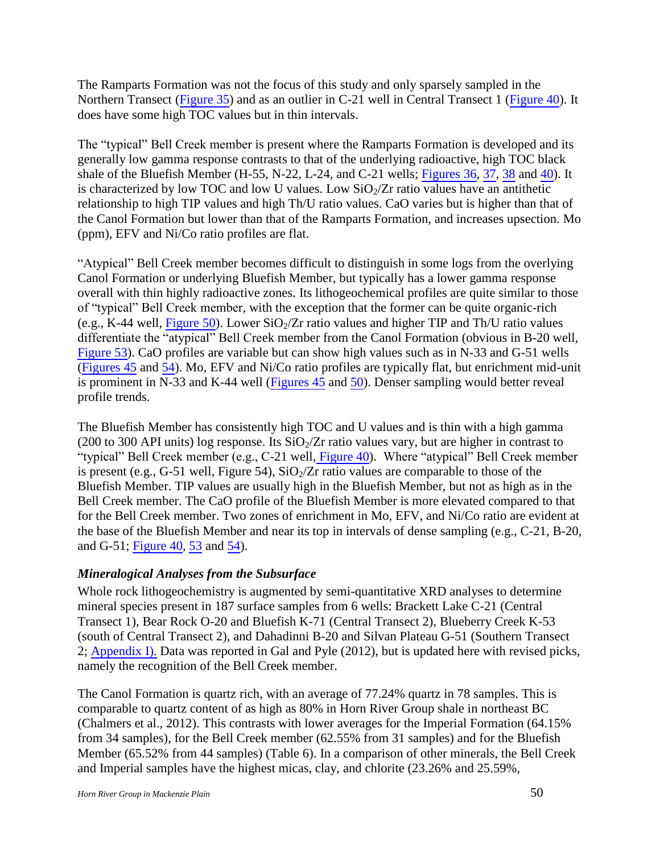The Ramparts Formation was not the focus of this study and only sparsely sampled in the Northern Transect (Figure 35) and as an outlier in C-21 well in Central Transect 1 (Figure 40). It does have some high TOC values but in thin intervals.

The "typical" Bell Creek member is present where the Ramparts Formation is developed and its generally low gamma response contrasts to that of the underlying radioactive, high TOC black shale of the Bluefish Member (H-55, N-22, L-24, and C-21 wells; Figures 36, 37, 38 and 40). It is characterized by low TOC and low U values. Low  $SiO_2/Zr$  ratio values have an antithetic relationship to high TIP values and high Th/U ratio values. CaO varies but is higher than that of the Canol Formation but lower than that of the Ramparts Formation, and increases upsection. Mo (ppm), EFV and Ni/Co ratio profiles are flat.

"Atypical" Bell Creek member becomes difficult to distinguish in some logs from the overlying Canol Formation or underlying Bluefish Member, but typically has a lower gamma response overall with thin highly radioactive zones. Its lithogeochemical profiles are quite similar to those of "typical" Bell Creek member, with the exception that the former can be quite organic-rich (e.g., K-44 well, Figure 50). Lower  $SiO_2/Zr$  ratio values and higher TIP and Th/U ratio values differentiate the "atypical" Bell Creek member from the Canol Formation (obvious in B-20 well, Figure 53). CaO profiles are variable but can show high values such as in N-33 and G-51 wells (Figures 45 and 54). Mo, EFV and Ni/Co ratio profiles are typically flat, but enrichment mid-unit is prominent in N-33 and K-44 well (Figures 45 and 50). Denser sampling would better reveal profile trends.

The Bluefish Member has consistently high TOC and U values and is thin with a high gamma (200 to 300 API units) log response. Its  $SiO<sub>2</sub>/Zr$  ratio values vary, but are higher in contrast to "typical" Bell Creek member (e.g., C-21 well, Figure 40). Where "atypical" Bell Creek member is present (e.g., G-51 well, Figure 54),  $SiO<sub>2</sub>/Zr$  ratio values are comparable to those of the Bluefish Member. TIP values are usually high in the Bluefish Member, but not as high as in the Bell Creek member. The CaO profile of the Bluefish Member is more elevated compared to that for the Bell Creek member. Two zones of enrichment in Mo, EFV, and Ni/Co ratio are evident at the base of the Bluefish Member and near its top in intervals of dense sampling (e.g., C-21, B-20, and G-51; Figure 40, 53 and 54).

## <span id="page-49-0"></span>*Mineralogical Analyses from the Subsurface*

Whole rock lithogeochemistry is augmented by semi-quantitative XRD analyses to determine mineral species present in 187 surface samples from 6 wells: Brackett Lake C-21 (Central Transect 1), Bear Rock O-20 and Bluefish K-71 (Central Transect 2), Blueberry Creek K-53 (south of Central Transect 2), and Dahadinni B-20 and Silvan Plateau G-51 (Southern Transect 2; Appendix I). Data was reported in Gal and Pyle (2012), but is updated here with revised picks, namely the recognition of the Bell Creek member.

The Canol Formation is quartz rich, with an average of 77.24% quartz in 78 samples. This is comparable to quartz content of as high as 80% in Horn River Group shale in northeast BC (Chalmers et al., 2012). This contrasts with lower averages for the Imperial Formation (64.15% from 34 samples), for the Bell Creek member (62.55% from 31 samples) and for the Bluefish Member (65.52% from 44 samples) (Table 6). In a comparison of other minerals, the Bell Creek and Imperial samples have the highest micas, clay, and chlorite (23.26% and 25.59%,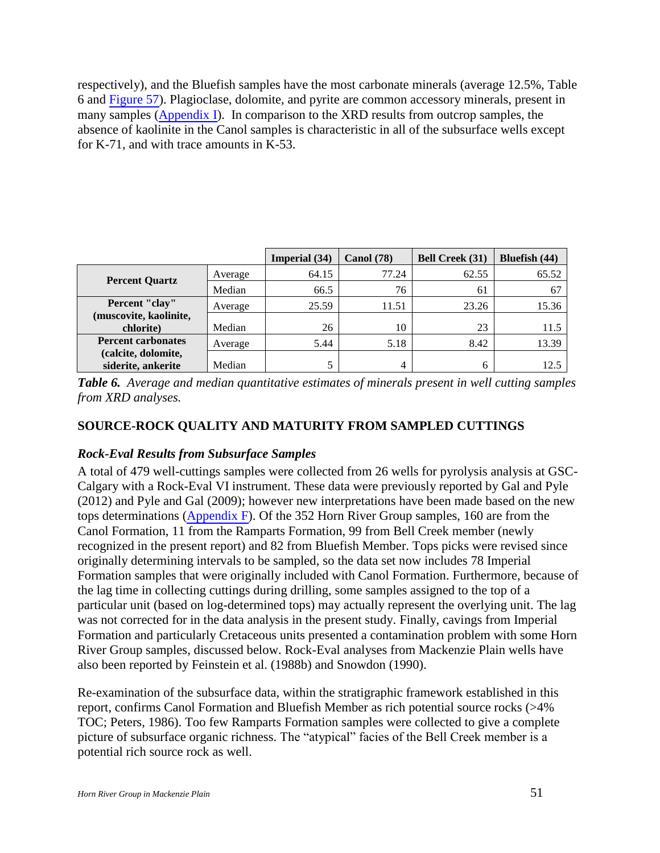respectively), and the Bluefish samples have the most carbonate minerals (average 12.5%, Table 6 and Figure 57). Plagioclase, dolomite, and pyrite are common accessory minerals, present in many samples (Appendix I). In comparison to the XRD results from outcrop samples, the absence of kaolinite in the Canol samples is characteristic in all of the subsurface wells except for K-71, and with trace amounts in K-53.

|                                           |         | Imperial (34) | <b>Canol</b> (78) | <b>Bell Creek (31)</b> | Bluefish (44) |
|-------------------------------------------|---------|---------------|-------------------|------------------------|---------------|
| <b>Percent Quartz</b>                     | Average | 64.15         | 77.24             | 62.55                  | 65.52         |
|                                           | Median  | 66.5          | 76                | 61                     | 67            |
| Percent "clay"                            | Average | 25.59         | 11.51             | 23.26                  | 15.36         |
| (muscovite, kaolinite,<br>chlorite)       | Median  | 26            | 10                | 23                     | 11.5          |
| <b>Percent carbonates</b>                 | Average | 5.44          | 5.18              | 8.42                   | 13.39         |
| (calcite, dolomite,<br>siderite, ankerite | Median  |               | 4                 | 6                      | 12.5          |

*Table 6. Average and median quantitative estimates of minerals present in well cutting samples from XRD analyses.* 

## <span id="page-50-0"></span>**SOURCE-ROCK QUALITY AND MATURITY FROM SAMPLED CUTTINGS**

## <span id="page-50-1"></span>*Rock-Eval Results from Subsurface Samples*

A total of 479 well-cuttings samples were collected from 26 wells for pyrolysis analysis at GSC-Calgary with a Rock-Eval VI instrument. These data were previously reported by Gal and Pyle (2012) and Pyle and Gal (2009); however new interpretations have been made based on the new tops determinations (Appendix F). Of the 352 Horn River Group samples, 160 are from the Canol Formation, 11 from the Ramparts Formation, 99 from Bell Creek member (newly recognized in the present report) and 82 from Bluefish Member. Tops picks were revised since originally determining intervals to be sampled, so the data set now includes 78 Imperial Formation samples that were originally included with Canol Formation. Furthermore, because of the lag time in collecting cuttings during drilling, some samples assigned to the top of a particular unit (based on log-determined tops) may actually represent the overlying unit. The lag was not corrected for in the data analysis in the present study. Finally, cavings from Imperial Formation and particularly Cretaceous units presented a contamination problem with some Horn River Group samples, discussed below. Rock-Eval analyses from Mackenzie Plain wells have also been reported by Feinstein et al. (1988b) and Snowdon (1990).

Re-examination of the subsurface data, within the stratigraphic framework established in this report, confirms Canol Formation and Bluefish Member as rich potential source rocks (>4% TOC; Peters, 1986). Too few Ramparts Formation samples were collected to give a complete picture of subsurface organic richness. The "atypical" facies of the Bell Creek member is a potential rich source rock as well.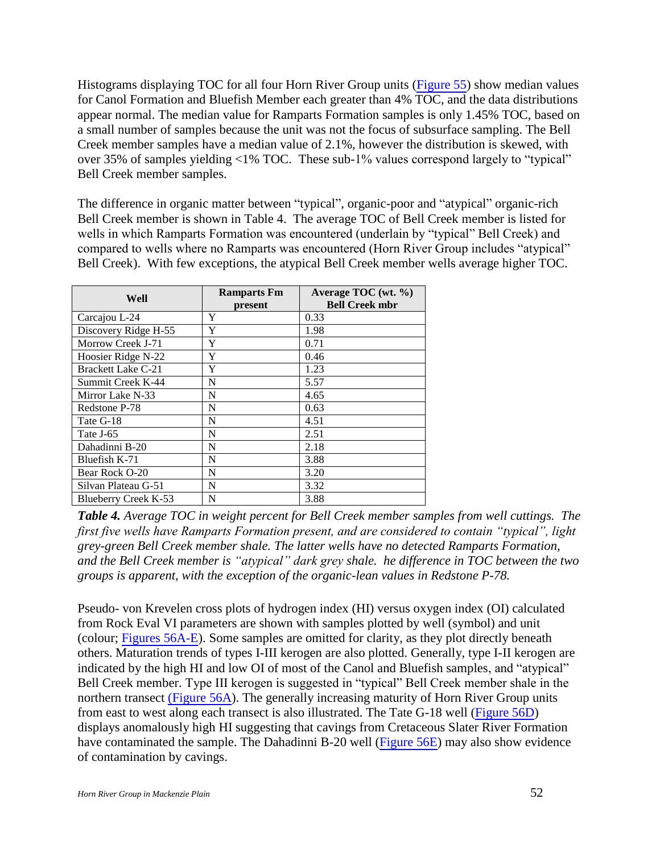Histograms displaying TOC for all four Horn River Group units (Figure 55) show median values for Canol Formation and Bluefish Member each greater than 4% TOC, and the data distributions appear normal. The median value for Ramparts Formation samples is only 1.45% TOC, based on a small number of samples because the unit was not the focus of subsurface sampling. The Bell Creek member samples have a median value of 2.1%, however the distribution is skewed, with over 35% of samples yielding <1% TOC. These sub-1% values correspond largely to "typical" Bell Creek member samples.

The difference in organic matter between "typical", organic-poor and "atypical" organic-rich Bell Creek member is shown in Table 4. The average TOC of Bell Creek member is listed for wells in which Ramparts Formation was encountered (underlain by "typical" Bell Creek) and compared to wells where no Ramparts was encountered (Horn River Group includes "atypical" Bell Creek). With few exceptions, the atypical Bell Creek member wells average higher TOC.

| Well                      | <b>Ramparts Fm</b><br>present | Average TOC (wt. $\%$ )<br><b>Bell Creek mbr</b> |
|---------------------------|-------------------------------|--------------------------------------------------|
| Carcajou L-24             | Y                             | 0.33                                             |
| Discovery Ridge H-55      | Y                             | 1.98                                             |
| Morrow Creek J-71         | Y                             | 0.71                                             |
| Hoosier Ridge N-22        | Y                             | 0.46                                             |
| <b>Brackett Lake C-21</b> | Y                             | 1.23                                             |
| Summit Creek K-44         | N                             | 5.57                                             |
| Mirror Lake N-33          | N                             | 4.65                                             |
| Redstone P-78             | N                             | 0.63                                             |
| Tate G-18                 | N                             | 4.51                                             |
| Tate J-65                 | N                             | 2.51                                             |
| Dahadinni B-20            | N                             | 2.18                                             |
| Bluefish K-71             | N                             | 3.88                                             |
| Bear Rock O-20            | N                             | 3.20                                             |
| Silvan Plateau G-51       | N                             | 3.32                                             |
| Blueberry Creek K-53      | N                             | 3.88                                             |

*Table 4. Average TOC in weight percent for Bell Creek member samples from well cuttings. The first five wells have Ramparts Formation present, and are considered to contain "typical", light grey-green Bell Creek member shale. The latter wells have no detected Ramparts Formation, and the Bell Creek member is "atypical" dark grey shale. he difference in TOC between the two groups is apparent, with the exception of the organic-lean values in Redstone P-78.* 

Pseudo- von Krevelen cross plots of hydrogen index (HI) versus oxygen index (OI) calculated from Rock Eval VI parameters are shown with samples plotted by well (symbol) and unit (colour; Figures 56A-E). Some samples are omitted for clarity, as they plot directly beneath others. Maturation trends of types I-III kerogen are also plotted. Generally, type I-II kerogen are indicated by the high HI and low OI of most of the Canol and Bluefish samples, and "atypical" Bell Creek member. Type III kerogen is suggested in "typical" Bell Creek member shale in the northern transect (Figure 56A). The generally increasing maturity of Horn River Group units from east to west along each transect is also illustrated. The Tate G-18 well (Figure 56D) displays anomalously high HI suggesting that cavings from Cretaceous Slater River Formation have contaminated the sample. The Dahadinni B-20 well (Figure 56E) may also show evidence of contamination by cavings.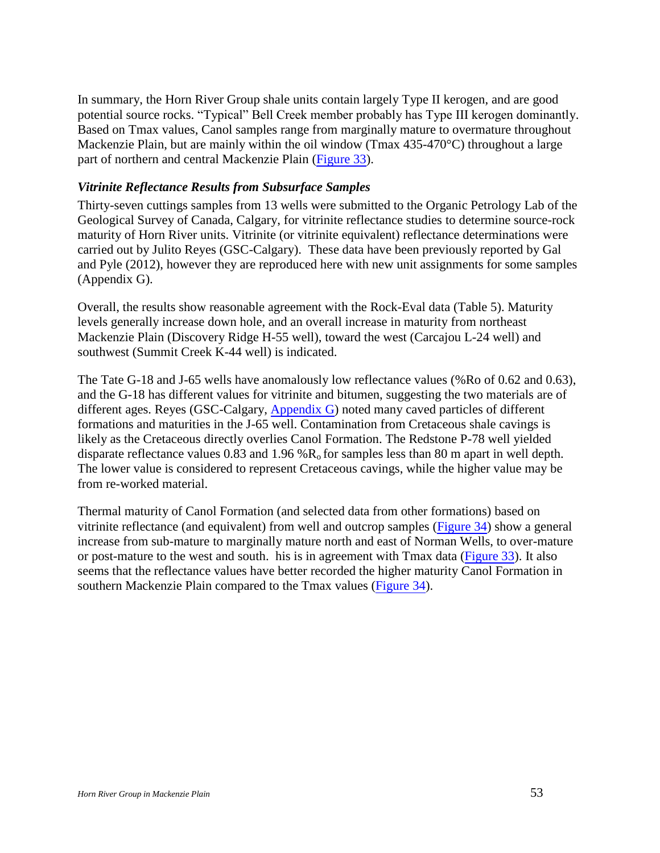In summary, the Horn River Group shale units contain largely Type II kerogen, and are good potential source rocks. "Typical" Bell Creek member probably has Type III kerogen dominantly. Based on Tmax values, Canol samples range from marginally mature to overmature throughout Mackenzie Plain, but are mainly within the oil window (Tmax 435-470 °C) throughout a large part of northern and central Mackenzie Plain (Figure 33).

#### <span id="page-52-0"></span>*Vitrinite Reflectance Results from Subsurface Samples*

Thirty-seven cuttings samples from 13 wells were submitted to the Organic Petrology Lab of the Geological Survey of Canada, Calgary, for vitrinite reflectance studies to determine source-rock maturity of Horn River units. Vitrinite (or vitrinite equivalent) reflectance determinations were carried out by Julito Reyes (GSC-Calgary). These data have been previously reported by Gal and Pyle (2012), however they are reproduced here with new unit assignments for some samples (Appendix G).

Overall, the results show reasonable agreement with the Rock-Eval data (Table 5). Maturity levels generally increase down hole, and an overall increase in maturity from northeast Mackenzie Plain (Discovery Ridge H-55 well), toward the west (Carcajou L-24 well) and southwest (Summit Creek K-44 well) is indicated.

The Tate G-18 and J-65 wells have anomalously low reflectance values (%Ro of 0.62 and 0.63), and the G-18 has different values for vitrinite and bitumen, suggesting the two materials are of different ages. Reyes (GSC-Calgary, Appendix G) noted many caved particles of different formations and maturities in the J-65 well. Contamination from Cretaceous shale cavings is likely as the Cretaceous directly overlies Canol Formation. The Redstone P-78 well yielded disparate reflectance values 0.83 and 1.96 % $R_0$  for samples less than 80 m apart in well depth. The lower value is considered to represent Cretaceous cavings, while the higher value may be from re-worked material.

Thermal maturity of Canol Formation (and selected data from other formations) based on vitrinite reflectance (and equivalent) from well and outcrop samples (Figure 34) show a general increase from sub-mature to marginally mature north and east of Norman Wells, to over-mature or post-mature to the west and south.his is in agreement with Tmax data (Figure 33). It also seems that the reflectance values have better recorded the higher maturity Canol Formation in southern Mackenzie Plain compared to the Tmax values (Figure 34).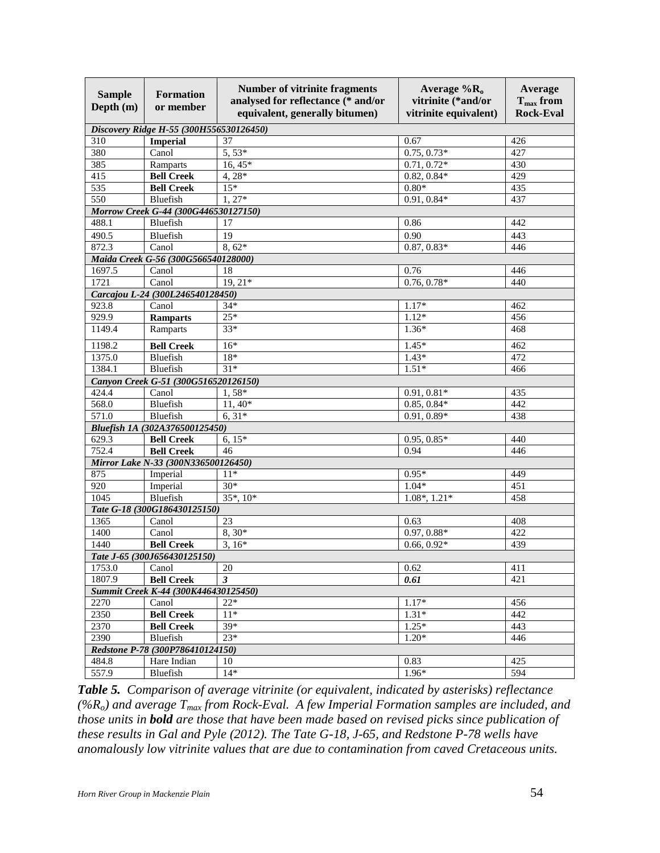| <b>Sample</b><br>Depth (m) | <b>Formation</b><br>or member           | <b>Number of vitrinite fragments</b><br>analysed for reflectance (* and/or<br>equivalent, generally bitumen) | Average $%$ <sub>R<sub>0</sub></sub><br>vitrinite (*and/or<br>vitrinite equivalent) | <b>Average</b><br>$T_{\text{max}}$ from<br><b>Rock-Eval</b> |
|----------------------------|-----------------------------------------|--------------------------------------------------------------------------------------------------------------|-------------------------------------------------------------------------------------|-------------------------------------------------------------|
|                            | Discovery Ridge H-55 (300H556530126450) |                                                                                                              |                                                                                     |                                                             |
| 310                        | <b>Imperial</b>                         | 37                                                                                                           | 0.67                                                                                | 426                                                         |
| 380                        | Canol                                   | $5,53*$                                                                                                      | $0.75, 0.73*$                                                                       | 427                                                         |
| 385                        | Ramparts                                | $16, \overline{45*}$                                                                                         | $0.71, 0.72*$                                                                       | 430                                                         |
| 415                        | <b>Bell Creek</b>                       | $4,28*$                                                                                                      | $0.82, 0.84*$                                                                       | 429                                                         |
| 535                        | <b>Bell Creek</b>                       | $15*$                                                                                                        | $0.80*$                                                                             | 435                                                         |
| 550                        | Bluefish                                | $1,27*$                                                                                                      | $0.91, 0.84*$                                                                       | 437                                                         |
|                            | Morrow Creek G-44 (300G446530127150)    |                                                                                                              |                                                                                     |                                                             |
| 488.1                      | Bluefish                                | 17                                                                                                           | 0.86                                                                                | 442                                                         |
| 490.5                      | Bluefish                                | 19                                                                                                           | 0.90                                                                                | 443                                                         |
| 872.3                      | Canol                                   | $8,62*$                                                                                                      | $0.87, 0.83*$                                                                       | 446                                                         |
|                            | Maida Creek G-56 (300G566540128000)     |                                                                                                              |                                                                                     |                                                             |
| 1697.5                     | Canol                                   | 18                                                                                                           | 0.76                                                                                | 446                                                         |
| 1721                       | Canol                                   | $19, 21*$                                                                                                    | $0.76, 0.78*$                                                                       | 440                                                         |
|                            | Carcajou L-24 (300L246540128450)        |                                                                                                              |                                                                                     |                                                             |
| 923.8                      | Canol                                   | $34*$                                                                                                        | $1.17*$                                                                             | 462                                                         |
| 929.9                      | <b>Ramparts</b>                         | $25*$                                                                                                        | $1.12*$                                                                             | 456                                                         |
| 1149.4                     | Ramparts                                | $33*$                                                                                                        | $1.36*$                                                                             | 468                                                         |
| 1198.2                     | <b>Bell Creek</b>                       | $16*$                                                                                                        | $1.45*$                                                                             | 462                                                         |
| 1375.0                     | Bluefish                                | $18*$                                                                                                        | $1.43*$                                                                             | 472                                                         |
| 1384.1                     | Bluefish                                | $31*$                                                                                                        | $1.51*$                                                                             | 466                                                         |
|                            | Canyon Creek G-51 (300G516520126150)    |                                                                                                              |                                                                                     |                                                             |
| 424.4                      | Canol                                   | $1,58*$                                                                                                      | $0.91, 0.81*$                                                                       | 435                                                         |
| 568.0                      | Bluefish                                | $11,40*$                                                                                                     | $0.85, 0.84*$                                                                       | 442                                                         |
| 571.0                      | Bluefish                                | $6, 31*$                                                                                                     | $0.91, 0.89*$                                                                       | 438                                                         |
|                            | Bluefish 1A (302A376500125450)          |                                                                                                              |                                                                                     |                                                             |
| 629.3                      | <b>Bell Creek</b>                       | $6, 15*$                                                                                                     | $0.95, 0.85*$                                                                       | 440                                                         |
| 752.4                      | <b>Bell Creek</b>                       | 46                                                                                                           | 0.94                                                                                | 446                                                         |
|                            | Mirror Lake N-33 (300N336500126450)     |                                                                                                              |                                                                                     |                                                             |
| 875                        | Imperial                                | $11*$                                                                                                        | $0.95*$                                                                             | 449                                                         |
| 920                        | Imperial                                | $30*$                                                                                                        | $1.04*$                                                                             | 451                                                         |
| 1045                       | Bluefish                                | $35^*$ , $10^*$                                                                                              | $1.08^*$ , $1.21^*$                                                                 | 458                                                         |
|                            | Tate G-18 (300G186430125150)            | 23                                                                                                           |                                                                                     |                                                             |
| 1365                       | Canol                                   |                                                                                                              | 0.63                                                                                | 408                                                         |
| 1400<br>1440               | Canol                                   | $8,30*$<br>$3.16*$                                                                                           | $0.97, 0.88*$<br>$0.66, 0.92*$                                                      | 422<br>439                                                  |
|                            | <b>Bell Creek</b>                       |                                                                                                              |                                                                                     |                                                             |
|                            | Tate J-65 (300J656430125150)            |                                                                                                              |                                                                                     |                                                             |
| 1753.0                     | Canol                                   | 20                                                                                                           | 0.62                                                                                | 411                                                         |
| 1807.9                     | <b>Bell Creek</b>                       | $\mathbf{3}$                                                                                                 | 0.61                                                                                | 421                                                         |
|                            | Summit Creek K-44 (300K446430125450)    |                                                                                                              |                                                                                     |                                                             |
| 2270                       | Canol<br><b>Bell Creek</b>              | $22*$<br>$11*$                                                                                               | $1.17*$<br>$1.31*$                                                                  | 456<br>442                                                  |
| 2350                       |                                         |                                                                                                              |                                                                                     |                                                             |
| 2370                       | <b>Bell Creek</b>                       | $39*$                                                                                                        | $1.25*$                                                                             | 443                                                         |
| 2390                       | Bluefish                                | $23*$                                                                                                        | $1.20*$                                                                             | 446                                                         |
|                            | Redstone P-78 (300P786410124150)        |                                                                                                              |                                                                                     |                                                             |
| 484.8                      | Hare Indian                             | 10                                                                                                           | 0.83                                                                                | 425                                                         |
| 557.9                      | Bluefish                                | $14*$                                                                                                        | $1.96*$                                                                             | 594                                                         |

*Table 5. Comparison of average vitrinite (or equivalent, indicated by asterisks) reflectance (%Ro) and average Tmax from Rock-Eval. A few Imperial Formation samples are included, and those units in bold are those that have been made based on revised picks since publication of these results in Gal and Pyle (2012). The Tate G-18, J-65, and Redstone P-78 wells have anomalously low vitrinite values that are due to contamination from caved Cretaceous units.*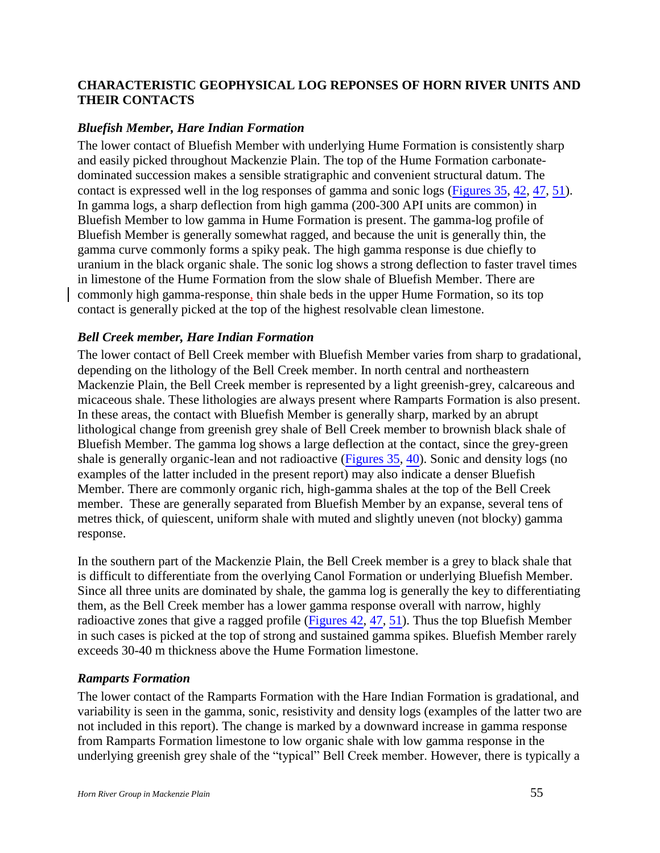## <span id="page-54-0"></span>**CHARACTERISTIC GEOPHYSICAL LOG REPONSES OF HORN RIVER UNITS AND THEIR CONTACTS**

#### <span id="page-54-1"></span>*Bluefish Member, Hare Indian Formation*

The lower contact of Bluefish Member with underlying Hume Formation is consistently sharp and easily picked throughout Mackenzie Plain. The top of the Hume Formation carbonatedominated succession makes a sensible stratigraphic and convenient structural datum. The contact is expressed well in the log responses of gamma and sonic logs (Figures 35, 42, 47, 51). In gamma logs, a sharp deflection from high gamma (200-300 API units are common) in Bluefish Member to low gamma in Hume Formation is present. The gamma-log profile of Bluefish Member is generally somewhat ragged, and because the unit is generally thin, the gamma curve commonly forms a spiky peak. The high gamma response is due chiefly to uranium in the black organic shale. The sonic log shows a strong deflection to faster travel times in limestone of the Hume Formation from the slow shale of Bluefish Member. There are commonly high gamma-response, thin shale beds in the upper Hume Formation, so its top contact is generally picked at the top of the highest resolvable clean limestone.

#### <span id="page-54-2"></span>*Bell Creek member, Hare Indian Formation*

The lower contact of Bell Creek member with Bluefish Member varies from sharp to gradational, depending on the lithology of the Bell Creek member. In north central and northeastern Mackenzie Plain, the Bell Creek member is represented by a light greenish-grey, calcareous and micaceous shale. These lithologies are always present where Ramparts Formation is also present. In these areas, the contact with Bluefish Member is generally sharp, marked by an abrupt lithological change from greenish grey shale of Bell Creek member to brownish black shale of Bluefish Member. The gamma log shows a large deflection at the contact, since the grey-green shale is generally organic-lean and not radioactive (Figures 35, 40). Sonic and density logs (no examples of the latter included in the present report) may also indicate a denser Bluefish Member. There are commonly organic rich, high-gamma shales at the top of the Bell Creek member. These are generally separated from Bluefish Member by an expanse, several tens of metres thick, of quiescent, uniform shale with muted and slightly uneven (not blocky) gamma response.

In the southern part of the Mackenzie Plain, the Bell Creek member is a grey to black shale that is difficult to differentiate from the overlying Canol Formation or underlying Bluefish Member. Since all three units are dominated by shale, the gamma log is generally the key to differentiating them, as the Bell Creek member has a lower gamma response overall with narrow, highly radioactive zones that give a ragged profile (Figures 42, 47, 51). Thus the top Bluefish Member in such cases is picked at the top of strong and sustained gamma spikes. Bluefish Member rarely exceeds 30-40 m thickness above the Hume Formation limestone.

#### <span id="page-54-3"></span>*Ramparts Formation*

The lower contact of the Ramparts Formation with the Hare Indian Formation is gradational, and variability is seen in the gamma, sonic, resistivity and density logs (examples of the latter two are not included in this report). The change is marked by a downward increase in gamma response from Ramparts Formation limestone to low organic shale with low gamma response in the underlying greenish grey shale of the "typical" Bell Creek member. However, there is typically a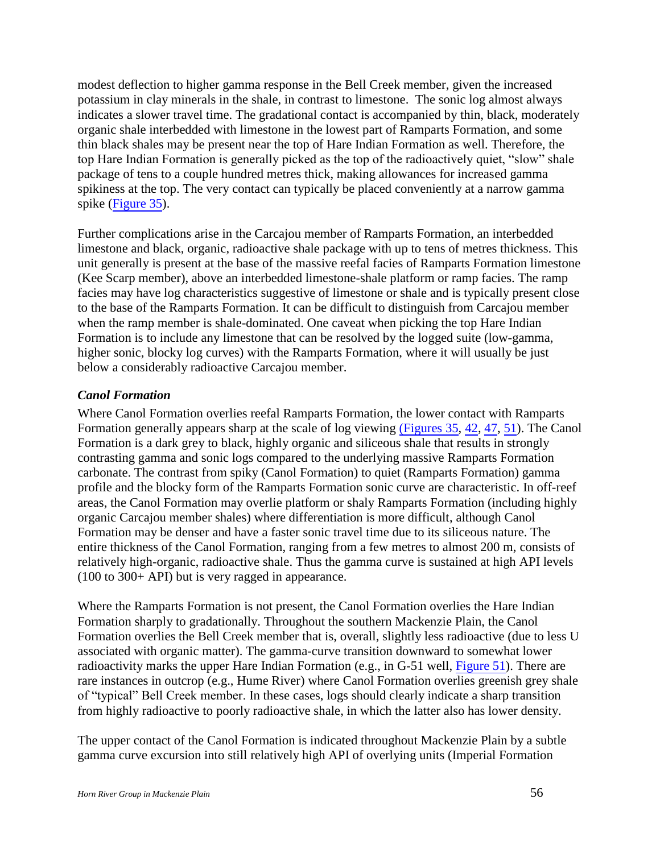modest deflection to higher gamma response in the Bell Creek member, given the increased potassium in clay minerals in the shale, in contrast to limestone. The sonic log almost always indicates a slower travel time. The gradational contact is accompanied by thin, black, moderately organic shale interbedded with limestone in the lowest part of Ramparts Formation, and some thin black shales may be present near the top of Hare Indian Formation as well. Therefore, the top Hare Indian Formation is generally picked as the top of the radioactively quiet, "slow" shale package of tens to a couple hundred metres thick, making allowances for increased gamma spikiness at the top. The very contact can typically be placed conveniently at a narrow gamma spike (Figure 35).

Further complications arise in the Carcajou member of Ramparts Formation, an interbedded limestone and black, organic, radioactive shale package with up to tens of metres thickness. This unit generally is present at the base of the massive reefal facies of Ramparts Formation limestone (Kee Scarp member), above an interbedded limestone-shale platform or ramp facies. The ramp facies may have log characteristics suggestive of limestone or shale and is typically present close to the base of the Ramparts Formation. It can be difficult to distinguish from Carcajou member when the ramp member is shale-dominated. One caveat when picking the top Hare Indian Formation is to include any limestone that can be resolved by the logged suite (low-gamma, higher sonic, blocky log curves) with the Ramparts Formation, where it will usually be just below a considerably radioactive Carcajou member.

#### <span id="page-55-0"></span>*Canol Formation*

Where Canol Formation overlies reefal Ramparts Formation, the lower contact with Ramparts Formation generally appears sharp at the scale of log viewing (Figures 35, 42, 47, 51). The Canol Formation is a dark grey to black, highly organic and siliceous shale that results in strongly contrasting gamma and sonic logs compared to the underlying massive Ramparts Formation carbonate. The contrast from spiky (Canol Formation) to quiet (Ramparts Formation) gamma profile and the blocky form of the Ramparts Formation sonic curve are characteristic. In off-reef areas, the Canol Formation may overlie platform or shaly Ramparts Formation (including highly organic Carcajou member shales) where differentiation is more difficult, although Canol Formation may be denser and have a faster sonic travel time due to its siliceous nature. The entire thickness of the Canol Formation, ranging from a few metres to almost 200 m, consists of relatively high-organic, radioactive shale. Thus the gamma curve is sustained at high API levels (100 to 300+ API) but is very ragged in appearance.

Where the Ramparts Formation is not present, the Canol Formation overlies the Hare Indian Formation sharply to gradationally. Throughout the southern Mackenzie Plain, the Canol Formation overlies the Bell Creek member that is, overall, slightly less radioactive (due to less U associated with organic matter). The gamma-curve transition downward to somewhat lower radioactivity marks the upper Hare Indian Formation (e.g., in G-51 well, Figure 51). There are rare instances in outcrop (e.g., Hume River) where Canol Formation overlies greenish grey shale of "typical" Bell Creek member. In these cases, logs should clearly indicate a sharp transition from highly radioactive to poorly radioactive shale, in which the latter also has lower density.

The upper contact of the Canol Formation is indicated throughout Mackenzie Plain by a subtle gamma curve excursion into still relatively high API of overlying units (Imperial Formation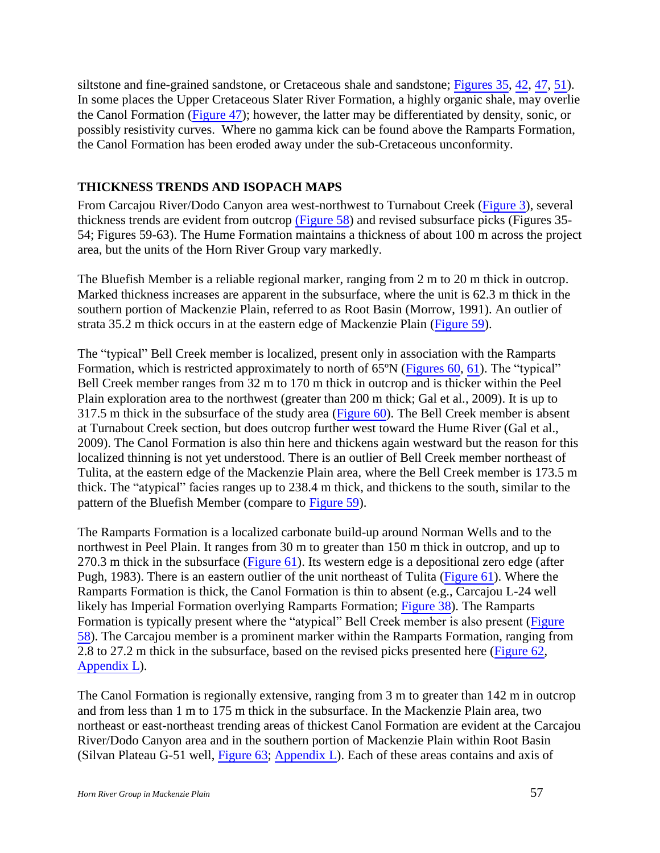siltstone and fine-grained sandstone, or Cretaceous shale and sandstone; Figures 35, 42, 47, 51). In some places the Upper Cretaceous Slater River Formation, a highly organic shale, may overlie the Canol Formation (Figure 47); however, the latter may be differentiated by density, sonic, or possibly resistivity curves. Where no gamma kick can be found above the Ramparts Formation, the Canol Formation has been eroded away under the sub-Cretaceous unconformity.

#### <span id="page-56-0"></span>**THICKNESS TRENDS AND ISOPACH MAPS**

From Carcajou River/Dodo Canyon area west-northwest to Turnabout Creek (Figure 3), several thickness trends are evident from outcrop (Figure 58) and revised subsurface picks (Figures 35- 54; Figures 59-63). The Hume Formation maintains a thickness of about 100 m across the project area, but the units of the Horn River Group vary markedly.

The Bluefish Member is a reliable regional marker, ranging from 2 m to 20 m thick in outcrop. Marked thickness increases are apparent in the subsurface, where the unit is 62.3 m thick in the southern portion of Mackenzie Plain, referred to as Root Basin (Morrow, 1991). An outlier of strata 35.2 m thick occurs in at the eastern edge of Mackenzie Plain (Figure 59).

The "typical" Bell Creek member is localized, present only in association with the Ramparts Formation, which is restricted approximately to north of 65<sup>o</sup>N (Figures 60, 61). The "typical" Bell Creek member ranges from 32 m to 170 m thick in outcrop and is thicker within the Peel Plain exploration area to the northwest (greater than 200 m thick; Gal et al., 2009). It is up to 317.5 m thick in the subsurface of the study area (Figure 60). The Bell Creek member is absent at Turnabout Creek section, but does outcrop further west toward the Hume River (Gal et al., 2009). The Canol Formation is also thin here and thickens again westward but the reason for this localized thinning is not yet understood. There is an outlier of Bell Creek member northeast of Tulita, at the eastern edge of the Mackenzie Plain area, where the Bell Creek member is 173.5 m thick. The "atypical" facies ranges up to 238.4 m thick, and thickens to the south, similar to the pattern of the Bluefish Member (compare to Figure 59).

The Ramparts Formation is a localized carbonate build-up around Norman Wells and to the northwest in Peel Plain. It ranges from 30 m to greater than 150 m thick in outcrop, and up to 270.3 m thick in the subsurface (Figure 61). Its western edge is a depositional zero edge (after Pugh, 1983). There is an eastern outlier of the unit northeast of Tulita (Figure 61). Where the Ramparts Formation is thick, the Canol Formation is thin to absent (e.g., Carcajou L-24 well likely has Imperial Formation overlying Ramparts Formation; Figure 38). The Ramparts Formation is typically present where the "atypical" Bell Creek member is also present (Figure 58). The Carcajou member is a prominent marker within the Ramparts Formation, ranging from 2.8 to 27.2 m thick in the subsurface, based on the revised picks presented here (Figure 62, Appendix L).

The Canol Formation is regionally extensive, ranging from 3 m to greater than 142 m in outcrop and from less than 1 m to 175 m thick in the subsurface. In the Mackenzie Plain area, two northeast or east-northeast trending areas of thickest Canol Formation are evident at the Carcajou River/Dodo Canyon area and in the southern portion of Mackenzie Plain within Root Basin (Silvan Plateau G-51 well, Figure 63; Appendix L). Each of these areas contains and axis of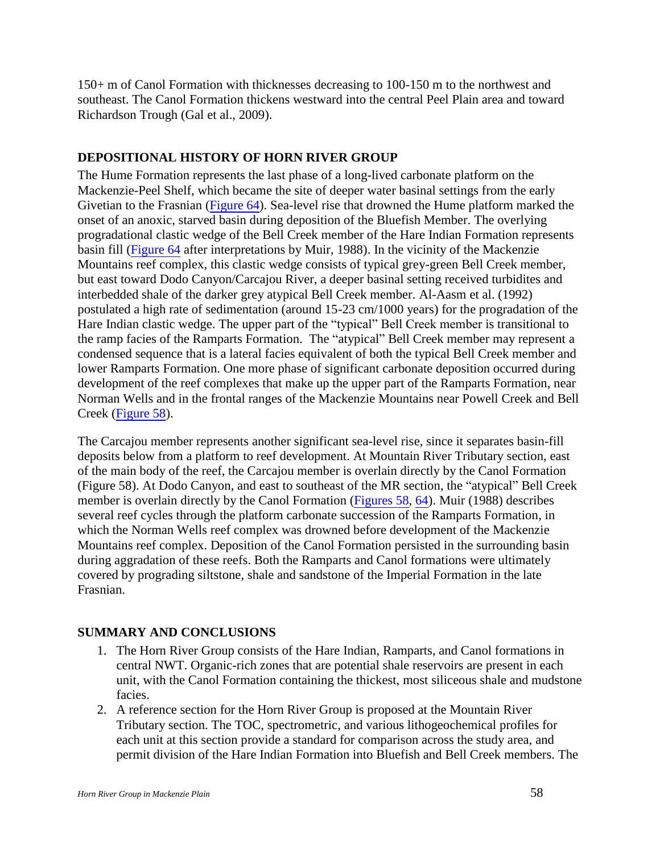150+ m of Canol Formation with thicknesses decreasing to 100-150 m to the northwest and southeast. The Canol Formation thickens westward into the central Peel Plain area and toward Richardson Trough (Gal et al., 2009).

## <span id="page-57-0"></span>**DEPOSITIONAL HISTORY OF HORN RIVER GROUP**

The Hume Formation represents the last phase of a long-lived carbonate platform on the Mackenzie-Peel Shelf, which became the site of deeper water basinal settings from the early Givetian to the Frasnian (Figure 64). Sea-level rise that drowned the Hume platform marked the onset of an anoxic, starved basin during deposition of the Bluefish Member. The overlying progradational clastic wedge of the Bell Creek member of the Hare Indian Formation represents basin fill (Figure 64 after interpretations by Muir, 1988). In the vicinity of the Mackenzie Mountains reef complex, this clastic wedge consists of typical grey-green Bell Creek member, but east toward Dodo Canyon/Carcajou River, a deeper basinal setting received turbidites and interbedded shale of the darker grey atypical Bell Creek member. Al-Aasm et al. (1992) postulated a high rate of sedimentation (around 15-23 cm/1000 years) for the progradation of the Hare Indian clastic wedge. The upper part of the "typical" Bell Creek member is transitional to the ramp facies of the Ramparts Formation. The "atypical" Bell Creek member may represent a condensed sequence that is a lateral facies equivalent of both the typical Bell Creek member and lower Ramparts Formation. One more phase of significant carbonate deposition occurred during development of the reef complexes that make up the upper part of the Ramparts Formation, near Norman Wells and in the frontal ranges of the Mackenzie Mountains near Powell Creek and Bell Creek (Figure 58).

The Carcajou member represents another significant sea-level rise, since it separates basin-fill deposits below from a platform to reef development. At Mountain River Tributary section, east of the main body of the reef, the Carcajou member is overlain directly by the Canol Formation (Figure 58). At Dodo Canyon, and east to southeast of the MR section, the "atypical" Bell Creek member is overlain directly by the Canol Formation (Figures 58, 64). Muir (1988) describes several reef cycles through the platform carbonate succession of the Ramparts Formation, in which the Norman Wells reef complex was drowned before development of the Mackenzie Mountains reef complex. Deposition of the Canol Formation persisted in the surrounding basin during aggradation of these reefs. Both the Ramparts and Canol formations were ultimately covered by prograding siltstone, shale and sandstone of the Imperial Formation in the late Frasnian.

#### <span id="page-57-1"></span>**SUMMARY AND CONCLUSIONS**

- 1. The Horn River Group consists of the Hare Indian, Ramparts, and Canol formations in central NWT. Organic-rich zones that are potential shale reservoirs are present in each unit, with the Canol Formation containing the thickest, most siliceous shale and mudstone facies.
- 2. A reference section for the Horn River Group is proposed at the Mountain River Tributary section. The TOC, spectrometric, and various lithogeochemical profiles for each unit at this section provide a standard for comparison across the study area, and permit division of the Hare Indian Formation into Bluefish and Bell Creek members. The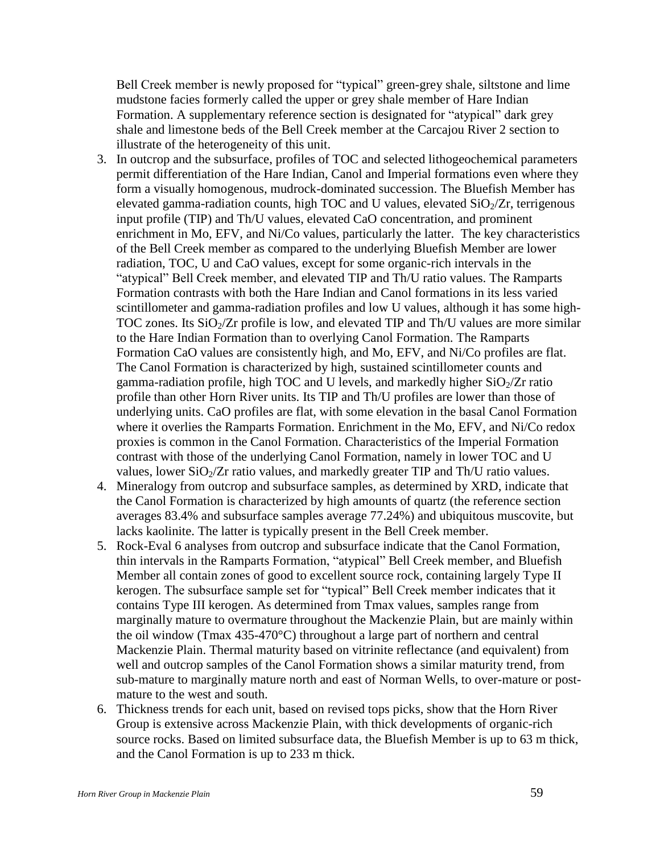Bell Creek member is newly proposed for "typical" green-grey shale, siltstone and lime mudstone facies formerly called the upper or grey shale member of Hare Indian Formation. A supplementary reference section is designated for "atypical" dark grey shale and limestone beds of the Bell Creek member at the Carcajou River 2 section to illustrate of the heterogeneity of this unit.

- 3. In outcrop and the subsurface, profiles of TOC and selected lithogeochemical parameters permit differentiation of the Hare Indian, Canol and Imperial formations even where they form a visually homogenous, mudrock-dominated succession. The Bluefish Member has elevated gamma-radiation counts, high TOC and U values, elevated  $SiO<sub>2</sub>/Zr$ , terrigenous input profile (TIP) and Th/U values, elevated CaO concentration, and prominent enrichment in Mo, EFV, and Ni/Co values, particularly the latter. The key characteristics of the Bell Creek member as compared to the underlying Bluefish Member are lower radiation, TOC, U and CaO values, except for some organic-rich intervals in the "atypical" Bell Creek member, and elevated TIP and Th/U ratio values. The Ramparts Formation contrasts with both the Hare Indian and Canol formations in its less varied scintillometer and gamma-radiation profiles and low U values, although it has some high-TOC zones. Its  $SiO<sub>2</sub>/Zr$  profile is low, and elevated TIP and Th/U values are more similar to the Hare Indian Formation than to overlying Canol Formation. The Ramparts Formation CaO values are consistently high, and Mo, EFV, and Ni/Co profiles are flat. The Canol Formation is characterized by high, sustained scintillometer counts and gamma-radiation profile, high TOC and U levels, and markedly higher  $SiO_2/Zr$  ratio profile than other Horn River units. Its TIP and Th/U profiles are lower than those of underlying units. CaO profiles are flat, with some elevation in the basal Canol Formation where it overlies the Ramparts Formation. Enrichment in the Mo, EFV, and Ni/Co redox proxies is common in the Canol Formation. Characteristics of the Imperial Formation contrast with those of the underlying Canol Formation, namely in lower TOC and U values, lower  $SiO<sub>2</sub>/Zr$  ratio values, and markedly greater TIP and Th/U ratio values.
- 4. Mineralogy from outcrop and subsurface samples, as determined by XRD, indicate that the Canol Formation is characterized by high amounts of quartz (the reference section averages 83.4% and subsurface samples average 77.24%) and ubiquitous muscovite, but lacks kaolinite. The latter is typically present in the Bell Creek member.
- 5. Rock-Eval 6 analyses from outcrop and subsurface indicate that the Canol Formation, thin intervals in the Ramparts Formation, "atypical" Bell Creek member, and Bluefish Member all contain zones of good to excellent source rock, containing largely Type II kerogen. The subsurface sample set for "typical" Bell Creek member indicates that it contains Type III kerogen. As determined from Tmax values, samples range from marginally mature to overmature throughout the Mackenzie Plain, but are mainly within the oil window (Tmax 435-470°C) throughout a large part of northern and central Mackenzie Plain. Thermal maturity based on vitrinite reflectance (and equivalent) from well and outcrop samples of the Canol Formation shows a similar maturity trend, from sub-mature to marginally mature north and east of Norman Wells, to over-mature or postmature to the west and south.
- 6. Thickness trends for each unit, based on revised tops picks, show that the Horn River Group is extensive across Mackenzie Plain, with thick developments of organic-rich source rocks. Based on limited subsurface data, the Bluefish Member is up to 63 m thick, and the Canol Formation is up to 233 m thick.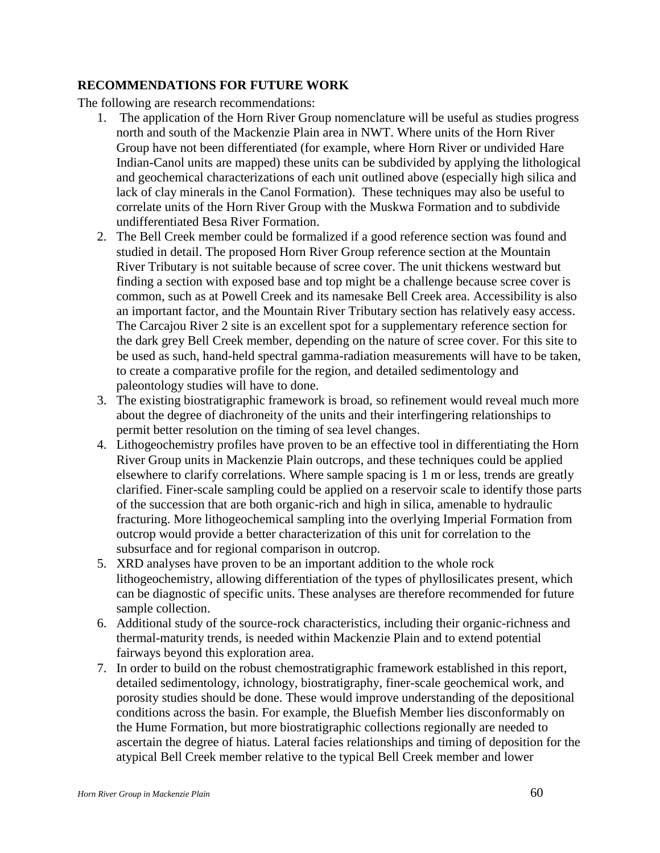#### <span id="page-59-0"></span>**RECOMMENDATIONS FOR FUTURE WORK**

The following are research recommendations:

- 1. The application of the Horn River Group nomenclature will be useful as studies progress north and south of the Mackenzie Plain area in NWT. Where units of the Horn River Group have not been differentiated (for example, where Horn River or undivided Hare Indian-Canol units are mapped) these units can be subdivided by applying the lithological and geochemical characterizations of each unit outlined above (especially high silica and lack of clay minerals in the Canol Formation). These techniques may also be useful to correlate units of the Horn River Group with the Muskwa Formation and to subdivide undifferentiated Besa River Formation.
- 2. The Bell Creek member could be formalized if a good reference section was found and studied in detail. The proposed Horn River Group reference section at the Mountain River Tributary is not suitable because of scree cover. The unit thickens westward but finding a section with exposed base and top might be a challenge because scree cover is common, such as at Powell Creek and its namesake Bell Creek area. Accessibility is also an important factor, and the Mountain River Tributary section has relatively easy access. The Carcajou River 2 site is an excellent spot for a supplementary reference section for the dark grey Bell Creek member, depending on the nature of scree cover. For this site to be used as such, hand-held spectral gamma-radiation measurements will have to be taken, to create a comparative profile for the region, and detailed sedimentology and paleontology studies will have to done.
- 3. The existing biostratigraphic framework is broad, so refinement would reveal much more about the degree of diachroneity of the units and their interfingering relationships to permit better resolution on the timing of sea level changes.
- 4. Lithogeochemistry profiles have proven to be an effective tool in differentiating the Horn River Group units in Mackenzie Plain outcrops, and these techniques could be applied elsewhere to clarify correlations. Where sample spacing is 1 m or less, trends are greatly clarified. Finer-scale sampling could be applied on a reservoir scale to identify those parts of the succession that are both organic-rich and high in silica, amenable to hydraulic fracturing. More lithogeochemical sampling into the overlying Imperial Formation from outcrop would provide a better characterization of this unit for correlation to the subsurface and for regional comparison in outcrop.
- 5. XRD analyses have proven to be an important addition to the whole rock lithogeochemistry, allowing differentiation of the types of phyllosilicates present, which can be diagnostic of specific units. These analyses are therefore recommended for future sample collection.
- 6. Additional study of the source-rock characteristics, including their organic-richness and thermal-maturity trends, is needed within Mackenzie Plain and to extend potential fairways beyond this exploration area.
- 7. In order to build on the robust chemostratigraphic framework established in this report, detailed sedimentology, ichnology, biostratigraphy, finer-scale geochemical work, and porosity studies should be done. These would improve understanding of the depositional conditions across the basin. For example, the Bluefish Member lies disconformably on the Hume Formation, but more biostratigraphic collections regionally are needed to ascertain the degree of hiatus. Lateral facies relationships and timing of deposition for the atypical Bell Creek member relative to the typical Bell Creek member and lower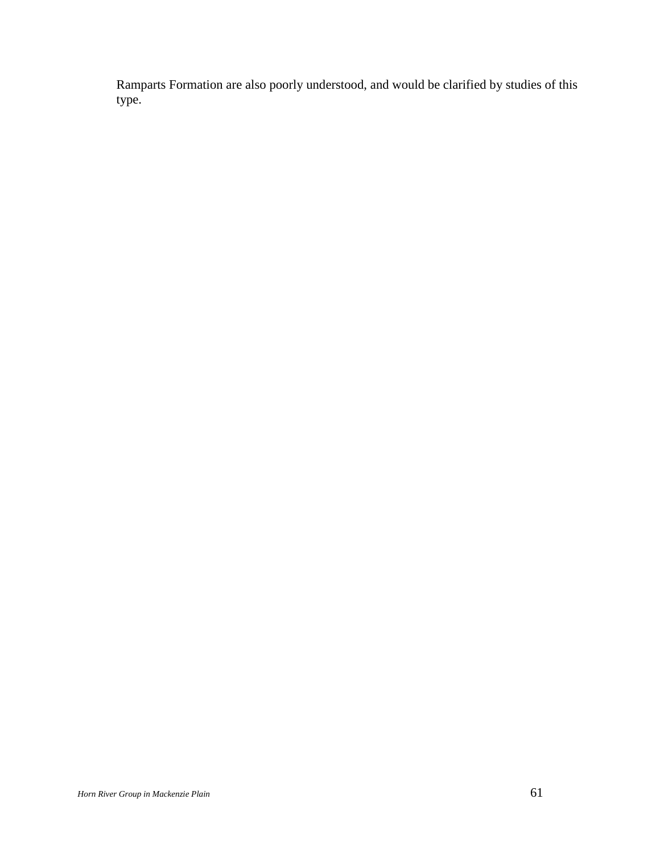Ramparts Formation are also poorly understood, and would be clarified by studies of this type.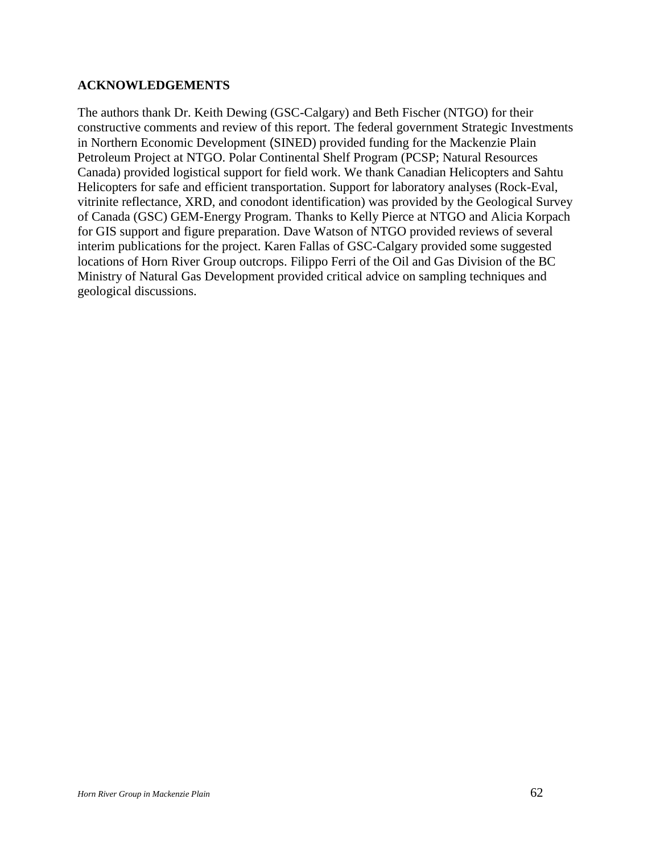#### <span id="page-61-0"></span>**ACKNOWLEDGEMENTS**

The authors thank Dr. Keith Dewing (GSC-Calgary) and Beth Fischer (NTGO) for their constructive comments and review of this report. The federal government Strategic Investments in Northern Economic Development (SINED) provided funding for the Mackenzie Plain Petroleum Project at NTGO. Polar Continental Shelf Program (PCSP; Natural Resources Canada) provided logistical support for field work. We thank Canadian Helicopters and Sahtu Helicopters for safe and efficient transportation. Support for laboratory analyses (Rock-Eval, vitrinite reflectance, XRD, and conodont identification) was provided by the Geological Survey of Canada (GSC) GEM-Energy Program. Thanks to Kelly Pierce at NTGO and Alicia Korpach for GIS support and figure preparation. Dave Watson of NTGO provided reviews of several interim publications for the project. Karen Fallas of GSC-Calgary provided some suggested locations of Horn River Group outcrops. Filippo Ferri of the Oil and Gas Division of the BC Ministry of Natural Gas Development provided critical advice on sampling techniques and geological discussions.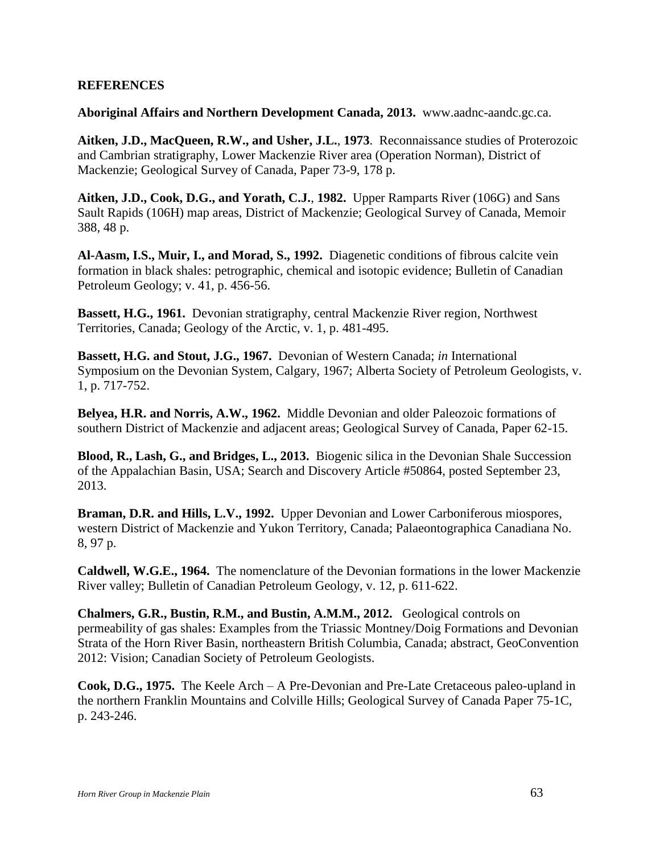#### <span id="page-62-0"></span>**REFERENCES**

**Aboriginal Affairs and Northern Development Canada, 2013.** www.aadnc-aandc.gc.ca.

**Aitken, J.D., MacQueen, R.W., and Usher, J.L.**, **1973**. Reconnaissance studies of Proterozoic and Cambrian stratigraphy, Lower Mackenzie River area (Operation Norman), District of Mackenzie; Geological Survey of Canada, Paper 73-9, 178 p.

**Aitken, J.D., Cook, D.G., and Yorath, C.J.**, **1982.** Upper Ramparts River (106G) and Sans Sault Rapids (106H) map areas, District of Mackenzie; Geological Survey of Canada, Memoir 388, 48 p.

**Al-Aasm, I.S., Muir, I., and Morad, S., 1992.** Diagenetic conditions of fibrous calcite vein formation in black shales: petrographic, chemical and isotopic evidence; Bulletin of Canadian Petroleum Geology; v. 41, p. 456-56.

**Bassett, H.G., 1961.** Devonian stratigraphy, central Mackenzie River region, Northwest Territories, Canada; Geology of the Arctic, v. 1, p. 481-495.

**Bassett, H.G. and Stout, J.G., 1967.** Devonian of Western Canada; *in* International Symposium on the Devonian System, Calgary, 1967; Alberta Society of Petroleum Geologists, v. 1, p. 717-752.

**Belyea, H.R. and Norris, A.W., 1962.** Middle Devonian and older Paleozoic formations of southern District of Mackenzie and adjacent areas; Geological Survey of Canada, Paper 62-15.

**Blood, R., Lash, G., and Bridges, L., 2013.** Biogenic silica in the Devonian Shale Succession of the Appalachian Basin, USA; Search and Discovery Article #50864, posted September 23, 2013.

**Braman, D.R. and Hills, L.V., 1992.** Upper Devonian and Lower Carboniferous miospores, western District of Mackenzie and Yukon Territory, Canada; Palaeontographica Canadiana No. 8, 97 p.

**Caldwell, W.G.E., 1964.** The nomenclature of the Devonian formations in the lower Mackenzie River valley; Bulletin of Canadian Petroleum Geology, v. 12, p. 611-622.

**Chalmers, G.R., Bustin, R.M., and Bustin, A.M.M., 2012.** Geological controls on permeability of gas shales: Examples from the Triassic Montney/Doig Formations and Devonian Strata of the Horn River Basin, northeastern British Columbia, Canada; abstract, GeoConvention 2012: Vision; Canadian Society of Petroleum Geologists.

**Cook, D.G., 1975.** The Keele Arch – A Pre-Devonian and Pre-Late Cretaceous paleo-upland in the northern Franklin Mountains and Colville Hills; Geological Survey of Canada Paper 75-1C, p. 243-246.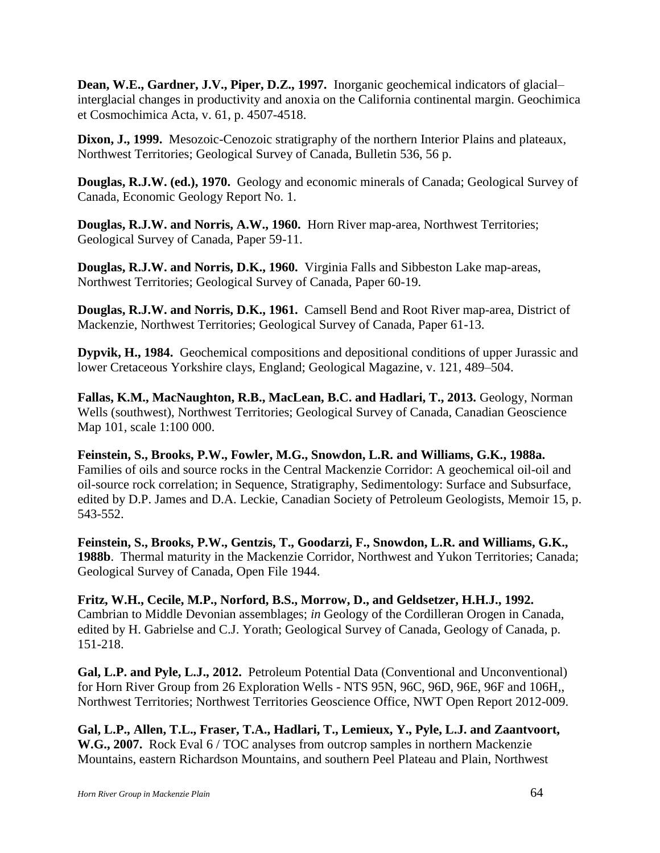**Dean, W.E., Gardner, J.V., Piper, D.Z., 1997.** Inorganic geochemical indicators of glacial– interglacial changes in productivity and anoxia on the California continental margin. Geochimica et Cosmochimica Acta, v. 61, p. 4507-4518.

**Dixon, J., 1999.** Mesozoic-Cenozoic stratigraphy of the northern Interior Plains and plateaux, Northwest Territories; Geological Survey of Canada, Bulletin 536, 56 p.

**Douglas, R.J.W. (ed.), 1970.** Geology and economic minerals of Canada; Geological Survey of Canada, Economic Geology Report No. 1.

**Douglas, R.J.W. and Norris, A.W., 1960.** Horn River map-area, Northwest Territories; Geological Survey of Canada, Paper 59-11.

**Douglas, R.J.W. and Norris, D.K., 1960.** Virginia Falls and Sibbeston Lake map-areas, Northwest Territories; Geological Survey of Canada, Paper 60-19.

**Douglas, R.J.W. and Norris, D.K., 1961.** Camsell Bend and Root River map-area, District of Mackenzie, Northwest Territories; Geological Survey of Canada, Paper 61-13.

**Dypvik, H., 1984.** Geochemical compositions and depositional conditions of upper Jurassic and lower Cretaceous Yorkshire clays, England; Geological Magazine, v. 121, 489–504.

**Fallas, K.M., MacNaughton, R.B., MacLean, B.C. and Hadlari, T., 2013.** Geology, Norman Wells (southwest), Northwest Territories; Geological Survey of Canada, Canadian Geoscience Map 101, scale 1:100 000.

**Feinstein, S., Brooks, P.W., Fowler, M.G., Snowdon, L.R. and Williams, G.K., 1988a.** Families of oils and source rocks in the Central Mackenzie Corridor: A geochemical oil-oil and oil-source rock correlation; in Sequence, Stratigraphy, Sedimentology: Surface and Subsurface, edited by D.P. James and D.A. Leckie, Canadian Society of Petroleum Geologists, Memoir 15, p. 543-552.

**Feinstein, S., Brooks, P.W., Gentzis, T., Goodarzi, F., Snowdon, L.R. and Williams, G.K., 1988b**. Thermal maturity in the Mackenzie Corridor, Northwest and Yukon Territories; Canada; Geological Survey of Canada, Open File 1944.

**Fritz, W.H., Cecile, M.P., Norford, B.S., Morrow, D., and Geldsetzer, H.H.J., 1992.** Cambrian to Middle Devonian assemblages; *in* Geology of the Cordilleran Orogen in Canada, edited by H. Gabrielse and C.J. Yorath; Geological Survey of Canada, Geology of Canada, p. 151-218.

**Gal, L.P. and Pyle, L.J., 2012.** Petroleum Potential Data (Conventional and Unconventional) for Horn River Group from 26 Exploration Wells - NTS 95N, 96C, 96D, 96E, 96F and 106H,, Northwest Territories; Northwest Territories Geoscience Office, NWT Open Report 2012-009.

**Gal, L.P., Allen, T.L., Fraser, T.A., Hadlari, T., Lemieux, Y., Pyle, L.J. and Zaantvoort, W.G., 2007.** Rock Eval 6 / TOC analyses from outcrop samples in northern Mackenzie Mountains, eastern Richardson Mountains, and southern Peel Plateau and Plain, Northwest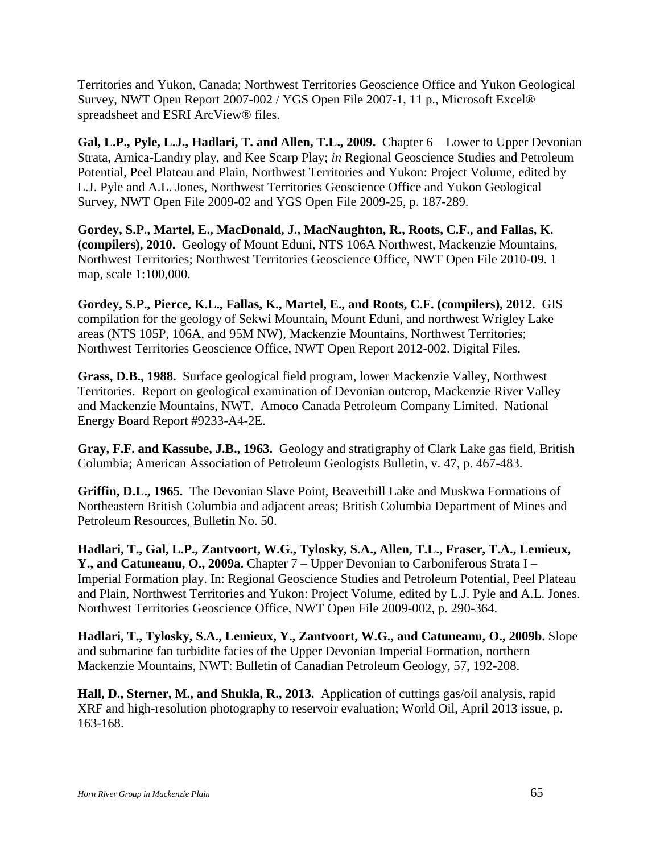Territories and Yukon, Canada; Northwest Territories Geoscience Office and Yukon Geological Survey, NWT Open Report 2007-002 / YGS Open File 2007-1, 11 p., Microsoft Excel® spreadsheet and ESRI ArcView® files.

**Gal, L.P., Pyle, L.J., Hadlari, T. and Allen, T.L., 2009.** Chapter 6 – Lower to Upper Devonian Strata, Arnica-Landry play, and Kee Scarp Play; *in* Regional Geoscience Studies and Petroleum Potential, Peel Plateau and Plain, Northwest Territories and Yukon: Project Volume, edited by L.J. Pyle and A.L. Jones, Northwest Territories Geoscience Office and Yukon Geological Survey, NWT Open File 2009-02 and YGS Open File 2009-25, p. 187-289.

**Gordey, S.P., Martel, E., MacDonald, J., MacNaughton, R., Roots, C.F., and Fallas, K. (compilers), 2010.** Geology of Mount Eduni, NTS 106A Northwest, Mackenzie Mountains, Northwest Territories; Northwest Territories Geoscience Office, NWT Open File 2010-09. 1 map, scale 1:100,000.

**Gordey, S.P., Pierce, K.L., Fallas, K., Martel, E., and Roots, C.F. (compilers), 2012.** GIS compilation for the geology of Sekwi Mountain, Mount Eduni, and northwest Wrigley Lake areas (NTS 105P, 106A, and 95M NW), Mackenzie Mountains, Northwest Territories; Northwest Territories Geoscience Office, NWT Open Report 2012-002. Digital Files.

**Grass, D.B., 1988.** Surface geological field program, lower Mackenzie Valley, Northwest Territories. Report on geological examination of Devonian outcrop, Mackenzie River Valley and Mackenzie Mountains, NWT. Amoco Canada Petroleum Company Limited. National Energy Board Report #9233-A4-2E.

**Gray, F.F. and Kassube, J.B., 1963.** Geology and stratigraphy of Clark Lake gas field, British Columbia; American Association of Petroleum Geologists Bulletin, v. 47, p. 467-483.

**Griffin, D.L., 1965.** The Devonian Slave Point, Beaverhill Lake and Muskwa Formations of Northeastern British Columbia and adjacent areas; British Columbia Department of Mines and Petroleum Resources, Bulletin No. 50.

**Hadlari, T., Gal, L.P., Zantvoort, W.G., Tylosky, S.A., Allen, T.L., Fraser, T.A., Lemieux, Y., and Catuneanu, O., 2009a.** Chapter 7 – Upper Devonian to Carboniferous Strata I – Imperial Formation play. In: Regional Geoscience Studies and Petroleum Potential, Peel Plateau and Plain, Northwest Territories and Yukon: Project Volume, edited by L.J. Pyle and A.L. Jones. Northwest Territories Geoscience Office, NWT Open File 2009-002, p. 290-364.

**Hadlari, T., Tylosky, S.A., Lemieux, Y., Zantvoort, W.G., and Catuneanu, O., 2009b.** Slope and submarine fan turbidite facies of the Upper Devonian Imperial Formation, northern Mackenzie Mountains, NWT: Bulletin of Canadian Petroleum Geology, 57, 192-208.

**Hall, D., Sterner, M., and Shukla, R., 2013.** Application of cuttings gas/oil analysis, rapid XRF and high-resolution photography to reservoir evaluation; World Oil, April 2013 issue, p. 163-168.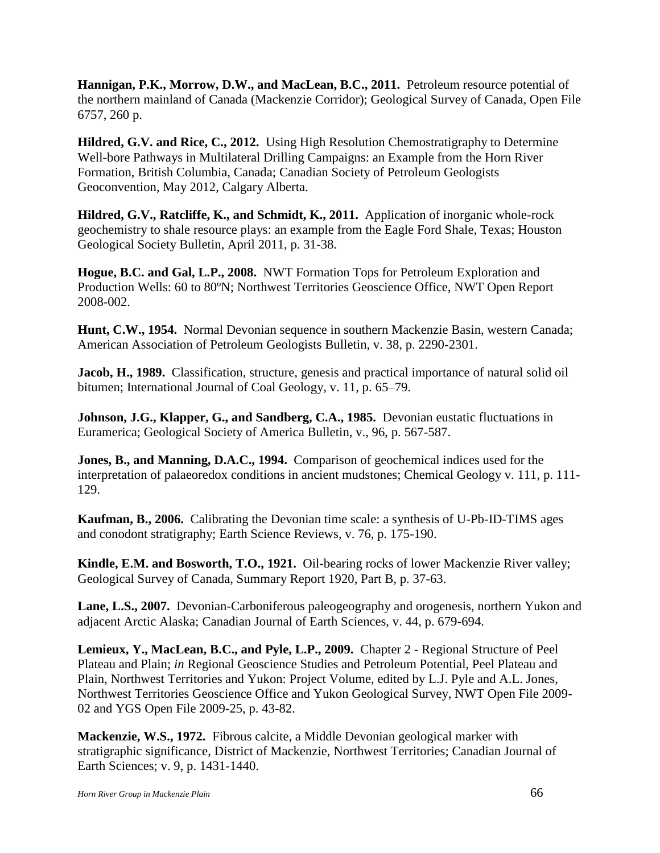**Hannigan, P.K., Morrow, D.W., and MacLean, B.C., 2011.** Petroleum resource potential of the northern mainland of Canada (Mackenzie Corridor); Geological Survey of Canada, Open File 6757, 260 p.

**Hildred, G.V. and Rice, C., 2012.** Using High Resolution Chemostratigraphy to Determine Well-bore Pathways in Multilateral Drilling Campaigns: an Example from the Horn River Formation, British Columbia, Canada; Canadian Society of Petroleum Geologists Geoconvention, May 2012, Calgary Alberta.

**Hildred, G.V., Ratcliffe, K., and Schmidt, K., 2011.** Application of inorganic whole-rock geochemistry to shale resource plays: an example from the Eagle Ford Shale, Texas; Houston Geological Society Bulletin, April 2011, p. 31-38.

**Hogue, B.C. and Gal, L.P., 2008.** NWT Formation Tops for Petroleum Exploration and Production Wells: 60 to 80ºN; Northwest Territories Geoscience Office, NWT Open Report 2008-002.

**Hunt, C.W., 1954.** Normal Devonian sequence in southern Mackenzie Basin, western Canada; American Association of Petroleum Geologists Bulletin, v. 38, p. 2290-2301.

**Jacob, H., 1989.** Classification, structure, genesis and practical importance of natural solid oil bitumen; International Journal of Coal Geology, v. 11, p. 65–79.

**Johnson, J.G., Klapper, G., and Sandberg, C.A., 1985.** Devonian eustatic fluctuations in Euramerica; Geological Society of America Bulletin, v., 96, p. 567-587.

**Jones, B., and Manning, D.A.C., 1994.** Comparison of geochemical indices used for the interpretation of palaeoredox conditions in ancient mudstones; Chemical Geology v. 111, p. 111- 129.

**Kaufman, B., 2006.** Calibrating the Devonian time scale: a synthesis of U-Pb-ID-TIMS ages and conodont stratigraphy; Earth Science Reviews, v. 76, p. 175-190.

**Kindle, E.M. and Bosworth, T.O., 1921.** Oil-bearing rocks of lower Mackenzie River valley; Geological Survey of Canada, Summary Report 1920, Part B, p. 37-63.

**Lane, L.S., 2007.** Devonian-Carboniferous paleogeography and orogenesis, northern Yukon and adjacent Arctic Alaska; Canadian Journal of Earth Sciences, v. 44, p. 679-694.

**Lemieux, Y., MacLean, B.C., and Pyle, L.P., 2009.** Chapter 2 - Regional Structure of Peel Plateau and Plain; *in* Regional Geoscience Studies and Petroleum Potential, Peel Plateau and Plain, Northwest Territories and Yukon: Project Volume, edited by L.J. Pyle and A.L. Jones, Northwest Territories Geoscience Office and Yukon Geological Survey, NWT Open File 2009- 02 and YGS Open File 2009-25, p. 43-82.

**Mackenzie, W.S., 1972.** Fibrous calcite, a Middle Devonian geological marker with stratigraphic significance, District of Mackenzie, Northwest Territories; Canadian Journal of Earth Sciences; v. 9, p. 1431-1440.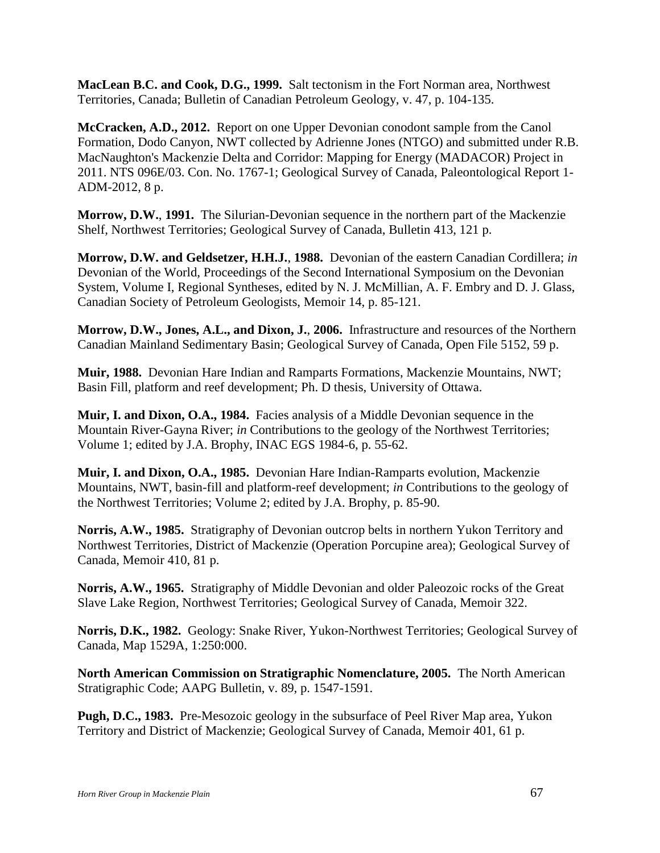**MacLean B.C. and Cook, D.G., 1999.** Salt tectonism in the Fort Norman area, Northwest Territories, Canada; Bulletin of Canadian Petroleum Geology, v. 47, p. 104-135.

**McCracken, A.D., 2012.** Report on one Upper Devonian conodont sample from the Canol Formation, Dodo Canyon, NWT collected by Adrienne Jones (NTGO) and submitted under R.B. MacNaughton's Mackenzie Delta and Corridor: Mapping for Energy (MADACOR) Project in 2011. NTS 096E/03. Con. No. 1767-1; Geological Survey of Canada, Paleontological Report 1- ADM-2012, 8 p.

**Morrow, D.W.**, **1991.** The Silurian-Devonian sequence in the northern part of the Mackenzie Shelf, Northwest Territories; Geological Survey of Canada, Bulletin 413, 121 p.

**Morrow, D.W. and Geldsetzer, H.H.J.**, **1988.** Devonian of the eastern Canadian Cordillera; *in* Devonian of the World, Proceedings of the Second International Symposium on the Devonian System, Volume I, Regional Syntheses, edited by N. J. McMillian, A. F. Embry and D. J. Glass, Canadian Society of Petroleum Geologists, Memoir 14, p. 85-121.

**Morrow, D.W., Jones, A.L., and Dixon, J.**, **2006.** Infrastructure and resources of the Northern Canadian Mainland Sedimentary Basin; Geological Survey of Canada, Open File 5152, 59 p.

**Muir, 1988.** Devonian Hare Indian and Ramparts Formations, Mackenzie Mountains, NWT; Basin Fill, platform and reef development; Ph. D thesis, University of Ottawa.

**Muir, I. and Dixon, O.A., 1984.** Facies analysis of a Middle Devonian sequence in the Mountain River-Gayna River; *in* Contributions to the geology of the Northwest Territories; Volume 1; edited by J.A. Brophy, INAC EGS 1984-6, p. 55-62.

**Muir, I. and Dixon, O.A., 1985.** Devonian Hare Indian-Ramparts evolution, Mackenzie Mountains, NWT, basin-fill and platform-reef development; *in* Contributions to the geology of the Northwest Territories; Volume 2; edited by J.A. Brophy, p. 85-90.

**Norris, A.W., 1985.** Stratigraphy of Devonian outcrop belts in northern Yukon Territory and Northwest Territories, District of Mackenzie (Operation Porcupine area); Geological Survey of Canada, Memoir 410, 81 p.

**Norris, A.W., 1965.** Stratigraphy of Middle Devonian and older Paleozoic rocks of the Great Slave Lake Region, Northwest Territories; Geological Survey of Canada, Memoir 322.

**Norris, D.K., 1982.** Geology: Snake River, Yukon-Northwest Territories; Geological Survey of Canada, Map 1529A, 1:250:000.

**North American Commission on Stratigraphic Nomenclature, 2005.** The North American Stratigraphic Code; AAPG Bulletin, v. 89, p. 1547-1591.

**Pugh, D.C., 1983.** Pre-Mesozoic geology in the subsurface of Peel River Map area, Yukon Territory and District of Mackenzie; Geological Survey of Canada, Memoir 401, 61 p.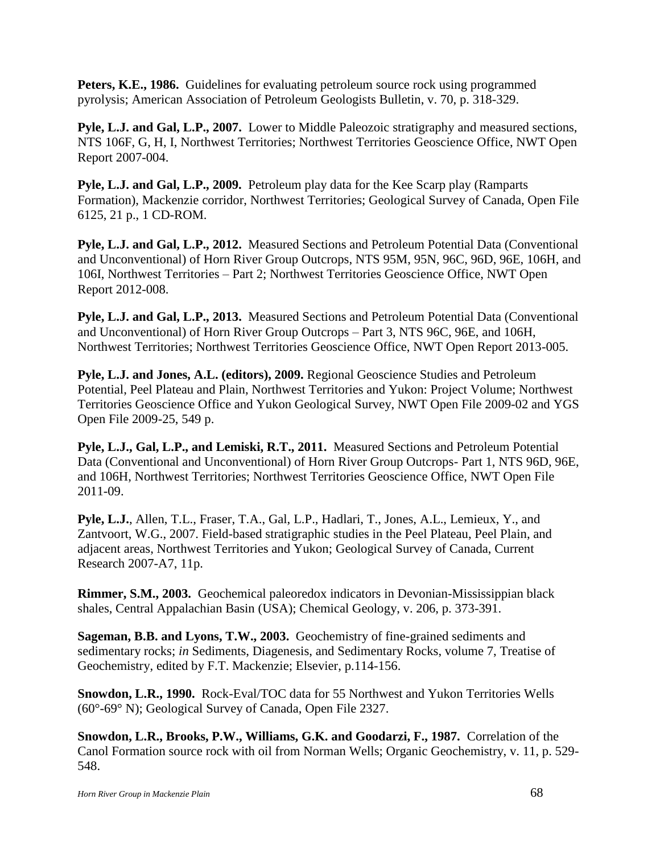**Peters, K.E., 1986.** Guidelines for evaluating petroleum source rock using programmed pyrolysis; American Association of Petroleum Geologists Bulletin, v. 70, p. 318-329.

**Pyle, L.J. and Gal, L.P., 2007.** Lower to Middle Paleozoic stratigraphy and measured sections, NTS 106F, G, H, I, Northwest Territories; Northwest Territories Geoscience Office, NWT Open Report 2007-004.

**Pyle, L.J. and Gal, L.P., 2009.** Petroleum play data for the Kee Scarp play (Ramparts Formation), Mackenzie corridor, Northwest Territories; Geological Survey of Canada, Open File 6125, 21 p., 1 CD-ROM.

**Pyle, L.J. and Gal, L.P., 2012.** Measured Sections and Petroleum Potential Data (Conventional and Unconventional) of Horn River Group Outcrops, NTS 95M, 95N, 96C, 96D, 96E, 106H, and 106I, Northwest Territories – Part 2; Northwest Territories Geoscience Office, NWT Open Report 2012-008.

**Pyle, L.J. and Gal, L.P., 2013.** Measured Sections and Petroleum Potential Data (Conventional and Unconventional) of Horn River Group Outcrops – Part 3, NTS 96C, 96E, and 106H, Northwest Territories; Northwest Territories Geoscience Office, NWT Open Report 2013-005.

**Pyle, L.J. and Jones, A.L. (editors), 2009.** Regional Geoscience Studies and Petroleum Potential, Peel Plateau and Plain, Northwest Territories and Yukon: Project Volume; Northwest Territories Geoscience Office and Yukon Geological Survey, NWT Open File 2009-02 and YGS Open File 2009-25, 549 p.

**Pyle, L.J., Gal, L.P., and Lemiski, R.T., 2011.** Measured Sections and Petroleum Potential Data (Conventional and Unconventional) of Horn River Group Outcrops- Part 1, NTS 96D, 96E, and 106H, Northwest Territories; Northwest Territories Geoscience Office, NWT Open File 2011-09.

**Pyle, L.J.**, Allen, T.L., Fraser, T.A., Gal, L.P., Hadlari, T., Jones, A.L., Lemieux, Y., and Zantvoort, W.G., 2007. Field-based stratigraphic studies in the Peel Plateau, Peel Plain, and adjacent areas, Northwest Territories and Yukon; Geological Survey of Canada, Current Research 2007-A7, 11p.

**Rimmer, S.M., 2003.** Geochemical paleoredox indicators in Devonian-Mississippian black shales, Central Appalachian Basin (USA); Chemical Geology, v. 206, p. 373-391.

**Sageman, B.B. and Lyons, T.W., 2003.** Geochemistry of fine-grained sediments and sedimentary rocks; *in* Sediments, Diagenesis, and Sedimentary Rocks, volume 7, Treatise of Geochemistry, edited by F.T. Mackenzie; Elsevier, p.114-156.

**Snowdon, L.R., 1990.** Rock-Eval/TOC data for 55 Northwest and Yukon Territories Wells (60°-69° N); Geological Survey of Canada, Open File 2327.

**Snowdon, L.R., Brooks, P.W., Williams, G.K. and Goodarzi, F., 1987.** Correlation of the Canol Formation source rock with oil from Norman Wells; Organic Geochemistry, v. 11, p. 529- 548.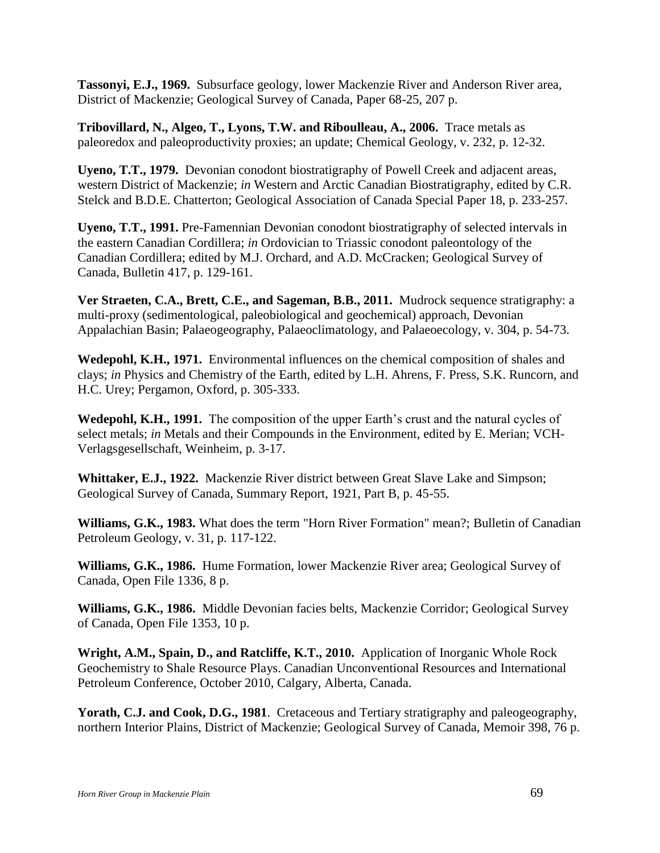**Tassonyi, E.J., 1969.** Subsurface geology, lower Mackenzie River and Anderson River area, District of Mackenzie; Geological Survey of Canada, Paper 68-25, 207 p.

**Tribovillard, N., Algeo, T., Lyons, T.W. and Riboulleau, A., 2006.** Trace metals as paleoredox and paleoproductivity proxies; an update; Chemical Geology, v. 232, p. 12-32.

**Uyeno, T.T., 1979.** Devonian conodont biostratigraphy of Powell Creek and adjacent areas, western District of Mackenzie; *in* Western and Arctic Canadian Biostratigraphy, edited by C.R. Stelck and B.D.E. Chatterton; Geological Association of Canada Special Paper 18, p. 233-257.

**Uyeno, T.T., 1991.** Pre-Famennian Devonian conodont biostratigraphy of selected intervals in the eastern Canadian Cordillera; *in* Ordovician to Triassic conodont paleontology of the Canadian Cordillera; edited by M.J. Orchard, and A.D. McCracken; Geological Survey of Canada, Bulletin 417, p. 129-161.

**Ver Straeten, C.A., Brett, C.E., and Sageman, B.B., 2011.** Mudrock sequence stratigraphy: a multi-proxy (sedimentological, paleobiological and geochemical) approach, Devonian Appalachian Basin; Palaeogeography, Palaeoclimatology, and Palaeoecology, v. 304, p. 54-73.

**Wedepohl, K.H., 1971.** Environmental influences on the chemical composition of shales and clays; *in* Physics and Chemistry of the Earth, edited by L.H. Ahrens, F. Press, S.K. Runcorn, and H.C. Urey; Pergamon, Oxford, p. 305-333.

**Wedepohl, K.H., 1991.** The composition of the upper Earth's crust and the natural cycles of select metals; *in* Metals and their Compounds in the Environment, edited by E. Merian; VCH-Verlagsgesellschaft, Weinheim, p. 3-17.

**Whittaker, E.J., 1922.** Mackenzie River district between Great Slave Lake and Simpson; Geological Survey of Canada, Summary Report, 1921, Part B, p. 45-55.

**Williams, G.K., 1983.** What does the term "Horn River Formation" mean?; Bulletin of Canadian Petroleum Geology, v. 31, p. 117-122.

**Williams, G.K., 1986.** Hume Formation, lower Mackenzie River area; Geological Survey of Canada, Open File 1336, 8 p.

**Williams, G.K., 1986.** Middle Devonian facies belts, Mackenzie Corridor; Geological Survey of Canada, Open File 1353, 10 p.

**Wright, A.M., Spain, D., and Ratcliffe, K.T., 2010.** Application of Inorganic Whole Rock Geochemistry to Shale Resource Plays. Canadian Unconventional Resources and International Petroleum Conference, October 2010, Calgary, Alberta, Canada.

Yorath, C.J. and Cook, D.G., 1981. Cretaceous and Tertiary stratigraphy and paleogeography, northern Interior Plains, District of Mackenzie; Geological Survey of Canada, Memoir 398, 76 p.